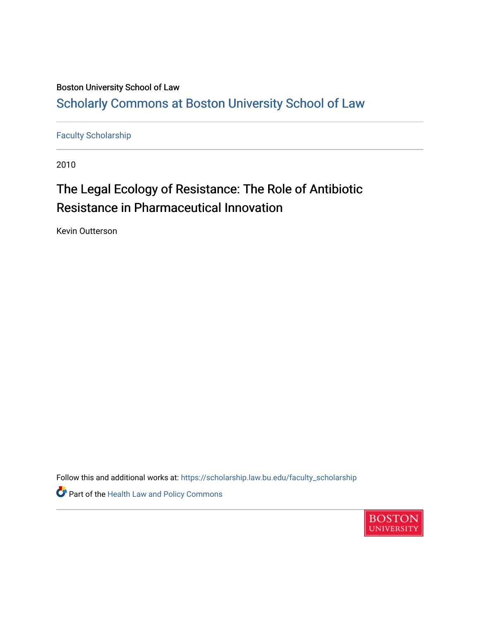# Boston University School of Law [Scholarly Commons at Boston University School of Law](https://scholarship.law.bu.edu/)

[Faculty Scholarship](https://scholarship.law.bu.edu/faculty_scholarship)

2010

# The Legal Ecology of Resistance: The Role of Antibiotic Resistance in Pharmaceutical Innovation

Kevin Outterson

Follow this and additional works at: [https://scholarship.law.bu.edu/faculty\\_scholarship](https://scholarship.law.bu.edu/faculty_scholarship?utm_source=scholarship.law.bu.edu%2Ffaculty_scholarship%2F773&utm_medium=PDF&utm_campaign=PDFCoverPages)

Part of the [Health Law and Policy Commons](http://network.bepress.com/hgg/discipline/901?utm_source=scholarship.law.bu.edu%2Ffaculty_scholarship%2F773&utm_medium=PDF&utm_campaign=PDFCoverPages) 

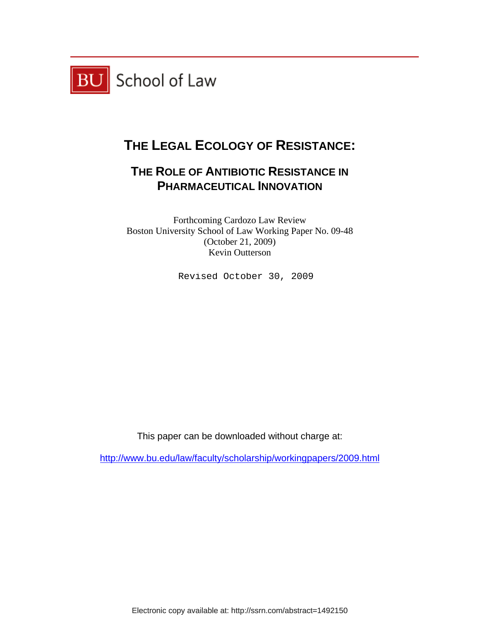

# **THE LEGAL ECOLOGY OF RESISTANCE:**

# **THE ROLE OF ANTIBIOTIC RESISTANCE IN PHARMACEUTICAL INNOVATION**

Forthcoming Cardozo Law Review Boston University School of Law Working Paper No. 09-48 (October 21, 2009) Kevin Outterson

Revised October 30, 2009

This paper can be downloaded without charge at:

http://www.bu.edu/law/faculty/scholarship/workingpapers/2009.html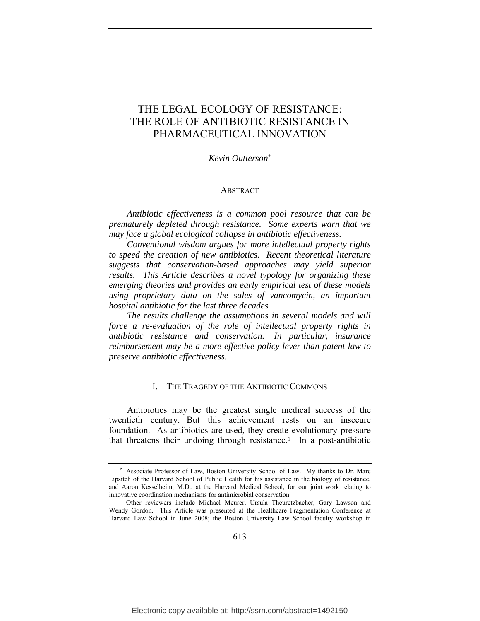# THE LEGAL ECOLOGY OF RESISTANCE: THE ROLE OF ANTIBIOTIC RESISTANCE IN PHARMACEUTICAL INNOVATION

*Kevin Outterson*\*

#### ABSTRACT

*Antibiotic effectiveness is a common pool resource that can be prematurely depleted through resistance. Some experts warn that we may face a global ecological collapse in antibiotic effectiveness.*

*Conventional wisdom argues for more intellectual property rights to speed the creation of new antibiotics. Recent theoretical literature suggests that conservation-based approaches may yield superior results. This Article describes a novel typology for organizing these emerging theories and provides an early empirical test of these models using proprietary data on the sales of vancomycin, an important hospital antibiotic for the last three decades.*

*The results challenge the assumptions in several models and will force a re-evaluation of the role of intellectual property rights in antibiotic resistance and conservation. In particular, insurance reimbursement may be a more effective policy lever than patent law to preserve antibiotic effectiveness.*

#### I. THE TRAGEDY OF THE ANTIBIOTIC COMMONS

Antibiotics may be the greatest single medical success of the twentieth century. But this achievement rests on an insecure foundation. As antibiotics are used, they create evolutionary pressure that threatens their undoing through resistance.<sup>1</sup> In a post-antibiotic

<sup>\*</sup> Associate Professor of Law, Boston University School of Law. My thanks to Dr. Marc Lipsitch of the Harvard School of Public Health for his assistance in the biology of resistance, and Aaron Kesselheim, M.D., at the Harvard Medical School, for our joint work relating to innovative coordination mechanisms for antimicrobial conservation.

Other reviewers include Michael Meurer, Ursula Theuretzbacher, Gary Lawson and Wendy Gordon. This Article was presented at the Healthcare Fragmentation Conference at Harvard Law School in June 2008; the Boston University Law School faculty workshop in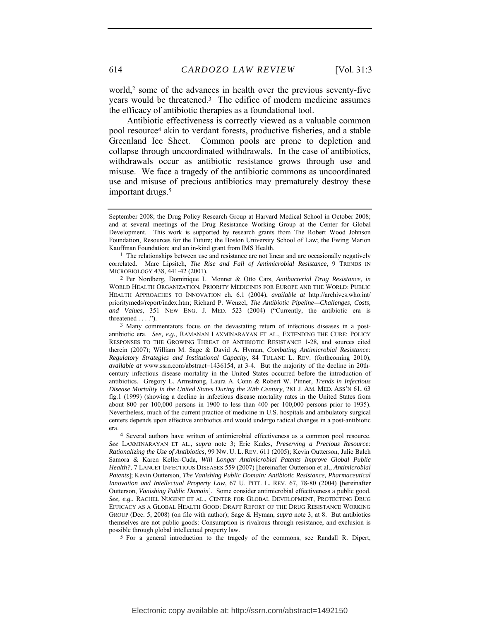world,<sup>2</sup> some of the advances in health over the previous seventy-five years would be threatened.3 The edifice of modern medicine assumes the efficacy of antibiotic therapies as a foundational tool.

Antibiotic effectiveness is correctly viewed as a valuable common pool resource4 akin to verdant forests, productive fisheries, and a stable Greenland Ice Sheet. Common pools are prone to depletion and collapse through uncoordinated withdrawals. In the case of antibiotics, withdrawals occur as antibiotic resistance grows through use and misuse. We face a tragedy of the antibiotic commons as uncoordinated use and misuse of precious antibiotics may prematurely destroy these important drugs.5

2 Per Nordberg, Dominique L. Monnet & Otto Cars, *Antibacterial Drug Resistance*, *in* WORLD HEALTH ORGANIZATION, PRIORITY MEDICINES FOR EUROPE AND THE WORLD: PUBLIC HEALTH APPROACHES TO INNOVATION ch. 6.1 (2004), *available at* http://archives.who.int/ prioritymeds/report/index.htm; Richard P. Wenzel, *The Antibiotic Pipeline—Challenges, Costs, and Values*, 351 NEW ENG. J. MED. 523 (2004) ("Currently, the antibiotic era is threatened . . . .").

3 Many commentators focus on the devastating return of infectious diseases in a postantibiotic era. *See, e.g.*, RAMANAN LAXMINARAYAN ET AL., EXTENDING THE CURE: POLICY RESPONSES TO THE GROWING THREAT OF ANTIBIOTIC RESISTANCE 1-28, and sources cited therein (2007); William M. Sage & David A. Hyman, *Combating Antimicrobial Resistance: Regulatory Strategies and Institutional Capacity*, 84 TULANE L. REV. (forthcoming 2010), *available at* www.ssrn.com/abstract=1436154, at 3-4. But the majority of the decline in 20thcentury infectious disease mortality in the United States occurred before the introduction of antibiotics. Gregory L. Armstrong, Laura A. Conn & Robert W. Pinner, *Trends in Infectious Disease Mortality in the United States During the 20th Century*, 281 J. AM. MED. ASS'N 61, 63 fig.1 (1999) (showing a decline in infectious disease mortality rates in the United States from about 800 per 100,000 persons in 1900 to less than 400 per 100,000 persons prior to 1935). Nevertheless, much of the current practice of medicine in U.S. hospitals and ambulatory surgical centers depends upon effective antibiotics and would undergo radical changes in a post-antibiotic

era. 4 Several authors have written of antimicrobial effectiveness as a common pool resource. *See* LAXMINARAYAN ET AL., *supra* note 3; Eric Kades, *Preserving a Precious Resource: Rationalizing the Use of Antibiotics*, 99 NW. U. L. REV. 611 (2005); Kevin Outterson, Julie Balch Samora & Karen Keller-Cuda, *Will Longer Antimicrobial Patents Improve Global Public Health?*, 7 LANCET INFECTIOUS DISEASES 559 (2007) [hereinafter Outterson et al., *Antimicrobial Patents*]; Kevin Outterson, *The Vanishing Public Domain: Antibiotic Resistance, Pharmaceutical Innovation and Intellectual Property Law*, 67 U. PITT. L. REV. 67, 78-80 (2004) [hereinafter Outterson, *Vanishing Public Domain*]. Some consider antimicrobial effectiveness a public good. *See, e.g.*, RACHEL NUGENT ET AL., CENTER FOR GLOBAL DEVELOPMENT, PROTECTING DRUG EFFICACY AS A GLOBAL HEALTH GOOD: DRAFT REPORT OF THE DRUG RESISTANCE WORKING GROUP (Dec. 5, 2008) (on file with author); Sage & Hyman, *supra* note 3, at 8. But antibiotics themselves are not public goods: Consumption is rivalrous through resistance, and exclusion is possible through global intellectual property law.

5 For a general introduction to the tragedy of the commons, see Randall R. Dipert,

September 2008; the Drug Policy Research Group at Harvard Medical School in October 2008; and at several meetings of the Drug Resistance Working Group at the Center for Global Development. This work is supported by research grants from The Robert Wood Johnson Foundation, Resources for the Future; the Boston University School of Law; the Ewing Marion Kauffman Foundation; and an in-kind grant from IMS Health.

<sup>1</sup> The relationships between use and resistance are not linear and are occasionally negatively correlated. Marc Lipsitch, *The Rise and Fall of Antimicrobial Resistance*, 9 TRENDS IN MICROBIOLOGY 438, 441-42 (2001).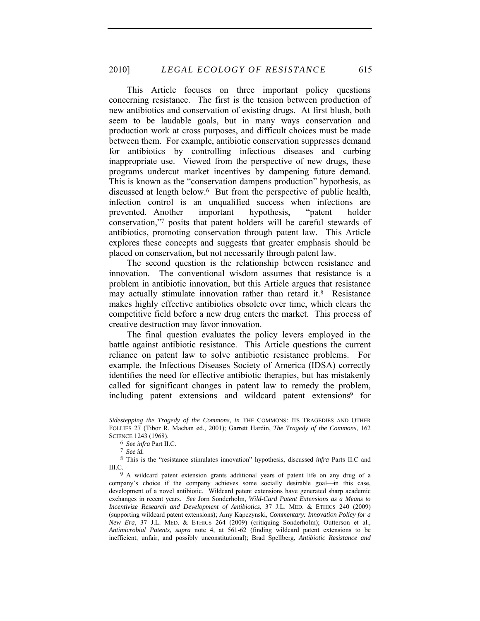This Article focuses on three important policy questions concerning resistance. The first is the tension between production of new antibiotics and conservation of existing drugs. At first blush, both seem to be laudable goals, but in many ways conservation and production work at cross purposes, and difficult choices must be made between them. For example, antibiotic conservation suppresses demand for antibiotics by controlling infectious diseases and curbing inappropriate use. Viewed from the perspective of new drugs, these programs undercut market incentives by dampening future demand. This is known as the "conservation dampens production" hypothesis, as discussed at length below.6 But from the perspective of public health, infection control is an unqualified success when infections are prevented. Another important hypothesis, "patent holder conservation,"7 posits that patent holders will be careful stewards of antibiotics, promoting conservation through patent law. This Article explores these concepts and suggests that greater emphasis should be placed on conservation, but not necessarily through patent law.

The second question is the relationship between resistance and innovation. The conventional wisdom assumes that resistance is a problem in antibiotic innovation, but this Article argues that resistance may actually stimulate innovation rather than retard it.<sup>8</sup> Resistance makes highly effective antibiotics obsolete over time, which clears the competitive field before a new drug enters the market. This process of creative destruction may favor innovation.

The final question evaluates the policy levers employed in the battle against antibiotic resistance. This Article questions the current reliance on patent law to solve antibiotic resistance problems. For example, the Infectious Diseases Society of America (IDSA) correctly identifies the need for effective antibiotic therapies, but has mistakenly called for significant changes in patent law to remedy the problem, including patent extensions and wildcard patent extensions<sup>9</sup> for

*Sidestepping the Tragedy of the Commons*, *in* THE COMMONS: ITS TRAGEDIES AND OTHER FOLLIES 27 (Tibor R. Machan ed., 2001); Garrett Hardin, *The Tragedy of the Commons*, 162 SCIENCE 1243 (1968).

<sup>6</sup> *See infra* Part II.C.

<sup>7</sup> *See id.*

<sup>8</sup> This is the "resistance stimulates innovation" hypothesis, discussed *infra* Parts II.C and III.C.

<sup>9</sup> A wildcard patent extension grants additional years of patent life on any drug of a company's choice if the company achieves some socially desirable goal—in this case, development of a novel antibiotic. Wildcard patent extensions have generated sharp academic exchanges in recent years. *See* Jorn Sonderholm, *Wild-Card Patent Extensions as a Means to Incentivize Research and Development of Antibiotics*, 37 J.L. MED. & ETHICS 240 (2009) (supporting wildcard patent extensions); Amy Kapczynski, *Commentary: Innovation Policy for a New Era*, 37 J.L. MED. & ETHICS 264 (2009) (critiquing Sonderholm); Outterson et al., *Antimicrobial Patents*, *supra* note 4, at 561-62 (finding wildcard patent extensions to be inefficient, unfair, and possibly unconstitutional); Brad Spellberg, *Antibiotic Resistance and*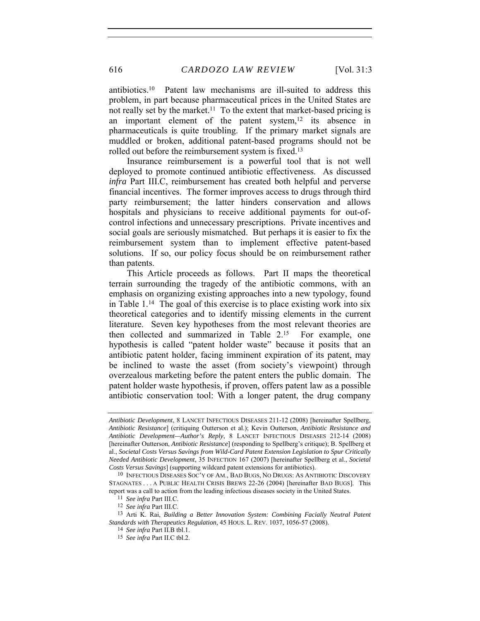antibiotics.10 Patent law mechanisms are ill-suited to address this problem, in part because pharmaceutical prices in the United States are not really set by the market.<sup>11</sup> To the extent that market-based pricing is an important element of the patent system,<sup>12</sup> its absence in pharmaceuticals is quite troubling. If the primary market signals are muddled or broken, additional patent-based programs should not be rolled out before the reimbursement system is fixed.13

Insurance reimbursement is a powerful tool that is not well deployed to promote continued antibiotic effectiveness. As discussed *infra* Part III.C, reimbursement has created both helpful and perverse financial incentives. The former improves access to drugs through third party reimbursement; the latter hinders conservation and allows hospitals and physicians to receive additional payments for out-ofcontrol infections and unnecessary prescriptions. Private incentives and social goals are seriously mismatched. But perhaps it is easier to fix the reimbursement system than to implement effective patent-based solutions. If so, our policy focus should be on reimbursement rather than patents.

This Article proceeds as follows. Part II maps the theoretical terrain surrounding the tragedy of the antibiotic commons, with an emphasis on organizing existing approaches into a new typology, found in Table 1.14 The goal of this exercise is to place existing work into six theoretical categories and to identify missing elements in the current literature. Seven key hypotheses from the most relevant theories are then collected and summarized in Table 2.15 For example, one hypothesis is called "patent holder waste" because it posits that an antibiotic patent holder, facing imminent expiration of its patent, may be inclined to waste the asset (from society's viewpoint) through overzealous marketing before the patent enters the public domain. The patent holder waste hypothesis, if proven, offers patent law as a possible antibiotic conservation tool: With a longer patent, the drug company

*Antibiotic Development*, 8 LANCET INFECTIOUS DISEASES 211-12 (2008) [hereinafter Spellberg, *Antibiotic Resistance*] (critiquing Outterson et al.); Kevin Outterson, *Antibiotic Resistance and Antibiotic Development—Author's Reply*, 8 LANCET INFECTIOUS DISEASES 212-14 (2008) [hereinafter Outterson, *Antibiotic Resistance*] (responding to Spellberg's critique); B. Spellberg et al., *Societal Costs Versus Savings from Wild-Card Patent Extension Legislation to Spur Critically Needed Antibiotic Development*, 35 INFECTION 167 (2007) [hereinafter Spellberg et al., *Societal Costs Versus Savings*] (supporting wildcard patent extensions for antibiotics).

<sup>10</sup> INFECTIOUS DISEASES SOC'Y OF AM., BAD BUGS, NO DRUGS: AS ANTIBIOTIC DISCOVERY STAGNATES . . . A PUBLIC HEALTH CRISIS BREWS 22-26 (2004) [hereinafter BAD BUGS]. This report was a call to action from the leading infectious diseases society in the United States.

<sup>11</sup> *See infra* Part III.C.

<sup>12</sup> *See infra* Part III.C.

<sup>13</sup> Arti K. Rai, *Building a Better Innovation System: Combining Facially Neutral Patent Standards with Therapeutics Regulation*, 45 HOUS. L. REV. 1037, 1056-57 (2008).

<sup>14</sup> *See infra* Part II.B tbl.1.

<sup>15</sup> *See infra* Part II.C tbl.2.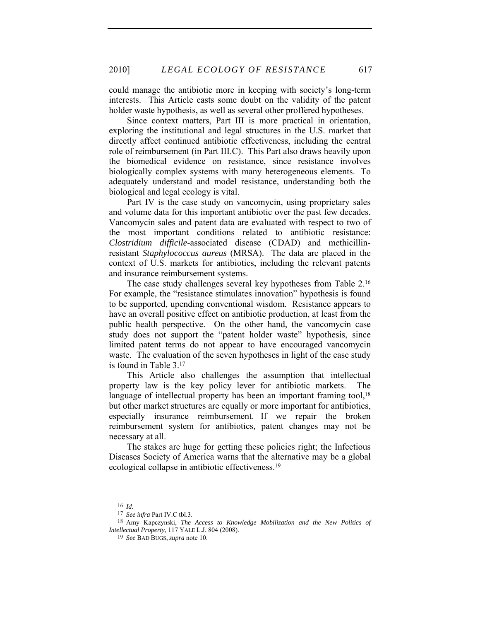could manage the antibiotic more in keeping with society's long-term interests. This Article casts some doubt on the validity of the patent holder waste hypothesis, as well as several other proffered hypotheses.

Since context matters, Part III is more practical in orientation, exploring the institutional and legal structures in the U.S. market that directly affect continued antibiotic effectiveness, including the central role of reimbursement (in Part III.C). This Part also draws heavily upon the biomedical evidence on resistance, since resistance involves biologically complex systems with many heterogeneous elements. To adequately understand and model resistance, understanding both the biological and legal ecology is vital.

Part IV is the case study on vancomycin, using proprietary sales and volume data for this important antibiotic over the past few decades. Vancomycin sales and patent data are evaluated with respect to two of the most important conditions related to antibiotic resistance: *Clostridium difficile-*associated disease (CDAD) and methicillinresistant *Staphylococcus aureus* (MRSA). The data are placed in the context of U.S. markets for antibiotics, including the relevant patents and insurance reimbursement systems.

The case study challenges several key hypotheses from Table 2.16 For example, the "resistance stimulates innovation" hypothesis is found to be supported, upending conventional wisdom. Resistance appears to have an overall positive effect on antibiotic production, at least from the public health perspective. On the other hand, the vancomycin case study does not support the "patent holder waste" hypothesis, since limited patent terms do not appear to have encouraged vancomycin waste. The evaluation of the seven hypotheses in light of the case study is found in Table 3.17

This Article also challenges the assumption that intellectual property law is the key policy lever for antibiotic markets. The language of intellectual property has been an important framing tool,<sup>18</sup> but other market structures are equally or more important for antibiotics, especially insurance reimbursement. If we repair the broken reimbursement system for antibiotics, patent changes may not be necessary at all.

The stakes are huge for getting these policies right; the Infectious Diseases Society of America warns that the alternative may be a global ecological collapse in antibiotic effectiveness.19

<sup>16</sup> *Id.*

<sup>17</sup> *See infra* Part IV.C tbl.3.

<sup>18</sup> Amy Kapczynski, *The Access to Knowledge Mobilization and the New Politics of Intellectual Property*, 117 YALE L.J. 804 (2008).

<sup>19</sup> *See* BAD BUGS, *supra* note 10.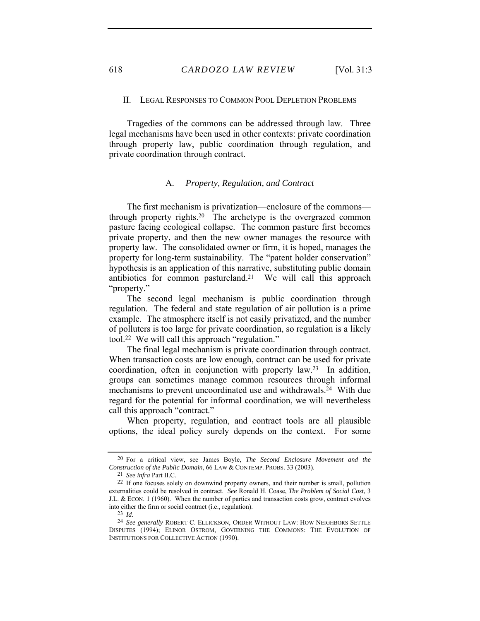### II. LEGAL RESPONSES TO COMMON POOL DEPLETION PROBLEMS

Tragedies of the commons can be addressed through law. Three legal mechanisms have been used in other contexts: private coordination through property law, public coordination through regulation, and private coordination through contract.

#### A*. Property, Regulation, and Contract*

The first mechanism is privatization—enclosure of the commons through property rights.20 The archetype is the overgrazed common pasture facing ecological collapse. The common pasture first becomes private property, and then the new owner manages the resource with property law. The consolidated owner or firm, it is hoped, manages the property for long-term sustainability. The "patent holder conservation" hypothesis is an application of this narrative, substituting public domain antibiotics for common pastureland.21 We will call this approach "property."

The second legal mechanism is public coordination through regulation. The federal and state regulation of air pollution is a prime example. The atmosphere itself is not easily privatized, and the number of polluters is too large for private coordination, so regulation is a likely tool.22 We will call this approach "regulation."

The final legal mechanism is private coordination through contract. When transaction costs are low enough, contract can be used for private coordination, often in conjunction with property law.23 In addition, groups can sometimes manage common resources through informal mechanisms to prevent uncoordinated use and withdrawals.24 With due regard for the potential for informal coordination, we will nevertheless call this approach "contract."

When property, regulation, and contract tools are all plausible options, the ideal policy surely depends on the context. For some

<sup>20</sup> For a critical view, see James Boyle, *The Second Enclosure Movement and the Construction of the Public Domain*, 66 LAW & CONTEMP. PROBS. 33 (2003).

<sup>21</sup> *See infra* Part II.C.

<sup>22</sup> If one focuses solely on downwind property owners, and their number is small, pollution externalities could be resolved in contract. *See* Ronald H. Coase, *The Problem of Social Cost*, 3 J.L. & ECON. 1 (1960). When the number of parties and transaction costs grow, contract evolves into either the firm or social contract (i.e., regulation).

<sup>23</sup> *Id.*

<sup>24</sup> *See generally* ROBERT C. ELLICKSON, ORDER WITHOUT LAW: HOW NEIGHBORS SETTLE DISPUTES (1994); ELINOR OSTROM, GOVERNING THE COMMONS: THE EVOLUTION OF INSTITUTIONS FOR COLLECTIVE ACTION (1990).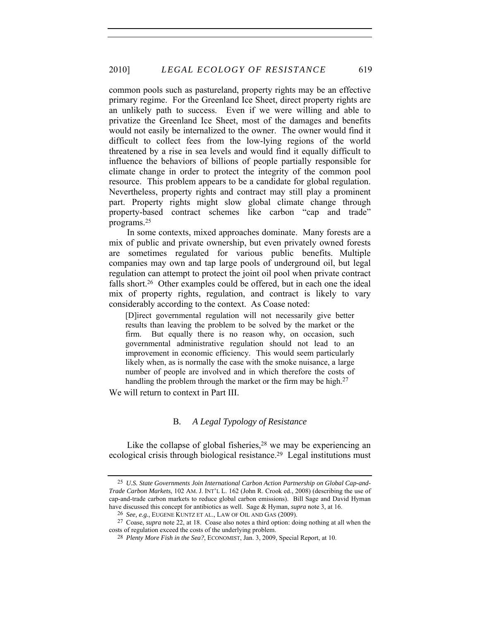common pools such as pastureland, property rights may be an effective primary regime. For the Greenland Ice Sheet, direct property rights are an unlikely path to success. Even if we were willing and able to privatize the Greenland Ice Sheet, most of the damages and benefits would not easily be internalized to the owner. The owner would find it difficult to collect fees from the low-lying regions of the world threatened by a rise in sea levels and would find it equally difficult to influence the behaviors of billions of people partially responsible for climate change in order to protect the integrity of the common pool resource. This problem appears to be a candidate for global regulation. Nevertheless, property rights and contract may still play a prominent part. Property rights might slow global climate change through property-based contract schemes like carbon "cap and trade" programs.25

In some contexts, mixed approaches dominate. Many forests are a mix of public and private ownership, but even privately owned forests are sometimes regulated for various public benefits. Multiple companies may own and tap large pools of underground oil, but legal regulation can attempt to protect the joint oil pool when private contract falls short.<sup>26</sup> Other examples could be offered, but in each one the ideal mix of property rights, regulation, and contract is likely to vary considerably according to the context. As Coase noted:

[D]irect governmental regulation will not necessarily give better results than leaving the problem to be solved by the market or the firm. But equally there is no reason why, on occasion, such governmental administrative regulation should not lead to an improvement in economic efficiency. This would seem particularly likely when, as is normally the case with the smoke nuisance, a large number of people are involved and in which therefore the costs of handling the problem through the market or the firm may be high.<sup>27</sup>

We will return to context in Part III.

#### B*. A Legal Typology of Resistance*

Like the collapse of global fisheries, $28$  we may be experiencing an ecological crisis through biological resistance.29 Legal institutions must

<sup>25</sup> *U.S. State Governments Join International Carbon Action Partnership on Global Cap-and-Trade Carbon Markets*, 102 AM. J. INT'L L. 162 (John R. Crook ed., 2008) (describing the use of cap-and-trade carbon markets to reduce global carbon emissions). Bill Sage and David Hyman have discussed this concept for antibiotics as well. Sage & Hyman, *supra* note 3, at 16.

<sup>26</sup> *See, e.g.*, EUGENE KUNTZ ET AL., LAW OF OIL AND GAS (2009).

<sup>27</sup> Coase, *supra* note 22, at 18. Coase also notes a third option: doing nothing at all when the costs of regulation exceed the costs of the underlying problem.

<sup>28</sup> *Plenty More Fish in the Sea?*, ECONOMIST, Jan. 3, 2009, Special Report, at 10.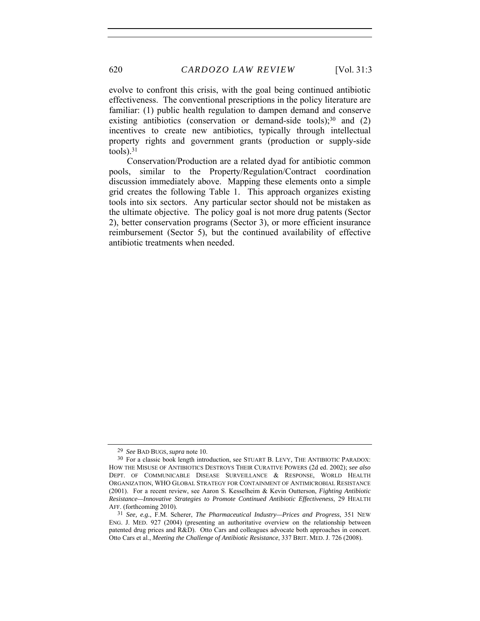evolve to confront this crisis, with the goal being continued antibiotic effectiveness. The conventional prescriptions in the policy literature are familiar: (1) public health regulation to dampen demand and conserve existing antibiotics (conservation or demand-side tools); $30$  and (2) incentives to create new antibiotics, typically through intellectual property rights and government grants (production or supply-side  $tools)$ .  $31$ 

Conservation/Production are a related dyad for antibiotic common pools, similar to the Property/Regulation/Contract coordination discussion immediately above. Mapping these elements onto a simple grid creates the following Table 1. This approach organizes existing tools into six sectors. Any particular sector should not be mistaken as the ultimate objective. The policy goal is not more drug patents (Sector 2), better conservation programs (Sector 3), or more efficient insurance reimbursement (Sector 5), but the continued availability of effective antibiotic treatments when needed.

<sup>29</sup> *See* BAD BUGS, *supra* note 10.

<sup>30</sup> For a classic book length introduction, see STUART B. LEVY, THE ANTIBIOTIC PARADOX: HOW THE MISUSE OF ANTIBIOTICS DESTROYS THEIR CURATIVE POWERS (2d ed. 2002); *see also* DEPT. OF COMMUNICABLE DISEASE SURVEILLANCE & RESPONSE, WORLD HEALTH ORGANIZATION, WHO GLOBAL STRATEGY FOR CONTAINMENT OF ANTIMICROBIAL RESISTANCE (2001). For a recent review, see Aaron S. Kesselheim & Kevin Outterson, *Fighting Antibiotic Resistance—Innovative Strategies to Promote Continued Antibiotic Effectiveness*, 29 HEALTH AFF. (forthcoming 2010).

<sup>31</sup> *See, e.g.*, F.M. Scherer, *The Pharmaceutical Industry—Prices and Progress*, 351 NEW ENG. J. MED. 927 (2004) (presenting an authoritative overview on the relationship between patented drug prices and R&D). Otto Cars and colleagues advocate both approaches in concert. Otto Cars et al., *Meeting the Challenge of Antibiotic Resistance*, 337 BRIT. MED. J. 726 (2008).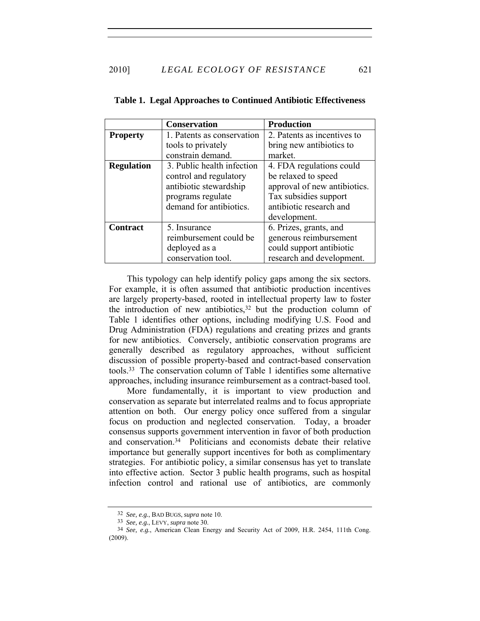|                   | <b>Conservation</b>        | <b>Production</b>            |
|-------------------|----------------------------|------------------------------|
| <b>Property</b>   | 1. Patents as conservation | 2. Patents as incentives to  |
|                   | tools to privately         | bring new antibiotics to     |
|                   | constrain demand.          | market.                      |
| <b>Regulation</b> | 3. Public health infection | 4. FDA regulations could     |
|                   | control and regulatory     | be relaxed to speed          |
|                   | antibiotic stewardship     | approval of new antibiotics. |
|                   | programs regulate          | Tax subsidies support        |
|                   | demand for antibiotics.    | antibiotic research and      |
|                   |                            | development.                 |
| <b>Contract</b>   | 5. Insurance               | 6. Prizes, grants, and       |
|                   | reimbursement could be     | generous reimbursement       |
|                   | deployed as a              | could support antibiotic     |
|                   | conservation tool.         | research and development.    |

**Table 1. Legal Approaches to Continued Antibiotic Effectiveness** 

This typology can help identify policy gaps among the six sectors. For example, it is often assumed that antibiotic production incentives are largely property-based, rooted in intellectual property law to foster the introduction of new antibiotics,  $32$  but the production column of Table 1 identifies other options, including modifying U.S. Food and Drug Administration (FDA) regulations and creating prizes and grants for new antibiotics. Conversely, antibiotic conservation programs are generally described as regulatory approaches, without sufficient discussion of possible property-based and contract-based conservation tools.33 The conservation column of Table 1 identifies some alternative approaches, including insurance reimbursement as a contract-based tool.

More fundamentally, it is important to view production and conservation as separate but interrelated realms and to focus appropriate attention on both. Our energy policy once suffered from a singular focus on production and neglected conservation. Today, a broader consensus supports government intervention in favor of both production and conservation.34 Politicians and economists debate their relative importance but generally support incentives for both as complimentary strategies. For antibiotic policy, a similar consensus has yet to translate into effective action. Sector 3 public health programs, such as hospital infection control and rational use of antibiotics, are commonly

<sup>32</sup> *See, e.g.*, BAD BUGS, *supra* note 10.

<sup>33</sup> *See, e.g.*, LEVY, *supra* note 30.

<sup>34</sup> *See, e.g.*, American Clean Energy and Security Act of 2009, H.R. 2454, 111th Cong. (2009).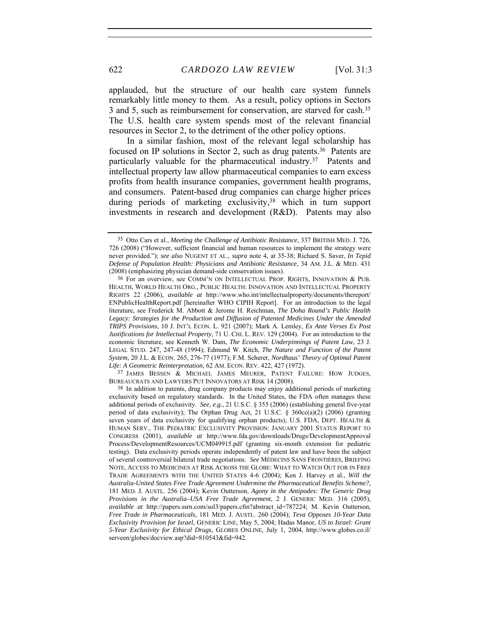622 *CARDOZO LAW REVIEW* [Vol. 31:3

applauded, but the structure of our health care system funnels remarkably little money to them. As a result, policy options in Sectors 3 and 5, such as reimbursement for conservation, are starved for cash.35 The U.S. health care system spends most of the relevant financial resources in Sector 2, to the detriment of the other policy options.

In a similar fashion, most of the relevant legal scholarship has focused on IP solutions in Sector 2, such as drug patents.36 Patents are particularly valuable for the pharmaceutical industry.37 Patents and intellectual property law allow pharmaceutical companies to earn excess profits from health insurance companies, government health programs, and consumers. Patent-based drug companies can charge higher prices during periods of marketing exclusivity,<sup>38</sup> which in turn support investments in research and development (R&D). Patents may also

37 JAMES BESSEN & MICHAEL JAMES MEURER, PATENT FAILURE: HOW JUDGES, BUREAUCRATS AND LAWYERS PUT INNOVATORS AT RISK 14 (2008).

<sup>35</sup> Otto Cars et al., *Meeting the Challenge of Antibiotic Resistance*, 337 BRITISH MED. J. 726, 726 (2008) ("However, sufficient financial and human resources to implement the strategy were never provided."); *see also* NUGENT ET AL., *supra* note 4, at 35-38; Richard S. Saver, *In Tepid Defense of Population Health: Physicians and Antibiotic Resistance*, 34 AM. J.L. & MED. 431 (2008) (emphasizing physician demand-side conservation issues).

<sup>36</sup> For an overview, see COMM'N ON INTELLECTUAL PROP. RIGHTS, INNOVATION & PUB. HEALTH, WORLD HEALTH ORG., PUBLIC HEALTH: INNOVATION AND INTELLECTUAL PROPERTY RIGHTS 22 (2006), *available at* http://www.who.int/intellectualproperty/documents/thereport/ ENPublicHealthReport.pdf [hereinafter WHO CIPIH Report]. For an introduction to the legal literature, see Frederick M. Abbott & Jerome H. Reichman, *The Doha Round's Public Health Legacy: Strategies for the Production and Diffusion of Patented Medicines Under the Amended TRIPS Provisions*, 10 J. INT'L ECON. L. 921 (2007); Mark A. Lemley, *Ex Ante Verses Ex Post Justifications for Intellectual Property*, 71 U. CHI. L. REV. 129 (2004). For an introduction to the economic literature, see Kenneth W. Dam, *The Economic Underpinnings of Patent Law*, 23 J. LEGAL STUD. 247, 247-48 (1994); Edmund W. Kitch, *The Nature and Function of the Patent System*, 20 J.L. & ECON. 265, 276-77 (1977); F.M. Scherer, *Nordhaus' Theory of Optimal Patent Life: A Geometric Reinterpretation*, 62 AM. ECON. REV. 422, 427 (1972).

<sup>38</sup> In addition to patents, drug company products may enjoy additional periods of marketing exclusivity based on regulatory standards. In the United States, the FDA often manages these additional periods of exclusivity. *See, e.g.*, 21 U.S.C. § 355 (2006) (establishing general five-year period of data exclusivity); The Orphan Drug Act, 21 U.S.C.  $\S$  360cc(a)(2) (2006) (granting seven years of data exclusivity for qualifying orphan products); U.S. FDA, DEPT. HEALTH & HUMAN SERV., THE PEDIATRIC EXCLUSIVITY PROVISION: JANUARY 2001 STATUS REPORT TO CONGRESS (2001), *available at* http://www.fda.gov/downloads/Drugs/DevelopmentApproval Process/DevelopmentResources/UCM049915.pdf (granting six-month extension for pediatric testing). Data exclusivity periods operate independently of patent law and have been the subject of several controversial bilateral trade negotiations. *See* MÉDECINS SANS FRONTIÈRES, BRIEFING NOTE, ACCESS TO MEDICINES AT RISK ACROSS THE GLOBE: WHAT TO WATCH OUT FOR IN FREE TRADE AGREEMENTS WITH THE UNITED STATES 4-6 (2004); Ken J. Harvey et al., *Will the Australia-United States Free Trade Agreement Undermine the Pharmaceutical Benefits Scheme?*, 181 MED. J. AUSTL. 256 (2004); Kevin Outterson, *Agony in the Antipodes: The Generic Drug Provisions in the Australia–USA Free Trade Agreement*, 2 J. GENERIC MED. 316 (2005), *available at* http://papers.ssrn.com/sol3/papers.cfm?abstract\_id=787224; M. Kevin Outterson, *Free Trade in Pharmaceuticals*, 181 MED. J. AUSTL. 260 (2004); *Teva Opposes 10-Year Data Exclusivity Provision for Israel*, GENERIC LINE, May 5, 2004; Hadas Manor, *US to Israel: Grant 5-Year Exclusivity for Ethical Drugs*, GLOBES ONLINE, July 1, 2004, http://www.globes.co.il/ serveen/globes/docview.asp?did=810543&fid=942.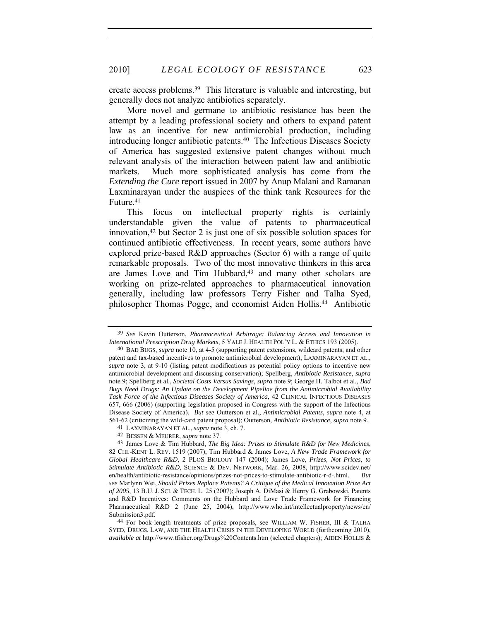create access problems.39 This literature is valuable and interesting, but generally does not analyze antibiotics separately.

More novel and germane to antibiotic resistance has been the attempt by a leading professional society and others to expand patent law as an incentive for new antimicrobial production, including introducing longer antibiotic patents.40 The Infectious Diseases Society of America has suggested extensive patent changes without much relevant analysis of the interaction between patent law and antibiotic markets. Much more sophisticated analysis has come from the *Extending the Cure* report issued in 2007 by Anup Malani and Ramanan Laxminarayan under the auspices of the think tank Resources for the Future.<sup>41</sup>

This focus on intellectual property rights is certainly understandable given the value of patents to pharmaceutical innovation,42 but Sector 2 is just one of six possible solution spaces for continued antibiotic effectiveness. In recent years, some authors have explored prize-based R&D approaches (Sector 6) with a range of quite remarkable proposals. Two of the most innovative thinkers in this area are James Love and Tim Hubbard,<sup>43</sup> and many other scholars are working on prize-related approaches to pharmaceutical innovation generally, including law professors Terry Fisher and Talha Syed, philosopher Thomas Pogge, and economist Aiden Hollis.44 Antibiotic

44 For book-length treatments of prize proposals, see WILLIAM W. FISHER, III & TALHA SYED, DRUGS, LAW, AND THE HEALTH CRISIS IN THE DEVELOPING WORLD (forthcoming 2010), *available at* http://www.tfisher.org/Drugs%20Contents.htm (selected chapters); AIDEN HOLLIS &

<sup>39</sup> *See* Kevin Outterson, *Pharmaceutical Arbitrage: Balancing Access and Innovation in International Prescription Drug Markets*, 5 YALE J. HEALTH POL'Y L. & ETHICS 193 (2005).

<sup>40</sup> BAD BUGS, *supra* note 10, at 4-5 (supporting patent extensions, wildcard patents, and other patent and tax-based incentives to promote antimicrobial development); LAXMINARAYAN ET AL., *supra* note 3, at 9-10 (listing patent modifications as potential policy options to incentive new antimicrobial development and discussing conservation); Spellberg, *Antibiotic Resistance*, *supra* note 9; Spellberg et al., *Societal Costs Versus Savings*, *supra* note 9; George H. Talbot et al., *Bad Bugs Need Drugs: An Update on the Development Pipeline from the Antimicrobial Availability Task Force of the Infectious Diseases Society of America*, 42 CLINICAL INFECTIOUS DISEASES 657, 666 (2006) (supporting legislation proposed in Congress with the support of the Infectious Disease Society of America). *But see* Outterson et al., *Antimicrobial Patents*, *supra* note 4, at 561-62 (criticizing the wild-card patent proposal); Outterson, *Antibiotic Resistance*, *supra* note 9.

<sup>41</sup> LAXMINARAYAN ET AL., *supra* note 3, ch. 7.

<sup>42</sup> BESSEN & MEURER, *supra* note 37.

<sup>43</sup> James Love & Tim Hubbard, *The Big Idea: Prizes to Stimulate R&D for New Medicines*, 82 CHI.-KENT L. REV. 1519 (2007); Tim Hubbard & James Love, *A New Trade Framework for Global Healthcare R&D*, 2 PLOS BIOLOGY 147 (2004); James Love, *Prizes, Not Prices, to Stimulate Antibiotic R&D*, SCIENCE & DEV. NETWORK, Mar. 26, 2008, http://www.scidev.net/ en/health/antibiotic-resistance/opinions/prizes-not-prices-to-stimulate-antibiotic-r-d-.html. *But see* Marlynn Wei, *Should Prizes Replace Patents? A Critique of the Medical Innovation Prize Act of 2005*, 13 B.U. J. SCI. & TECH. L. 25 (2007); Joseph A. DiMasi & Henry G. Grabowski, Patents and R&D Incentives: Comments on the Hubbard and Love Trade Framework for Financing Pharmaceutical R&D 2 (June 25, 2004), http://www.who.int/intellectualproperty/news/en/ Submission3.pdf.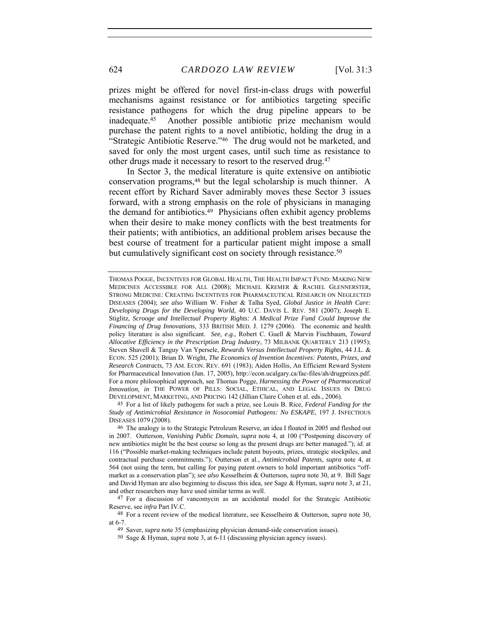prizes might be offered for novel first-in-class drugs with powerful mechanisms against resistance or for antibiotics targeting specific resistance pathogens for which the drug pipeline appears to be inadequate.45 Another possible antibiotic prize mechanism would purchase the patent rights to a novel antibiotic, holding the drug in a "Strategic Antibiotic Reserve."46 The drug would not be marketed, and saved for only the most urgent cases, until such time as resistance to other drugs made it necessary to resort to the reserved drug.47

In Sector 3, the medical literature is quite extensive on antibiotic conservation programs,<sup>48</sup> but the legal scholarship is much thinner. A recent effort by Richard Saver admirably moves these Sector 3 issues forward, with a strong emphasis on the role of physicians in managing the demand for antibiotics.49 Physicians often exhibit agency problems when their desire to make money conflicts with the best treatments for their patients; with antibiotics, an additional problem arises because the best course of treatment for a particular patient might impose a small but cumulatively significant cost on society through resistance.<sup>50</sup>

45 For a list of likely pathogens for such a prize, see Louis B. Rice, *Federal Funding for the Study of Antimicrobial Resistance in Nosocomial Pathogens: No ESKAPE*, 197 J. INFECTIOUS DISEASES 1079 (2008).

THOMAS POGGE, INCENTIVES FOR GLOBAL HEALTH, THE HEALTH IMPACT FUND: MAKING NEW MEDICINES ACCESSIBLE FOR ALL (2008); MICHAEL KREMER & RACHEL GLENNERSTER, STRONG MEDICINE: CREATING INCENTIVES FOR PHARMACEUTICAL RESEARCH ON NEGLECTED DISEASES (2004); *see also* William W. Fisher & Talha Syed, *Global Justice in Health Care: Developing Drugs for the Developing World*, 40 U.C. DAVIS L. REV. 581 (2007); Joseph E. Stiglitz, *Scrooge and Intellectual Property Rights: A Medical Prize Fund Could Improve the Financing of Drug Innovations*, 333 BRITISH MED. J. 1279 (2006). The economic and health policy literature is also significant. *See, e.g.*, Robert C. Guell & Marvin Fischbaum, *Toward Allocative Efficiency in the Prescription Drug Industry*, 73 MILBANK QUARTERLY 213 (1995); Steven Shavell & Tanguy Van Ypersele, *Rewards Versus Intellectual Property Rights*, 44 J.L. & ECON. 525 (2001); Brian D. Wright, *The Economics of Invention Incentives: Patents, Prizes, and Research Contracts*, 73 AM. ECON. REV. 691 (1983); Aiden Hollis, An Efficient Reward System for Pharmaceutical Innovation (Jan. 17, 2005), http://econ.ucalgary.ca/fac-files/ah/drugprizes.pdf. For a more philosophical approach, see Thomas Pogge, *Harnessing the Power of Pharmaceutical Innovation*, *in* THE POWER OF PILLS: SOCIAL, ETHICAL, AND LEGAL ISSUES IN DRUG DEVELOPMENT, MARKETING, AND PRICING 142 (Jillian Claire Cohen et al. eds., 2006).

<sup>46</sup> The analogy is to the Strategic Petroleum Reserve, an idea I floated in 2005 and fleshed out in 2007. Outterson, *Vanishing Public Domain*, *supra* note 4, at 100 ("Postponing discovery of new antibiotics might be the best course so long as the present drugs are better managed."); *id.* at 116 ("Possible market-making techniques include patent buyouts, prizes, strategic stockpiles, and contractual purchase commitments."); Outterson et al., *Antimicrobial Patents*, *supra* note 4, at 564 (not using the term, but calling for paying patent owners to hold important antibiotics "offmarket as a conservation plan"); *see also* Kesselheim & Outterson, *supra* note 30, at 9. Bill Sage and David Hyman are also beginning to discuss this idea, *see* Sage & Hyman, *supra* note 3, at 21, and other researchers may have used similar terms as well.

<sup>47</sup> For a discussion of vancomycin as an accidental model for the Strategic Antibiotic Reserve, see *infra* Part IV.C.

<sup>48</sup> For a recent review of the medical literature, see Kesselheim & Outterson, *supra* note 30, at 6-7.

<sup>49</sup> Saver, *supra* note 35 (emphasizing physician demand-side conservation issues).

<sup>50</sup> Sage & Hyman, *supra* note 3, at 6-11 (discussing physician agency issues).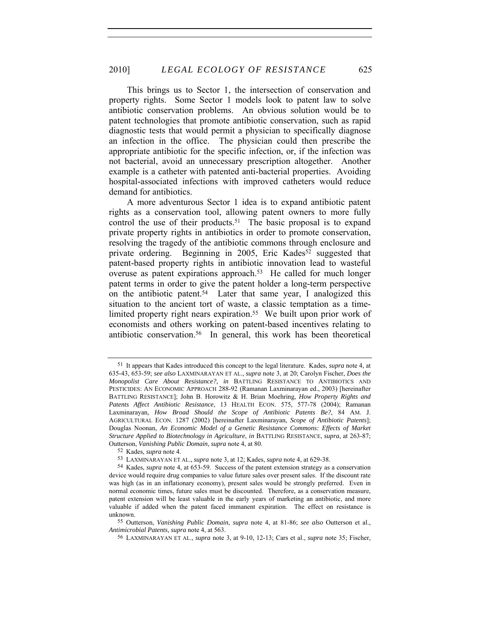This brings us to Sector 1, the intersection of conservation and property rights. Some Sector 1 models look to patent law to solve antibiotic conservation problems. An obvious solution would be to patent technologies that promote antibiotic conservation, such as rapid diagnostic tests that would permit a physician to specifically diagnose an infection in the office. The physician could then prescribe the appropriate antibiotic for the specific infection, or, if the infection was not bacterial, avoid an unnecessary prescription altogether. Another example is a catheter with patented anti-bacterial properties. Avoiding hospital-associated infections with improved catheters would reduce demand for antibiotics.

A more adventurous Sector 1 idea is to expand antibiotic patent rights as a conservation tool, allowing patent owners to more fully control the use of their products.<sup>51</sup> The basic proposal is to expand private property rights in antibiotics in order to promote conservation, resolving the tragedy of the antibiotic commons through enclosure and private ordering. Beginning in 2005, Eric Kades<sup>52</sup> suggested that patent-based property rights in antibiotic innovation lead to wasteful overuse as patent expirations approach.53 He called for much longer patent terms in order to give the patent holder a long-term perspective on the antibiotic patent.<sup>54</sup> Later that same year, I analogized this situation to the ancient tort of waste, a classic temptation as a timelimited property right nears expiration.<sup>55</sup> We built upon prior work of economists and others working on patent-based incentives relating to antibiotic conservation.56 In general, this work has been theoretical

<sup>51</sup> It appears that Kades introduced this concept to the legal literature. Kades, *supra* note 4, at 635-43, 653-59; *see also* LAXMINARAYAN ET AL., *supra* note 3, at 20; Carolyn Fischer, *Does the Monopolist Care About Resistance?*, *in* BATTLING RESISTANCE TO ANTIBIOTICS AND PESTICIDES: AN ECONOMIC APPROACH 288-92 (Ramanan Laxminarayan ed., 2003) [hereinafter BATTLING RESISTANCE]; John B. Horowitz & H. Brian Moehring, *How Property Rights and Patents Affect Antibiotic Resistance*, 13 HEALTH ECON. 575, 577-78 (2004); Ramanan Laxminarayan, *How Broad Should the Scope of Antibiotic Patents Be?*, 84 AM. J. AGRICULTURAL ECON. 1287 (2002) [hereinafter Laxminarayan, *Scope of Antibiotic Patents*]; Douglas Noonan, *An Economic Model of a Genetic Resistance Commons: Effects of Market Structure Applied to Biotechnology in Agriculture*, *in* BATTLING RESISTANCE, *supra*, at 263-87; Outterson, *Vanishing Public Domain*, *supra* note 4, at 80.

<sup>52</sup> Kades, *supra* note 4.

<sup>53</sup> LAXMINARAYAN ET AL., *supra* note 3, at 12; Kades, *supra* note 4, at 629-38.

<sup>54</sup> Kades, *supra* note 4, at 653-59. Success of the patent extension strategy as a conservation device would require drug companies to value future sales over present sales. If the discount rate was high (as in an inflationary economy), present sales would be strongly preferred. Even in normal economic times, future sales must be discounted. Therefore, as a conservation measure, patent extension will be least valuable in the early years of marketing an antibiotic, and more valuable if added when the patent faced immanent expiration. The effect on resistance is unknown.

<sup>55</sup> Outterson, *Vanishing Public Domain*, *supra* note 4, at 81-86; *see also* Outterson et al., *Antimicrobial Patents*, *supra* note 4, at 563.

<sup>56</sup> LAXMINARAYAN ET AL., *supra* note 3, at 9-10, 12-13; Cars et al., *supra* note 35; Fischer,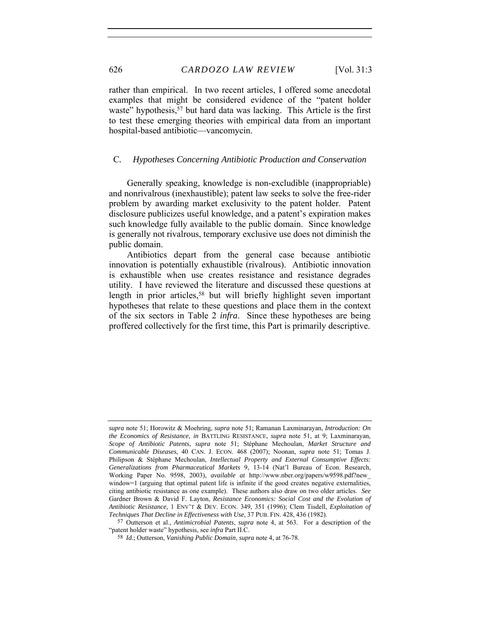rather than empirical. In two recent articles, I offered some anecdotal examples that might be considered evidence of the "patent holder waste" hypothesis,<sup>57</sup> but hard data was lacking. This Article is the first to test these emerging theories with empirical data from an important hospital-based antibiotic—vancomycin.

# C*. Hypotheses Concerning Antibiotic Production and Conservation*

Generally speaking, knowledge is non-excludible (inappropriable) and nonrivalrous (inexhaustible); patent law seeks to solve the free-rider problem by awarding market exclusivity to the patent holder. Patent disclosure publicizes useful knowledge, and a patent's expiration makes such knowledge fully available to the public domain. Since knowledge is generally not rivalrous, temporary exclusive use does not diminish the public domain.

Antibiotics depart from the general case because antibiotic innovation is potentially exhaustible (rivalrous). Antibiotic innovation is exhaustible when use creates resistance and resistance degrades utility. I have reviewed the literature and discussed these questions at length in prior articles,<sup>58</sup> but will briefly highlight seven important hypotheses that relate to these questions and place them in the context of the six sectors in Table 2 *infra*. Since these hypotheses are being proffered collectively for the first time, this Part is primarily descriptive.

*supra* note 51; Horowitz & Moehring, *supra* note 51; Ramanan Laxminarayan, *Introduction: On the Economics of Resistance*, *in* BATTLING RESISTANCE, *supra* note 51, at 9; Laxminarayan, *Scope of Antibiotic Patents*, *supra* note 51; Stéphane Mechoulan, *Market Structure and Communicable Diseases*, 40 CAN. J. ECON. 468 (2007); Noonan, *supra* note 51; Tomas J. Philipson & Stéphane Mechoulan, *Intellectual Property and External Consumptive Effects: Generalizations from Pharmaceutical Markets* 9, 13-14 (Nat'l Bureau of Econ. Research, Working Paper No. 9598, 2003), *available at* http://www.nber.org/papers/w9598.pdf?new\_ window=1 (arguing that optimal patent life is infinite if the good creates negative externalities, citing antibiotic resistance as one example). These authors also draw on two older articles. *See*  Gardner Brown & David F. Layton, *Resistance Economics: Social Cost and the Evolution of Antibiotic Resistance*, 1 ENV'T & DEV. ECON. 349, 351 (1996); Clem Tisdell, *Exploitation of Techniques That Decline in Effectiveness with Use*, 37 PUB. FIN. 428, 436 (1982).

<sup>57</sup> Outterson et al., *Antimicrobial Patents*, *supra* note 4, at 563. For a description of the "patent holder waste" hypothesis, see *infra* Part II.C.

<sup>58</sup> *Id.*; Outterson, *Vanishing Public Domain*, *supra* note 4, at 76-78.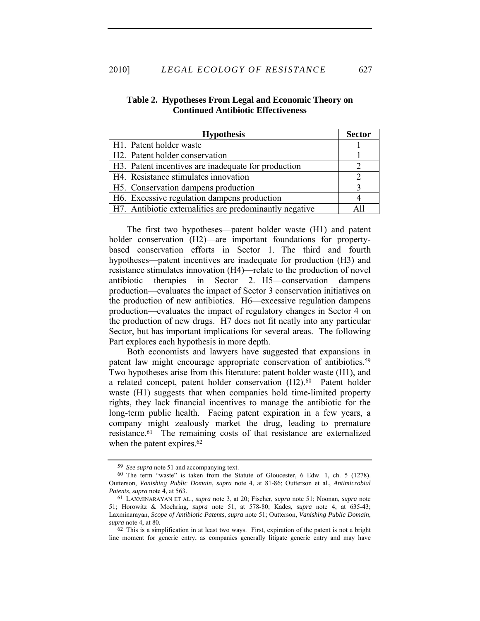### 2010] *LEGAL ECOLOGY OF RESISTANCE* 627

# **Table 2. Hypotheses From Legal and Economic Theory on Continued Antibiotic Effectiveness**

| <b>Hypothesis</b>                                       |  |
|---------------------------------------------------------|--|
| H1. Patent holder waste                                 |  |
| H <sub>2</sub> . Patent holder conservation             |  |
| H3. Patent incentives are inadequate for production     |  |
| H4. Resistance stimulates innovation                    |  |
| H5. Conservation dampens production                     |  |
| H6. Excessive regulation dampens production             |  |
| H7. Antibiotic externalities are predominantly negative |  |

The first two hypotheses—patent holder waste (H1) and patent holder conservation (H2)—are important foundations for propertybased conservation efforts in Sector 1. The third and fourth hypotheses—patent incentives are inadequate for production (H3) and resistance stimulates innovation (H4)—relate to the production of novel antibiotic therapies in Sector 2. H5—conservation dampens production—evaluates the impact of Sector 3 conservation initiatives on the production of new antibiotics. H6—excessive regulation dampens production—evaluates the impact of regulatory changes in Sector 4 on the production of new drugs. H7 does not fit neatly into any particular Sector, but has important implications for several areas. The following Part explores each hypothesis in more depth.

Both economists and lawyers have suggested that expansions in patent law might encourage appropriate conservation of antibiotics.59 Two hypotheses arise from this literature: patent holder waste (H1), and a related concept, patent holder conservation (H2).<sup>60</sup> Patent holder waste (H1) suggests that when companies hold time-limited property rights, they lack financial incentives to manage the antibiotic for the long-term public health. Facing patent expiration in a few years, a company might zealously market the drug, leading to premature resistance.61 The remaining costs of that resistance are externalized when the patent expires.<sup>62</sup>

<sup>59</sup> *See supra* note 51 and accompanying text.

<sup>60</sup> The term "waste" is taken from the Statute of Gloucester, 6 Edw. 1, ch. 5 (1278). Outterson, *Vanishing Public Domain*, *supra* note 4, at 81-86; Outterson et al., *Antimicrobial Patents*, *supra* note 4, at 563.

<sup>61</sup> LAXMINARAYAN ET AL., *supra* note 3, at 20; Fischer, *supra* note 51; Noonan, *supra* note 51; Horowitz & Moehring, *supra* note 51, at 578-80; Kades, *supra* note 4, at 635-43; Laxminarayan, *Scope of Antibiotic Patents*, *supra* note 51; Outterson, *Vanishing Public Domain*, *supra* note 4, at 80.

 $62$  This is a simplification in at least two ways. First, expiration of the patent is not a bright line moment for generic entry, as companies generally litigate generic entry and may have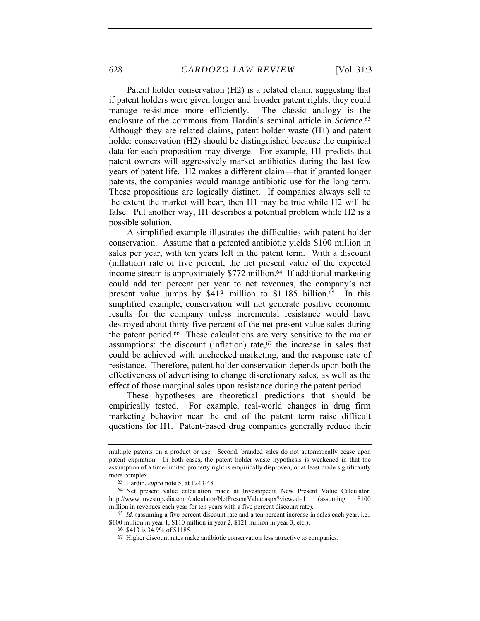Patent holder conservation (H2) is a related claim, suggesting that if patent holders were given longer and broader patent rights, they could manage resistance more efficiently. The classic analogy is the enclosure of the commons from Hardin's seminal article in *Science*. 63 Although they are related claims, patent holder waste (H1) and patent holder conservation (H2) should be distinguished because the empirical data for each proposition may diverge. For example, H1 predicts that patent owners will aggressively market antibiotics during the last few years of patent life. H2 makes a different claim—that if granted longer patents, the companies would manage antibiotic use for the long term. These propositions are logically distinct. If companies always sell to the extent the market will bear, then H1 may be true while H2 will be false. Put another way, H1 describes a potential problem while H2 is a possible solution.

A simplified example illustrates the difficulties with patent holder conservation. Assume that a patented antibiotic yields \$100 million in sales per year, with ten years left in the patent term. With a discount (inflation) rate of five percent, the net present value of the expected income stream is approximately \$772 million.<sup>64</sup> If additional marketing could add ten percent per year to net revenues, the company's net present value jumps by \$413 million to \$1.185 billion.<sup>65</sup> In this simplified example, conservation will not generate positive economic results for the company unless incremental resistance would have destroyed about thirty-five percent of the net present value sales during the patent period.66 These calculations are very sensitive to the major assumptions: the discount (inflation) rate, $67$  the increase in sales that could be achieved with unchecked marketing, and the response rate of resistance. Therefore, patent holder conservation depends upon both the effectiveness of advertising to change discretionary sales, as well as the effect of those marginal sales upon resistance during the patent period.

These hypotheses are theoretical predictions that should be empirically tested. For example, real-world changes in drug firm marketing behavior near the end of the patent term raise difficult questions for H1. Patent-based drug companies generally reduce their

multiple patents on a product or use. Second, branded sales do not automatically cease upon patent expiration. In both cases, the patent holder waste hypothesis is weakened in that the assumption of a time-limited property right is empirically disproven, or at least made significantly more complex.

<sup>63</sup> Hardin, *supra* note 5, at 1243-48.

<sup>64</sup> Net present value calculation made at Investopedia New Present Value Calculator, http://www.investopedia.com/calculator/NetPresentValue.aspx?viewed=1 (assuming \$100) million in revenues each year for ten years with a five percent discount rate).

<sup>65</sup> *Id.* (assuming a five percent discount rate and a ten percent increase in sales each year, i.e., \$100 million in year 1, \$110 million in year 2, \$121 million in year 3, etc.).

<sup>66</sup> \$413 is 34.9% of \$1185.

<sup>67</sup> Higher discount rates make antibiotic conservation less attractive to companies.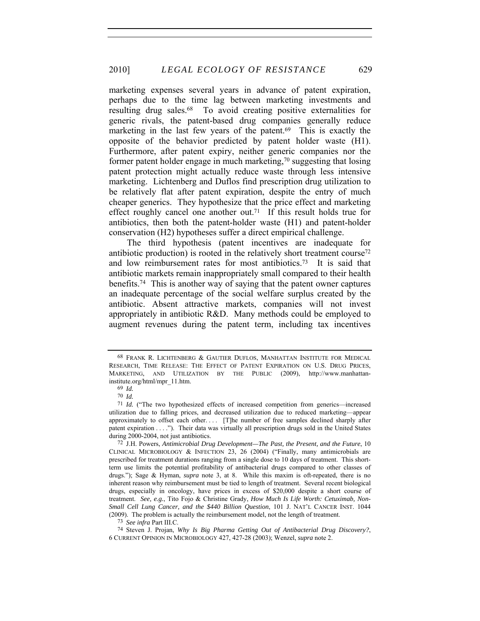marketing expenses several years in advance of patent expiration, perhaps due to the time lag between marketing investments and resulting drug sales.68 To avoid creating positive externalities for generic rivals, the patent-based drug companies generally reduce marketing in the last few years of the patent.<sup>69</sup> This is exactly the opposite of the behavior predicted by patent holder waste (H1). Furthermore, after patent expiry, neither generic companies nor the former patent holder engage in much marketing,<sup>70</sup> suggesting that losing patent protection might actually reduce waste through less intensive marketing. Lichtenberg and Duflos find prescription drug utilization to be relatively flat after patent expiration, despite the entry of much cheaper generics. They hypothesize that the price effect and marketing effect roughly cancel one another out.<sup>71</sup> If this result holds true for antibiotics, then both the patent-holder waste (H1) and patent-holder conservation (H2) hypotheses suffer a direct empirical challenge.

The third hypothesis (patent incentives are inadequate for antibiotic production) is rooted in the relatively short treatment course<sup>72</sup> and low reimbursement rates for most antibiotics.73 It is said that antibiotic markets remain inappropriately small compared to their health benefits.74 This is another way of saying that the patent owner captures an inadequate percentage of the social welfare surplus created by the antibiotic. Absent attractive markets, companies will not invest appropriately in antibiotic R&D. Many methods could be employed to augment revenues during the patent term, including tax incentives

<sup>68</sup> FRANK R. LICHTENBERG & GAUTIER DUFLOS, MANHATTAN INSTITUTE FOR MEDICAL RESEARCH, TIME RELEASE: THE EFFECT OF PATENT EXPIRATION ON U.S. DRUG PRICES, MARKETING, AND UTILIZATION BY THE PUBLIC (2009), http://www.manhattaninstitute.org/html/mpr\_11.htm.

<sup>69</sup> *Id.*

<sup>70</sup> *Id.*

<sup>71</sup> *Id.* ("The two hypothesized effects of increased competition from generics—increased utilization due to falling prices, and decreased utilization due to reduced marketing—appear approximately to offset each other.... [T]he number of free samples declined sharply after patent expiration . . . ."). Their data was virtually all prescription drugs sold in the United States during 2000-2004, not just antibiotics.

<sup>72</sup> J.H. Powers, *Antimicrobial Drug Development—The Past, the Present, and the Future*, 10 CLINICAL MICROBIOLOGY & INFECTION 23, 26 (2004) ("Finally, many antimicrobials are prescribed for treatment durations ranging from a single dose to 10 days of treatment. This shortterm use limits the potential profitability of antibacterial drugs compared to other classes of drugs."); Sage & Hyman, *supra* note 3, at 8. While this maxim is oft-repeated, there is no inherent reason why reimbursement must be tied to length of treatment. Several recent biological drugs, especially in oncology, have prices in excess of \$20,000 despite a short course of treatment. *See, e.g.*, Tito Fojo & Christine Grady, *How Much Is Life Worth: Cetuximab, Non-Small Cell Lung Cancer, and the \$440 Billion Question*, 101 J. NAT'L CANCER INST. 1044 (2009). The problem is actually the reimbursement model, not the length of treatment.

<sup>73</sup> *See infra* Part III.C.

<sup>74</sup> Steven J. Projan, *Why Is Big Pharma Getting Out of Antibacterial Drug Discovery?*, 6 CURRENT OPINION IN MICROBIOLOGY 427, 427-28 (2003); Wenzel, *supra* note 2.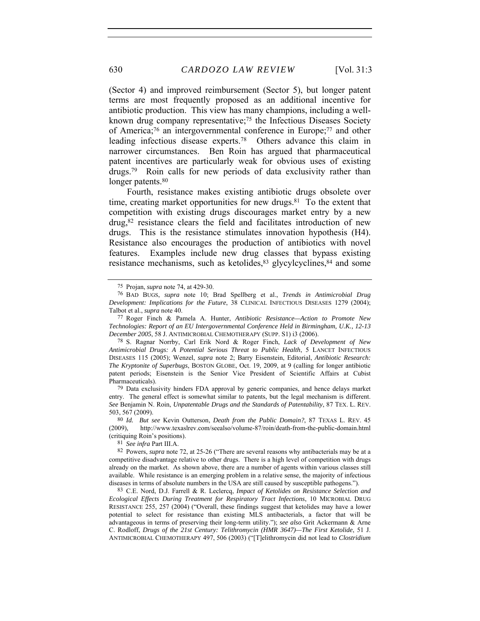(Sector 4) and improved reimbursement (Sector 5), but longer patent terms are most frequently proposed as an additional incentive for antibiotic production. This view has many champions, including a wellknown drug company representative;<sup>75</sup> the Infectious Diseases Society of America;76 an intergovernmental conference in Europe;77 and other leading infectious disease experts.78 Others advance this claim in narrower circumstances. Ben Roin has argued that pharmaceutical patent incentives are particularly weak for obvious uses of existing drugs.79 Roin calls for new periods of data exclusivity rather than longer patents.<sup>80</sup>

Fourth, resistance makes existing antibiotic drugs obsolete over time, creating market opportunities for new drugs. $81$  To the extent that competition with existing drugs discourages market entry by a new drug,82 resistance clears the field and facilitates introduction of new drugs. This is the resistance stimulates innovation hypothesis (H4). Resistance also encourages the production of antibiotics with novel features. Examples include new drug classes that bypass existing resistance mechanisms, such as ketolides, <sup>83</sup> glycylcyclines, <sup>84</sup> and some

79 Data exclusivity hinders FDA approval by generic companies, and hence delays market entry. The general effect is somewhat similar to patents, but the legal mechanism is different. *See* Benjamin N. Roin, *Unpatentable Drugs and the Standards of Patentability*, 87 TEX. L. REV. 503, 567 (2009).

80 *Id. But see* Kevin Outterson, *Death from the Public Domain?*, 87 TEXAS L. REV. 45 (2009), http://www.texaslrev.com/seealso/volume-87/roin/death-from-the-public-domain.html (critiquing Roin's positions).

81 *See infra* Part III.A.

82 Powers, *supra* note 72, at 25-26 ("There are several reasons why antibacterials may be at a competitive disadvantage relative to other drugs. There is a high level of competition with drugs already on the market. As shown above, there are a number of agents within various classes still available. While resistance is an emerging problem in a relative sense, the majority of infectious diseases in terms of absolute numbers in the USA are still caused by susceptible pathogens.").

83 C.E. Nord, D.J. Farrell & R. Leclercq, *Impact of Ketolides on Resistance Selection and Ecological Effects During Treatment for Respiratory Tract Infections*, 10 MICROBIAL DRUG RESISTANCE 255, 257 (2004) ("Overall, these findings suggest that ketolides may have a lower potential to select for resistance than existing MLS antibacterials, a factor that will be advantageous in terms of preserving their long-term utility."); *see also* Grit Ackermann & Arne C. Rodloff, *Drugs of the 21st Century: Telithromycin (HMR 3647)—The First Ketolide*, 51 J. ANTIMICROBIAL CHEMOTHERAPY 497, 506 (2003) ("[T]elithromycin did not lead to *Clostridium* 

<sup>75</sup> Projan, *supra* note 74, at 429-30.

<sup>76</sup> BAD BUGS, *supra* note 10; Brad Spellberg et al., *Trends in Antimicrobial Drug Development: Implications for the Future*, 38 CLINICAL INFECTIOUS DISEASES 1279 (2004); Talbot et al., *supra* note 40.

<sup>77</sup> Roger Finch & Pamela A. Hunter, *Antibiotic Resistance—Action to Promote New Technologies: Report of an EU Intergovernmental Conference Held in Birmingham, U.K., 12-13 December 2005*, 58 J. ANTIMICROBIAL CHEMOTHERAPY (SUPP. S1) i3 (2006).

<sup>78</sup> S. Ragnar Norrby, Carl Erik Nord & Roger Finch, *Lack of Development of New Antimicrobial Drugs: A Potential Serious Threat to Public Health*, 5 LANCET INFECTIOUS DISEASES 115 (2005); Wenzel, *supra* note 2; Barry Eisenstein, Editorial, *Antibiotic Research: The Kryptonite of Superbugs*, BOSTON GLOBE, Oct. 19, 2009, at 9 (calling for longer antibiotic patent periods; Eisenstein is the Senior Vice President of Scientific Affairs at Cubist Pharmaceuticals).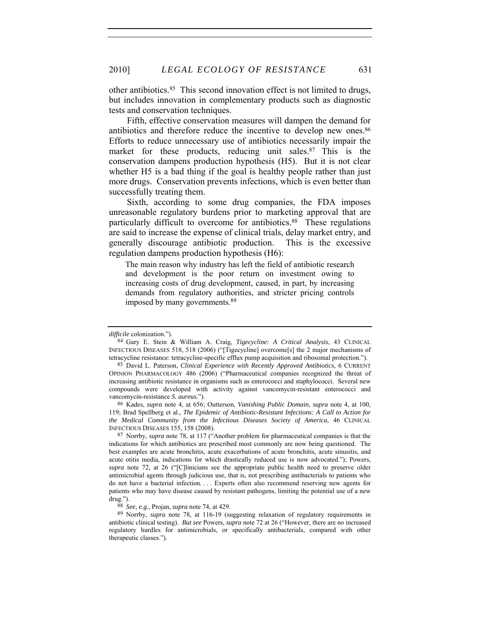other antibiotics.85 This second innovation effect is not limited to drugs, but includes innovation in complementary products such as diagnostic tests and conservation techniques.

Fifth, effective conservation measures will dampen the demand for antibiotics and therefore reduce the incentive to develop new ones.<sup>86</sup> Efforts to reduce unnecessary use of antibiotics necessarily impair the market for these products, reducing unit sales.<sup>87</sup> This is the conservation dampens production hypothesis (H5). But it is not clear whether H5 is a bad thing if the goal is healthy people rather than just more drugs. Conservation prevents infections, which is even better than successfully treating them.

Sixth, according to some drug companies, the FDA imposes unreasonable regulatory burdens prior to marketing approval that are particularly difficult to overcome for antibiotics.88 These regulations are said to increase the expense of clinical trials, delay market entry, and generally discourage antibiotic production. This is the excessive regulation dampens production hypothesis (H6):

The main reason why industry has left the field of antibiotic research and development is the poor return on investment owing to increasing costs of drug development, caused, in part, by increasing demands from regulatory authorities, and stricter pricing controls imposed by many governments.89

88 *See, e.g.*, Projan, *supra* note 74, at 429.

*difficile* colonization.").

<sup>84</sup> Gary E. Stein & William A. Craig, *Tigecycline: A Critical Analysis*, 43 CLINICAL INFECTIOUS DISEASES 518, 518 (2006) ("[Tigecycline] overcome[s] the 2 major mechanisms of tetracycline resistance: tetracycline-specific efflux pump acquisition and ribosomal protection.").

<sup>85</sup> David L. Paterson, *Clinical Experience with Recently Approved Antibiotics*, 6 CURRENT OPINION PHARMACOLOGY 486 (2006) ("Pharmaceutical companies recognized the threat of increasing antibiotic resistance in organisms such as enterococci and staphylococci. Several new compounds were developed with activity against vancomycin-resistant enterococci and vancomycin-resistance *S. aureus.*").

<sup>86</sup> Kades, *supra* note 4, at 656; Outterson, *Vanishing Public Domain*, *supra* note 4, at 100, 119; Brad Spellberg et al., *The Epidemic of Antibiotic-Resistant Infections: A Call to Action for the Medical Community from the Infectious Diseases Society of America*, 46 CLINICAL INFECTIOUS DISEASES 155, 158 (2008).

<sup>87</sup> Norrby, *supra* note 78, at 117 ("Another problem for pharmaceutical companies is that the indications for which antibiotics are prescribed most commonly are now being questioned. The best examples are acute bronchitis, acute exacerbations of acute bronchitis, acute sinusitis, and acute otitis media, indications for which drastically reduced use is now advocated."); Powers, *supra* note 72, at 26 ("[C]linicians see the appropriate public health need to preserve older antimicrobial agents through judicious use, that is, not prescribing antibacterials to patients who do not have a bacterial infection. . . . Experts often also recommend reserving new agents for patients who may have disease caused by resistant pathogens, limiting the potential use of a new drug.").

<sup>89</sup> Norrby, *supra* note 78, at 116-19 (suggesting relaxation of regulatory requirements in antibiotic clinical testing). *But see* Powers, *supra* note 72 at 26 ("However, there are no increased regulatory hurdles for antimicrobials, or specifically antibacterials, compared with other therapeutic classes.").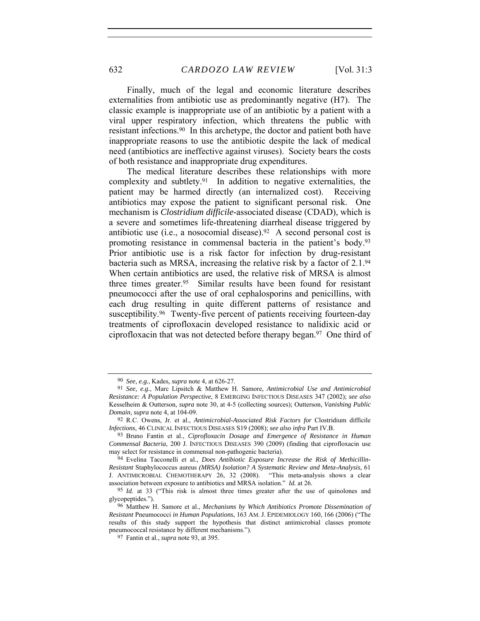Finally, much of the legal and economic literature describes externalities from antibiotic use as predominantly negative (H7). The classic example is inappropriate use of an antibiotic by a patient with a viral upper respiratory infection, which threatens the public with resistant infections.90 In this archetype, the doctor and patient both have inappropriate reasons to use the antibiotic despite the lack of medical need (antibiotics are ineffective against viruses). Society bears the costs of both resistance and inappropriate drug expenditures.

The medical literature describes these relationships with more complexity and subtlety.91 In addition to negative externalities, the patient may be harmed directly (an internalized cost). Receiving antibiotics may expose the patient to significant personal risk. One mechanism is *Clostridium difficile*-associated disease (CDAD), which is a severe and sometimes life-threatening diarrheal disease triggered by antibiotic use (i.e., a nosocomial disease).<sup>92</sup> A second personal cost is promoting resistance in commensal bacteria in the patient's body.93 Prior antibiotic use is a risk factor for infection by drug-resistant bacteria such as MRSA, increasing the relative risk by a factor of 2.1.94 When certain antibiotics are used, the relative risk of MRSA is almost three times greater.95 Similar results have been found for resistant pneumococci after the use of oral cephalosporins and penicillins, with each drug resulting in quite different patterns of resistance and susceptibility.96 Twenty-five percent of patients receiving fourteen-day treatments of ciprofloxacin developed resistance to nalidixic acid or ciprofloxacin that was not detected before therapy began.97 One third of

<sup>90</sup> *See, e.g.*, Kades, *supra* note 4, at 626-27.

<sup>91</sup> *See, e.g.*, Marc Lipsitch & Matthew H. Samore, *Antimicrobial Use and Antimicrobial Resistance: A Population Perspective*, 8 EMERGING INFECTIOUS DISEASES 347 (2002); *see also*  Kesselheim & Outterson, *supra* note 30, at 4-5 (collecting sources); Outterson, *Vanishing Public Domain*, *supra* note 4, at 104-09.

<sup>92</sup> R.C. Owens, Jr. et al., *Antimicrobial-Associated Risk Factors for* Clostridium difficile *Infections*, 46 CLINICAL INFECTIOUS DISEASES S19 (2008); *see also infra* Part IV.B.

<sup>93</sup> Bruno Fantin et al., *Ciprofloxacin Dosage and Emergence of Resistance in Human Commensal Bacteria*, 200 J. INFECTIOUS DISEASES 390 (2009) (finding that ciprofloxacin use may select for resistance in commensal non-pathogenic bacteria).

<sup>94</sup> Evelina Tacconelli et al., *Does Antibiotic Exposure Increase the Risk of Methicillin-Resistant* Staphylococcus aureus *(MRSA) Isolation? A Systematic Review and Meta-Analysis*, 61 J. ANTIMICROBIAL CHEMOTHERAPY 26, 32 (2008). association between exposure to antibiotics and MRSA isolation." *Id.* at 26.

<sup>95</sup> *Id.* at 33 ("This risk is almost three times greater after the use of quinolones and glycopeptides.").

<sup>96</sup> Matthew H. Samore et al., *Mechanisms by Which Antibiotics Promote Dissemination of Resistant* Pneumococci *in Human Populations*, 163 AM. J. EPIDEMIOLOGY 160, 166 (2006) ("The results of this study support the hypothesis that distinct antimicrobial classes promote pneumococcal resistance by different mechanisms.").

<sup>97</sup> Fantin et al., *supra* note 93, at 395.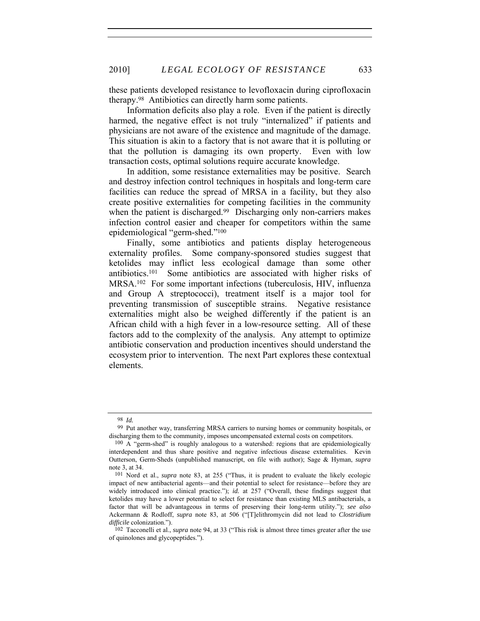these patients developed resistance to levofloxacin during ciprofloxacin therapy.98 Antibiotics can directly harm some patients.

Information deficits also play a role. Even if the patient is directly harmed, the negative effect is not truly "internalized" if patients and physicians are not aware of the existence and magnitude of the damage. This situation is akin to a factory that is not aware that it is polluting or that the pollution is damaging its own property. Even with low transaction costs, optimal solutions require accurate knowledge.

In addition, some resistance externalities may be positive. Search and destroy infection control techniques in hospitals and long-term care facilities can reduce the spread of MRSA in a facility, but they also create positive externalities for competing facilities in the community when the patient is discharged.<sup>99</sup> Discharging only non-carriers makes infection control easier and cheaper for competitors within the same epidemiological "germ-shed."100

Finally, some antibiotics and patients display heterogeneous externality profiles. Some company-sponsored studies suggest that ketolides may inflict less ecological damage than some other antibiotics.101 Some antibiotics are associated with higher risks of MRSA.102 For some important infections (tuberculosis, HIV, influenza and Group A streptococci), treatment itself is a major tool for preventing transmission of susceptible strains. Negative resistance externalities might also be weighed differently if the patient is an African child with a high fever in a low-resource setting. All of these factors add to the complexity of the analysis. Any attempt to optimize antibiotic conservation and production incentives should understand the ecosystem prior to intervention. The next Part explores these contextual elements.

<sup>98</sup> *Id.*

<sup>99</sup> Put another way, transferring MRSA carriers to nursing homes or community hospitals, or discharging them to the community, imposes uncompensated external costs on competitors.

<sup>100</sup> A "germ-shed" is roughly analogous to a watershed: regions that are epidemiologically interdependent and thus share positive and negative infectious disease externalities. Kevin Outterson, Germ-Sheds (unpublished manuscript, on file with author); Sage & Hyman, *supra*  note 3, at 34.

<sup>101</sup> Nord et al., *supra* note 83, at 255 ("Thus, it is prudent to evaluate the likely ecologic impact of new antibacterial agents—and their potential to select for resistance—before they are widely introduced into clinical practice."); *id.* at 257 ("Overall, these findings suggest that ketolides may have a lower potential to select for resistance than existing MLS antibacterials, a factor that will be advantageous in terms of preserving their long-term utility."); *see also* Ackermann & Rodloff, *supra* note 83, at 506 ("[T]elithromycin did not lead to *Clostridium difficile* colonization.").

<sup>102</sup> Tacconelli et al., *supra* note 94, at 33 ("This risk is almost three times greater after the use of quinolones and glycopeptides.").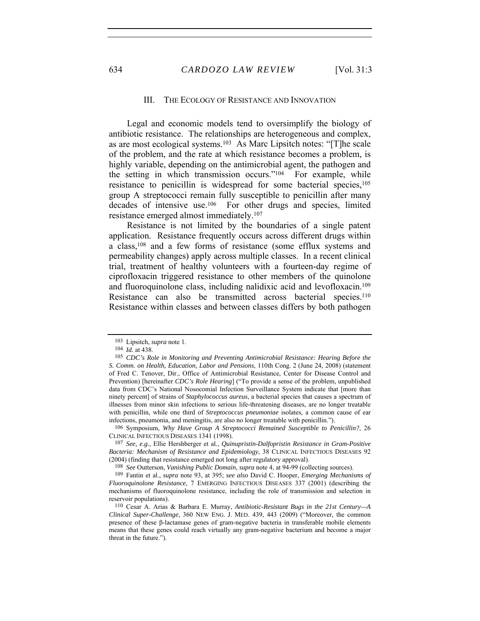#### III. THE ECOLOGY OF RESISTANCE AND INNOVATION

Legal and economic models tend to oversimplify the biology of antibiotic resistance. The relationships are heterogeneous and complex, as are most ecological systems.103 As Marc Lipsitch notes: "[T]he scale of the problem, and the rate at which resistance becomes a problem, is highly variable, depending on the antimicrobial agent, the pathogen and the setting in which transmission occurs."104 For example, while resistance to penicillin is widespread for some bacterial species,<sup>105</sup> group A streptococci remain fully susceptible to penicillin after many decades of intensive use.106 For other drugs and species, limited resistance emerged almost immediately.107

Resistance is not limited by the boundaries of a single patent application. Resistance frequently occurs across different drugs within a class,108 and a few forms of resistance (some efflux systems and permeability changes) apply across multiple classes. In a recent clinical trial, treatment of healthy volunteers with a fourteen-day regime of ciprofloxacin triggered resistance to other members of the quinolone and fluoroquinolone class, including nalidixic acid and levofloxacin.109 Resistance can also be transmitted across bacterial species.<sup>110</sup> Resistance within classes and between classes differs by both pathogen

<sup>103</sup> Lipsitch, *supra* note 1.

<sup>104</sup> *Id.* at 438.

<sup>105</sup> *CDC's Role in Monitoring and Preventing Antimicrobial Resistance: Hearing Before the S. Comm. on Health, Education, Labor and Pensions*, 110th Cong. 2 (June 24, 2008) (statement of Fred C. Tenover, Dir., Office of Antimicrobial Resistance, Center for Disease Control and Prevention) [hereinafter *CDC's Role Hearing*] ("To provide a sense of the problem, unpublished data from CDC's National Nosocomial Infection Surveillance System indicate that [more than ninety percent] of strains of *Staphylococcus aureus*, a bacterial species that causes a spectrum of illnesses from minor skin infections to serious life-threatening diseases, are no longer treatable with penicillin, while one third of *Streptococcus pneumoniae* isolates, a common cause of ear infections, pneumonia, and meningitis, are also no longer treatable with penicillin.").

<sup>106</sup> Symposium, *Why Have Group A Streptococci Remained Susceptible to Penicillin?*, 26 CLINICAL INFECTIOUS DISEASES 1341 (1998).

<sup>107</sup> *See, e.g.*, Ellie Hershberger et al., *Quinupristin-Dalfopristin Resistance in Gram-Positive Bacteria: Mechanism of Resistance and Epidemiology*, 38 CLINICAL INFECTIOUS DISEASES 92 (2004) (finding that resistance emerged not long after regulatory approval).

<sup>108</sup> *See* Outterson, *Vanishing Public Domain*, *supra* note 4, at 94-99 (collecting sources).

<sup>109</sup> Fantin et al., *supra* note 93, at 395; *see also* David C. Hooper, *Emerging Mechanisms of Fluoroquinolone Resistance*, 7 EMERGING INFECTIOUS DISEASES 337 (2001) (describing the mechanisms of fluoroquinolone resistance, including the role of transmission and selection in reservoir populations).

<sup>110</sup> Cesar A. Arias & Barbara E. Murray, *Antibiotic-Resistant Bugs in the 21st Century—A Clinical Super-Challenge*, 360 NEW ENG. J. MED. 439, 443 (2009) ("Moreover, the common presence of these β-lactamase genes of gram-negative bacteria in transferable mobile elements means that these genes could reach virtually any gram-negative bacterium and become a major threat in the future.").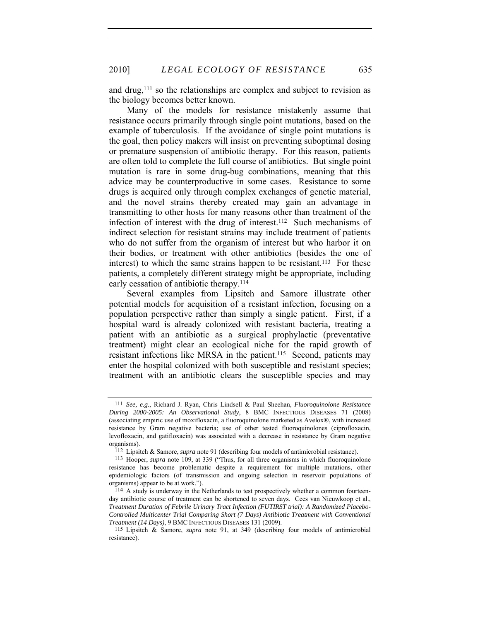and drug,111 so the relationships are complex and subject to revision as the biology becomes better known.

Many of the models for resistance mistakenly assume that resistance occurs primarily through single point mutations, based on the example of tuberculosis. If the avoidance of single point mutations is the goal, then policy makers will insist on preventing suboptimal dosing or premature suspension of antibiotic therapy. For this reason, patients are often told to complete the full course of antibiotics. But single point mutation is rare in some drug-bug combinations, meaning that this advice may be counterproductive in some cases. Resistance to some drugs is acquired only through complex exchanges of genetic material, and the novel strains thereby created may gain an advantage in transmitting to other hosts for many reasons other than treatment of the infection of interest with the drug of interest.112 Such mechanisms of indirect selection for resistant strains may include treatment of patients who do not suffer from the organism of interest but who harbor it on their bodies, or treatment with other antibiotics (besides the one of interest) to which the same strains happen to be resistant.<sup>113</sup> For these patients, a completely different strategy might be appropriate, including early cessation of antibiotic therapy.<sup>114</sup>

Several examples from Lipsitch and Samore illustrate other potential models for acquisition of a resistant infection, focusing on a population perspective rather than simply a single patient. First, if a hospital ward is already colonized with resistant bacteria, treating a patient with an antibiotic as a surgical prophylactic (preventative treatment) might clear an ecological niche for the rapid growth of resistant infections like MRSA in the patient.115 Second, patients may enter the hospital colonized with both susceptible and resistant species; treatment with an antibiotic clears the susceptible species and may

<sup>111</sup> *See, e.g.*, Richard J. Ryan, Chris Lindsell & Paul Sheehan, *Fluoroquinolone Resistance During 2000-2005: An Observational Study*, 8 BMC INFECTIOUS DISEASES 71 (2008) (associating empiric use of moxifloxacin, a fluoroquinolone marketed as Avelox®, with increased resistance by Gram negative bacteria; use of other tested fluoroquinolones (ciprofloxacin, levofloxacin, and gatifloxacin) was associated with a decrease in resistance by Gram negative organisms).

<sup>112</sup> Lipsitch & Samore, *supra* note 91 (describing four models of antimicrobial resistance).

<sup>113</sup> Hooper, *supra* note 109, at 339 ("Thus, for all three organisms in which fluoroquinolone resistance has become problematic despite a requirement for multiple mutations, other epidemiologic factors (of transmission and ongoing selection in reservoir populations of organisms) appear to be at work.").

<sup>114</sup> A study is underway in the Netherlands to test prospectively whether a common fourteenday antibiotic course of treatment can be shortened to seven days. Cees van Nieuwkoop et al., *Treatment Duration of Febrile Urinary Tract Infection (FUTIRST trial): A Randomized Placebo-Controlled Multicenter Trial Comparing Short (7 Days) Antibiotic Treatment with Conventional Treatment (14 Days)*, 9 BMC INFECTIOUS DISEASES 131 (2009).

<sup>115</sup> Lipsitch & Samore, *supra* note 91, at 349 (describing four models of antimicrobial resistance).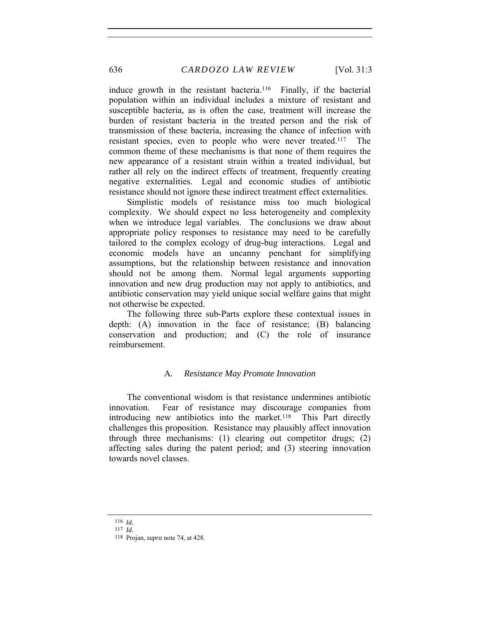induce growth in the resistant bacteria.<sup>116</sup> Finally, if the bacterial population within an individual includes a mixture of resistant and susceptible bacteria, as is often the case, treatment will increase the burden of resistant bacteria in the treated person and the risk of transmission of these bacteria, increasing the chance of infection with resistant species, even to people who were never treated.117 The common theme of these mechanisms is that none of them requires the new appearance of a resistant strain within a treated individual, but rather all rely on the indirect effects of treatment, frequently creating negative externalities. Legal and economic studies of antibiotic resistance should not ignore these indirect treatment effect externalities.

Simplistic models of resistance miss too much biological complexity. We should expect no less heterogeneity and complexity when we introduce legal variables. The conclusions we draw about appropriate policy responses to resistance may need to be carefully tailored to the complex ecology of drug-bug interactions. Legal and economic models have an uncanny penchant for simplifying assumptions, but the relationship between resistance and innovation should not be among them. Normal legal arguments supporting innovation and new drug production may not apply to antibiotics, and antibiotic conservation may yield unique social welfare gains that might not otherwise be expected.

The following three sub-Parts explore these contextual issues in depth: (A) innovation in the face of resistance; (B) balancing conservation and production; and (C) the role of insurance reimbursement.

#### A*. Resistance May Promote Innovation*

The conventional wisdom is that resistance undermines antibiotic innovation. Fear of resistance may discourage companies from introducing new antibiotics into the market.<sup>118</sup> This Part directly challenges this proposition. Resistance may plausibly affect innovation through three mechanisms: (1) clearing out competitor drugs; (2) affecting sales during the patent period; and (3) steering innovation towards novel classes.

<sup>116</sup> *Id.*

<sup>117</sup> *Id.*

<sup>118</sup> Projan, *supra* note 74, at 428.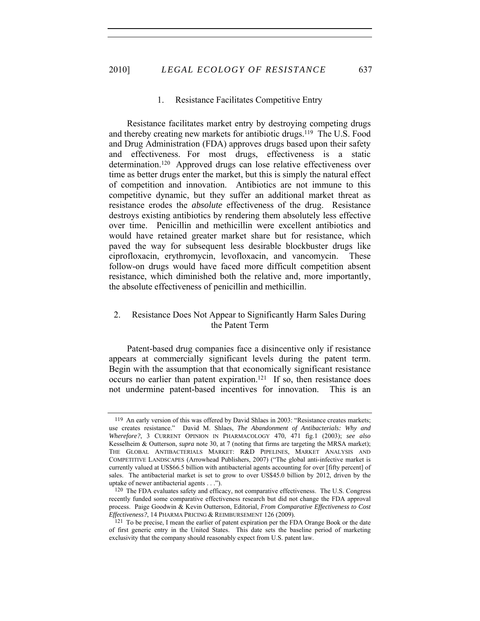#### 1. Resistance Facilitates Competitive Entry

Resistance facilitates market entry by destroying competing drugs and thereby creating new markets for antibiotic drugs.119 The U.S. Food and Drug Administration (FDA) approves drugs based upon their safety and effectiveness. For most drugs, effectiveness is a static determination.120 Approved drugs can lose relative effectiveness over time as better drugs enter the market, but this is simply the natural effect of competition and innovation. Antibiotics are not immune to this competitive dynamic, but they suffer an additional market threat as resistance erodes the *absolute* effectiveness of the drug. Resistance destroys existing antibiotics by rendering them absolutely less effective over time. Penicillin and methicillin were excellent antibiotics and would have retained greater market share but for resistance, which paved the way for subsequent less desirable blockbuster drugs like ciprofloxacin, erythromycin, levofloxacin, and vancomycin. These follow-on drugs would have faced more difficult competition absent resistance, which diminished both the relative and, more importantly, the absolute effectiveness of penicillin and methicillin.

# 2. Resistance Does Not Appear to Significantly Harm Sales During the Patent Term

Patent-based drug companies face a disincentive only if resistance appears at commercially significant levels during the patent term. Begin with the assumption that that economically significant resistance occurs no earlier than patent expiration.121 If so, then resistance does not undermine patent-based incentives for innovation. This is an

<sup>119</sup> An early version of this was offered by David Shlaes in 2003: "Resistance creates markets; use creates resistance." David M. Shlaes, *The Abandonment of Antibacterials: Why and Wherefore?*, 3 CURRENT OPINION IN PHARMACOLOGY 470, 471 fig.1 (2003); *see also* Kesselheim & Outterson, *supra* note 30, at 7 (noting that firms are targeting the MRSA market); THE GLOBAL ANTIBACTERIALS MARKET: R&D PIPELINES, MARKET ANALYSIS AND COMPETITIVE LANDSCAPES (Arrowhead Publishers, 2007) ("The global anti-infective market is currently valued at US\$66.5 billion with antibacterial agents accounting for over [fifty percent] of sales. The antibacterial market is set to grow to over US\$45.0 billion by 2012, driven by the uptake of newer antibacterial agents . . .").

<sup>120</sup> The FDA evaluates safety and efficacy, not comparative effectiveness. The U.S. Congress recently funded some comparative effectiveness research but did not change the FDA approval process. Paige Goodwin & Kevin Outterson, Editorial, *From Comparative Effectiveness to Cost Effectiveness?*, 14 PHARMA PRICING & REIMBURSEMENT 126 (2009).

<sup>121</sup> To be precise, I mean the earlier of patent expiration per the FDA Orange Book or the date of first generic entry in the United States. This date sets the baseline period of marketing exclusivity that the company should reasonably expect from U.S. patent law.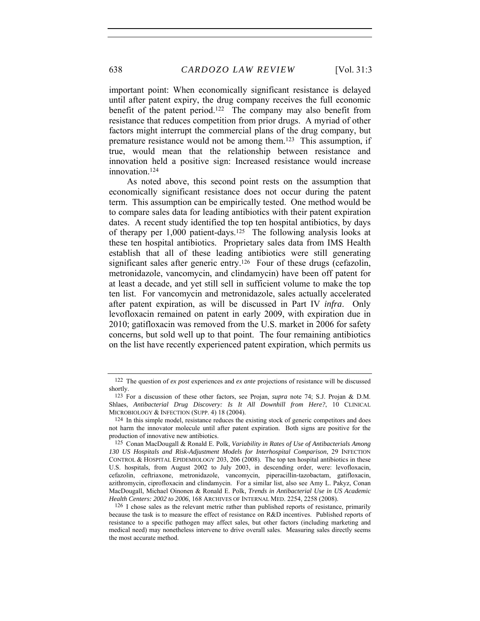important point: When economically significant resistance is delayed until after patent expiry, the drug company receives the full economic benefit of the patent period.<sup>122</sup> The company may also benefit from resistance that reduces competition from prior drugs. A myriad of other factors might interrupt the commercial plans of the drug company, but premature resistance would not be among them.<sup>123</sup> This assumption, if true, would mean that the relationship between resistance and innovation held a positive sign: Increased resistance would increase innovation.124

As noted above, this second point rests on the assumption that economically significant resistance does not occur during the patent term. This assumption can be empirically tested. One method would be to compare sales data for leading antibiotics with their patent expiration dates. A recent study identified the top ten hospital antibiotics, by days of therapy per 1,000 patient-days.125 The following analysis looks at these ten hospital antibiotics. Proprietary sales data from IMS Health establish that all of these leading antibiotics were still generating significant sales after generic entry.<sup>126</sup> Four of these drugs (cefazolin, metronidazole, vancomycin, and clindamycin) have been off patent for at least a decade, and yet still sell in sufficient volume to make the top ten list. For vancomycin and metronidazole, sales actually accelerated after patent expiration, as will be discussed in Part IV *infra*. Only levofloxacin remained on patent in early 2009, with expiration due in 2010; gatifloxacin was removed from the U.S. market in 2006 for safety concerns, but sold well up to that point. The four remaining antibiotics on the list have recently experienced patent expiration, which permits us

<sup>122</sup> The question of *ex post* experiences and *ex ante* projections of resistance will be discussed shortly.

<sup>123</sup> For a discussion of these other factors, see Projan, *supra* note 74; S.J. Projan & D.M. Shlaes, *Antibacterial Drug Discovery: Is It All Downhill from Here?*, 10 CLINICAL MICROBIOLOGY & INFECTION (SUPP. 4) 18 (2004).

<sup>124</sup> In this simple model, resistance reduces the existing stock of generic competitors and does not harm the innovator molecule until after patent expiration. Both signs are positive for the production of innovative new antibiotics.

<sup>125</sup> Conan MacDougall & Ronald E. Polk, *Variability in Rates of Use of Antibacterials Among 130 US Hospitals and Risk-Adjustment Models for Interhospital Comparison*, 29 INFECTION CONTROL & HOSPITAL EPIDEMIOLOGY 203, 206 (2008). The top ten hospital antibiotics in these U.S. hospitals, from August 2002 to July 2003, in descending order, were: levofloxacin, cefazolin, ceftriaxone, metronidazole, vancomycin, piperacillin-tazobactam, gatifloxacin, azithromycin, ciprofloxacin and clindamycin. For a similar list, also see Amy L. Pakyz, Conan MacDougall, Michael Oinonen & Ronald E. Polk, *Trends in Antibacterial Use in US Academic Health Centers: 2002 to 2006*, 168 ARCHIVES OF INTERNAL MED. 2254, 2258 (2008).

<sup>126</sup> I chose sales as the relevant metric rather than published reports of resistance, primarily because the task is to measure the effect of resistance on R&D incentives. Published reports of resistance to a specific pathogen may affect sales, but other factors (including marketing and medical need) may nonetheless intervene to drive overall sales. Measuring sales directly seems the most accurate method.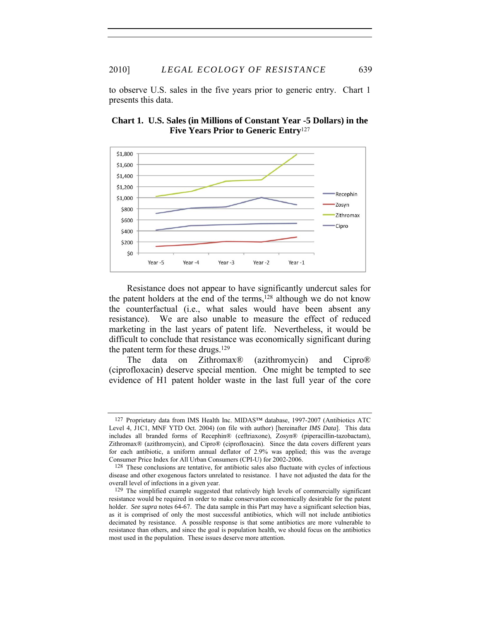to observe U.S. sales in the five years prior to generic entry. Chart 1 presents this data.





Resistance does not appear to have significantly undercut sales for the patent holders at the end of the terms,128 although we do not know the counterfactual (i.e., what sales would have been absent any resistance). We are also unable to measure the effect of reduced marketing in the last years of patent life. Nevertheless, it would be difficult to conclude that resistance was economically significant during the patent term for these drugs.<sup>129</sup>

The data on Zithromax® (azithromycin) and Cipro® (ciprofloxacin) deserve special mention. One might be tempted to see evidence of H1 patent holder waste in the last full year of the core

<sup>127</sup> Proprietary data from IMS Health Inc. MIDAS™ database, 1997-2007 (Antibiotics ATC Level 4, J1C1, MNF YTD Oct. 2004) (on file with author) [hereinafter *IMS Data*]. This data includes all branded forms of Recephin® (ceftriaxone), Zosyn® (piperacillin-tazobactam), Zithromax® (azithromycin), and Cipro® (ciprofloxacin). Since the data covers different years for each antibiotic, a uniform annual deflator of 2.9% was applied; this was the average Consumer Price Index for All Urban Consumers (CPI-U) for 2002-2006.

<sup>128</sup> These conclusions are tentative, for antibiotic sales also fluctuate with cycles of infectious disease and other exogenous factors unrelated to resistance. I have not adjusted the data for the overall level of infections in a given year.

<sup>129</sup> The simplified example suggested that relatively high levels of commercially significant resistance would be required in order to make conservation economically desirable for the patent holder. *See supra* notes 64-67. The data sample in this Part may have a significant selection bias, as it is comprised of only the most successful antibiotics, which will not include antibiotics decimated by resistance. A possible response is that some antibiotics are more vulnerable to resistance than others, and since the goal is population health, we should focus on the antibiotics most used in the population. These issues deserve more attention.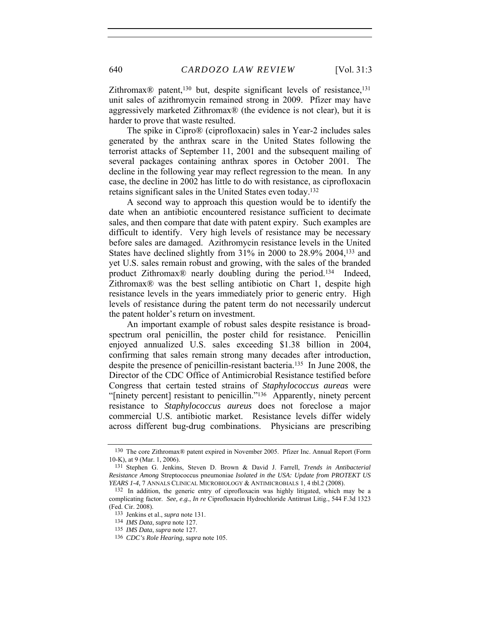Zithromax<sup>®</sup> patent,<sup>130</sup> but, despite significant levels of resistance,<sup>131</sup> unit sales of azithromycin remained strong in 2009. Pfizer may have aggressively marketed Zithromax® (the evidence is not clear), but it is harder to prove that waste resulted.

The spike in Cipro® (ciprofloxacin) sales in Year-2 includes sales generated by the anthrax scare in the United States following the terrorist attacks of September 11, 2001 and the subsequent mailing of several packages containing anthrax spores in October 2001. The decline in the following year may reflect regression to the mean. In any case, the decline in 2002 has little to do with resistance, as ciprofloxacin retains significant sales in the United States even today.132

A second way to approach this question would be to identify the date when an antibiotic encountered resistance sufficient to decimate sales, and then compare that date with patent expiry. Such examples are difficult to identify. Very high levels of resistance may be necessary before sales are damaged. Azithromycin resistance levels in the United States have declined slightly from 31% in 2000 to 28.9% 2004,133 and yet U.S. sales remain robust and growing, with the sales of the branded product Zithromax® nearly doubling during the period.134 Indeed, Zithromax® was the best selling antibiotic on Chart 1, despite high resistance levels in the years immediately prior to generic entry. High levels of resistance during the patent term do not necessarily undercut the patent holder's return on investment.

An important example of robust sales despite resistance is broadspectrum oral penicillin, the poster child for resistance. Penicillin enjoyed annualized U.S. sales exceeding \$1.38 billion in 2004, confirming that sales remain strong many decades after introduction, despite the presence of penicillin-resistant bacteria.135 In June 2008, the Director of the CDC Office of Antimicrobial Resistance testified before Congress that certain tested strains of *Staphylococcus aureas* were "[ninety percent] resistant to penicillin."136 Apparently, ninety percent resistance to *Staphylococcus aureus* does not foreclose a major commercial U.S. antibiotic market. Resistance levels differ widely across different bug-drug combinations. Physicians are prescribing

<sup>130</sup> The core Zithromax® patent expired in November 2005. Pfizer Inc. Annual Report (Form 10-K), at 9 (Mar. 1, 2006).

<sup>131</sup> Stephen G. Jenkins, Steven D. Brown & David J. Farrell, *Trends in Antibacterial Resistance Among* Streptococcus pneumoniae *Isolated in the USA: Update from PROTEKT US YEARS 1-4*, 7 ANNALS CLINICAL MICROBIOLOGY & ANTIMICROBIALS 1, 4 tbl.2 (2008).

<sup>132</sup> In addition, the generic entry of ciprofloxacin was highly litigated, which may be a complicating factor. *See, e.g.*, *In re* Ciprofloxacin Hydrochloride Antitrust Litig., 544 F.3d 1323 (Fed. Cir. 2008).

<sup>133</sup> Jenkins et al., *supra* note 131.

<sup>134</sup> *IMS Data*, *supra* note 127.

<sup>135</sup> *IMS Data*, *supra* note 127.

<sup>136</sup> *CDC's Role Hearing*, *supra* note 105.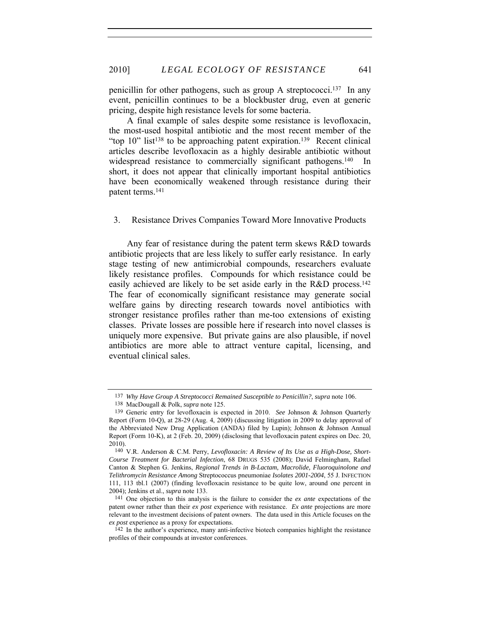penicillin for other pathogens, such as group A streptococci.137 In any event, penicillin continues to be a blockbuster drug, even at generic pricing, despite high resistance levels for some bacteria.

A final example of sales despite some resistance is levofloxacin, the most-used hospital antibiotic and the most recent member of the "top  $10$ " list<sup>138</sup> to be approaching patent expiration.<sup>139</sup> Recent clinical articles describe levofloxacin as a highly desirable antibiotic without widespread resistance to commercially significant pathogens.<sup>140</sup> In short, it does not appear that clinically important hospital antibiotics have been economically weakened through resistance during their patent terms.141

### 3. Resistance Drives Companies Toward More Innovative Products

Any fear of resistance during the patent term skews R&D towards antibiotic projects that are less likely to suffer early resistance. In early stage testing of new antimicrobial compounds, researchers evaluate likely resistance profiles. Compounds for which resistance could be easily achieved are likely to be set aside early in the R&D process.<sup>142</sup> The fear of economically significant resistance may generate social welfare gains by directing research towards novel antibiotics with stronger resistance profiles rather than me-too extensions of existing classes. Private losses are possible here if research into novel classes is uniquely more expensive. But private gains are also plausible, if novel antibiotics are more able to attract venture capital, licensing, and eventual clinical sales.

<sup>137</sup> *Why Have Group A Streptococci Remained Susceptible to Penicillin?*, *supra* note 106.

<sup>138</sup> MacDougall & Polk, *supra* note 125.

<sup>139</sup> Generic entry for levofloxacin is expected in 2010. *See* Johnson & Johnson Quarterly Report (Form 10-Q), at 28-29 (Aug. 4, 2009) (discussing litigation in 2009 to delay approval of the Abbreviated New Drug Application (ANDA) filed by Lupin); Johnson & Johnson Annual Report (Form 10-K), at 2 (Feb. 20, 2009) (disclosing that levofloxacin patent expires on Dec. 20, 2010).

<sup>140</sup> V.R. Anderson & C.M. Perry, *Levofloxacin: A Review of Its Use as a High-Dose, Short-Course Treatment for Bacterial Infection*, 68 DRUGS 535 (2008); David Felmingham, Rafael Canton & Stephen G. Jenkins, *Regional Trends in B-Lactam, Macrolide, Fluoroquinolone and Telithromycin Resistance Among* Streptococcus pneumoniae *Isolates 2001-2004*, 55 J. INFECTION 111, 113 tbl.1 (2007) (finding levofloxacin resistance to be quite low, around one percent in 2004); Jenkins et al., *supra* note 133.

<sup>141</sup> One objection to this analysis is the failure to consider the *ex ante* expectations of the patent owner rather than their *ex post* experience with resistance. *Ex ante* projections are more relevant to the investment decisions of patent owners. The data used in this Article focuses on the *ex post* experience as a proxy for expectations.

<sup>142</sup> In the author's experience, many anti-infective biotech companies highlight the resistance profiles of their compounds at investor conferences.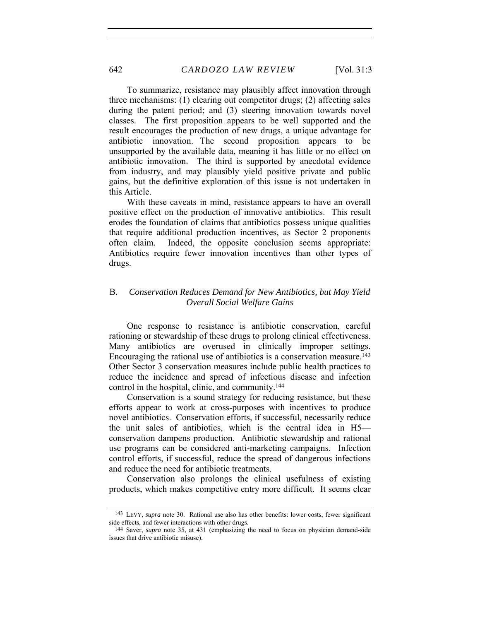To summarize, resistance may plausibly affect innovation through three mechanisms: (1) clearing out competitor drugs; (2) affecting sales during the patent period; and (3) steering innovation towards novel classes. The first proposition appears to be well supported and the result encourages the production of new drugs, a unique advantage for antibiotic innovation. The second proposition appears to be unsupported by the available data, meaning it has little or no effect on antibiotic innovation. The third is supported by anecdotal evidence from industry, and may plausibly yield positive private and public gains, but the definitive exploration of this issue is not undertaken in this Article.

With these caveats in mind, resistance appears to have an overall positive effect on the production of innovative antibiotics. This result erodes the foundation of claims that antibiotics possess unique qualities that require additional production incentives, as Sector 2 proponents often claim. Indeed, the opposite conclusion seems appropriate: Antibiotics require fewer innovation incentives than other types of drugs.

# B*. Conservation Reduces Demand for New Antibiotics, but May Yield Overall Social Welfare Gains*

One response to resistance is antibiotic conservation, careful rationing or stewardship of these drugs to prolong clinical effectiveness. Many antibiotics are overused in clinically improper settings. Encouraging the rational use of antibiotics is a conservation measure.<sup>143</sup> Other Sector 3 conservation measures include public health practices to reduce the incidence and spread of infectious disease and infection control in the hospital, clinic, and community.144

Conservation is a sound strategy for reducing resistance, but these efforts appear to work at cross-purposes with incentives to produce novel antibiotics. Conservation efforts, if successful, necessarily reduce the unit sales of antibiotics, which is the central idea in H5 conservation dampens production. Antibiotic stewardship and rational use programs can be considered anti-marketing campaigns. Infection control efforts, if successful, reduce the spread of dangerous infections and reduce the need for antibiotic treatments.

Conservation also prolongs the clinical usefulness of existing products, which makes competitive entry more difficult. It seems clear

<sup>143</sup> LEVY, *supra* note 30. Rational use also has other benefits: lower costs, fewer significant side effects, and fewer interactions with other drugs.

<sup>144</sup> Saver, *supra* note 35, at 431 (emphasizing the need to focus on physician demand-side issues that drive antibiotic misuse).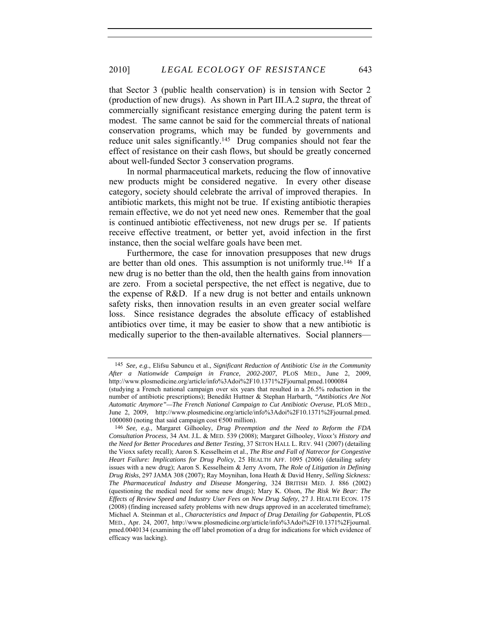that Sector 3 (public health conservation) is in tension with Sector 2 (production of new drugs). As shown in Part III.A.2 *supra*, the threat of commercially significant resistance emerging during the patent term is modest. The same cannot be said for the commercial threats of national conservation programs, which may be funded by governments and reduce unit sales significantly.145 Drug companies should not fear the effect of resistance on their cash flows, but should be greatly concerned about well-funded Sector 3 conservation programs.

In normal pharmaceutical markets, reducing the flow of innovative new products might be considered negative. In every other disease category, society should celebrate the arrival of improved therapies. In antibiotic markets, this might not be true. If existing antibiotic therapies remain effective, we do not yet need new ones. Remember that the goal is continued antibiotic effectiveness, not new drugs per se. If patients receive effective treatment, or better yet, avoid infection in the first instance, then the social welfare goals have been met.

Furthermore, the case for innovation presupposes that new drugs are better than old ones. This assumption is not uniformly true.146 If a new drug is no better than the old, then the health gains from innovation are zero. From a societal perspective, the net effect is negative, due to the expense of R&D. If a new drug is not better and entails unknown safety risks, then innovation results in an even greater social welfare loss. Since resistance degrades the absolute efficacy of established antibiotics over time, it may be easier to show that a new antibiotic is medically superior to the then-available alternatives. Social planners—

<sup>145</sup> *See, e.g.*, Elifsu Sabuncu et al., *Significant Reduction of Antibiotic Use in the Community After a Nationwide Campaign in France, 2002-2007*, PLOS MED., June 2, 2009, http://www.plosmedicine.org/article/info%3Adoi%2F10.1371%2Fjournal.pmed.1000084

<sup>(</sup>studying a French national campaign over six years that resulted in a 26.5% reduction in the number of antibiotic prescriptions); Benedikt Huttner & Stephan Harbarth, *"Antibiotics Are Not Automatic Anymore"—The French National Campaign to Cut Antibiotic Overuse*, PLOS MED., June 2, 2009, http://www.plosmedicine.org/article/info%3Adoi%2F10.1371%2Fjournal.pmed. 1000080 (noting that said campaign cost  $\epsilon$ 500 million).

<sup>146</sup> *See, e.g.*, Margaret Gilhooley, *Drug Preemption and the Need to Reform the FDA Consultation Process*, 34 AM. J.L. & MED. 539 (2008); Margaret Gilhooley, *Vioxx's History and the Need for Better Procedures and Better Testing*, 37 SETON HALL L. REV. 941 (2007) (detailing the Vioxx safety recall); Aaron S. Kesselheim et al., *The Rise and Fall of Natrecor for Congestive Heart Failure: Implications for Drug Policy*, 25 HEALTH AFF. 1095 (2006) (detailing safety issues with a new drug); Aaron S. Kesselheim & Jerry Avorn, *The Role of Litigation in Defining Drug Risks*, 297 JAMA 308 (2007); Ray Moynihan, Iona Heath & David Henry, *Selling Sickness: The Pharmaceutical Industry and Disease Mongering*, 324 BRITISH MED. J. 886 (2002) (questioning the medical need for some new drugs); Mary K. Olson, *The Risk We Bear: The Effects of Review Speed and Industry User Fees on New Drug Safety*, 27 J. HEALTH ECON. 175 (2008) (finding increased safety problems with new drugs approved in an accelerated timeframe); Michael A. Steinman et al., *Characteristics and Impact of Drug Detailing for Gabapentin*, PLOS MED., Apr. 24, 2007, http://www.plosmedicine.org/article/info%3Adoi%2F10.1371%2Fjournal. pmed.0040134 (examining the off label promotion of a drug for indications for which evidence of efficacy was lacking).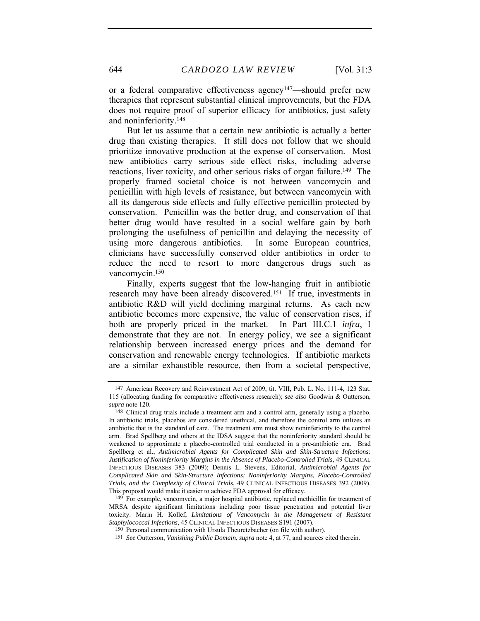or a federal comparative effectiveness agency147—should prefer new therapies that represent substantial clinical improvements, but the FDA does not require proof of superior efficacy for antibiotics, just safety and noninferiority.148

But let us assume that a certain new antibiotic is actually a better drug than existing therapies. It still does not follow that we should prioritize innovative production at the expense of conservation. Most new antibiotics carry serious side effect risks, including adverse reactions, liver toxicity, and other serious risks of organ failure.<sup>149</sup> The properly framed societal choice is not between vancomycin and penicillin with high levels of resistance, but between vancomycin with all its dangerous side effects and fully effective penicillin protected by conservation. Penicillin was the better drug, and conservation of that better drug would have resulted in a social welfare gain by both prolonging the usefulness of penicillin and delaying the necessity of using more dangerous antibiotics. In some European countries, clinicians have successfully conserved older antibiotics in order to reduce the need to resort to more dangerous drugs such as vancomycin.150

Finally, experts suggest that the low-hanging fruit in antibiotic research may have been already discovered.151 If true, investments in antibiotic R&D will yield declining marginal returns. As each new antibiotic becomes more expensive, the value of conservation rises, if both are properly priced in the market. In Part III.C.1 *infra*, I demonstrate that they are not. In energy policy, we see a significant relationship between increased energy prices and the demand for conservation and renewable energy technologies. If antibiotic markets are a similar exhaustible resource, then from a societal perspective,

<sup>147</sup> American Recovery and Reinvestment Act of 2009, tit. VIII, Pub. L. No. 111-4, 123 Stat. 115 (allocating funding for comparative effectiveness research); *see also* Goodwin & Outterson, *supra* note 120.

<sup>&</sup>lt;sup>148</sup> Clinical drug trials include a treatment arm and a control arm, generally using a placebo. In antibiotic trials, placebos are considered unethical, and therefore the control arm utilizes an antibiotic that is the standard of care. The treatment arm must show noninferiority to the control arm. Brad Spellberg and others at the IDSA suggest that the noninferiority standard should be weakened to approximate a placebo-controlled trial conducted in a pre-antibiotic era. Brad Spellberg et al., *Antimicrobial Agents for Complicated Skin and Skin-Structure Infections:*  Justification of Noninferiority Margins in the Absence of Placebo-Controlled Trials, 49 CLINICAL INFECTIOUS DISEASES 383 (2009); Dennis L. Stevens, Editorial, *Antimicrobial Agents for Complicated Skin and Skin-Structure Infections: Noninferiority Margins, Placebo-Controlled Trials, and the Complexity of Clinical Trials*, 49 CLINICAL INFECTIOUS DISEASES 392 (2009). This proposal would make it easier to achieve FDA approval for efficacy.

<sup>149</sup> For example, vancomycin, a major hospital antibiotic, replaced methicillin for treatment of MRSA despite significant limitations including poor tissue penetration and potential liver toxicity. Marin H. Kollef, *Limitations of Vancomycin in the Management of Resistant Staphylococcal Infections*, 45 CLINICAL INFECTIOUS DISEASES S191 (2007).

<sup>150</sup> Personal communication with Ursula Theuretzbacher (on file with author).

<sup>151</sup> *See* Outterson, *Vanishing Public Domain*, *supra* note 4, at 77, and sources cited therein.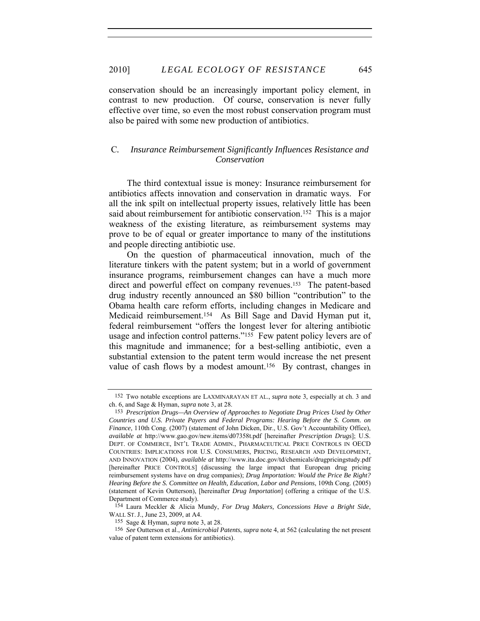conservation should be an increasingly important policy element, in contrast to new production. Of course, conservation is never fully effective over time, so even the most robust conservation program must also be paired with some new production of antibiotics.

# C*. Insurance Reimbursement Significantly Influences Resistance and Conservation*

The third contextual issue is money: Insurance reimbursement for antibiotics affects innovation and conservation in dramatic ways. For all the ink spilt on intellectual property issues, relatively little has been said about reimbursement for antibiotic conservation.<sup>152</sup> This is a major weakness of the existing literature, as reimbursement systems may prove to be of equal or greater importance to many of the institutions and people directing antibiotic use.

On the question of pharmaceutical innovation, much of the literature tinkers with the patent system; but in a world of government insurance programs, reimbursement changes can have a much more direct and powerful effect on company revenues.<sup>153</sup> The patent-based drug industry recently announced an \$80 billion "contribution" to the Obama health care reform efforts, including changes in Medicare and Medicaid reimbursement.154 As Bill Sage and David Hyman put it, federal reimbursement "offers the longest lever for altering antibiotic usage and infection control patterns."<sup>155</sup> Few patent policy levers are of this magnitude and immanence; for a best-selling antibiotic, even a substantial extension to the patent term would increase the net present value of cash flows by a modest amount.<sup>156</sup> By contrast, changes in

<sup>152</sup> Two notable exceptions are LAXMINARAYAN ET AL., *supra* note 3, especially at ch. 3 and ch. 6, and Sage & Hyman, *supra* note 3, at 28.

<sup>153</sup> *Prescription Drugs—An Overview of Approaches to Negotiate Drug Prices Used by Other Countries and U.S. Private Payers and Federal Programs: Hearing Before the S. Comm. on Finance*, 110th Cong. (2007) (statement of John Dicken, Dir., U.S. Gov't Accountability Office), *available at* http://www.gao.gov/new.items/d07358t.pdf [hereinafter *Prescription Drugs*]; U.S. DEPT. OF COMMERCE, INT'L TRADE ADMIN., PHARMACEUTICAL PRICE CONTROLS IN OECD COUNTRIES: IMPLICATIONS FOR U.S. CONSUMERS, PRICING, RESEARCH AND DEVELOPMENT, AND INNOVATION (2004), *available at* http://www.ita.doc.gov/td/chemicals/drugpricingstudy.pdf [hereinafter PRICE CONTROLS] (discussing the large impact that European drug pricing reimbursement systems have on drug companies); *Drug Importation: Would the Price Be Right? Hearing Before the S. Committee on Health, Education, Labor and Pensions*, 109th Cong. (2005) (statement of Kevin Outterson), [hereinafter *Drug Importation*] (offering a critique of the U.S. Department of Commerce study).

<sup>154</sup> Laura Meckler & Alicia Mundy, *For Drug Makers, Concessions Have a Bright Side*, WALL ST. J., June 23, 2009, at A4.

<sup>155</sup> Sage & Hyman, *supra* note 3, at 28.

<sup>156</sup> *See* Outterson et al., *Antimicrobial Patents*, *supra* note 4, at 562 (calculating the net present value of patent term extensions for antibiotics).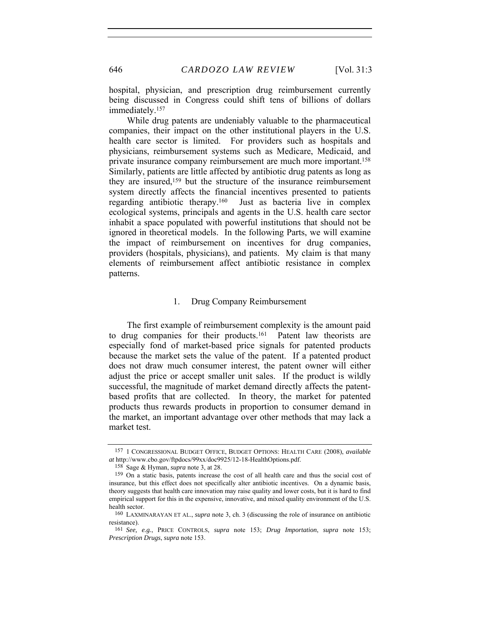hospital, physician, and prescription drug reimbursement currently being discussed in Congress could shift tens of billions of dollars immediately.157

While drug patents are undeniably valuable to the pharmaceutical companies, their impact on the other institutional players in the U.S. health care sector is limited. For providers such as hospitals and physicians, reimbursement systems such as Medicare, Medicaid, and private insurance company reimbursement are much more important.158 Similarly, patients are little affected by antibiotic drug patents as long as they are insured,159 but the structure of the insurance reimbursement system directly affects the financial incentives presented to patients regarding antibiotic therapy.160 Just as bacteria live in complex ecological systems, principals and agents in the U.S. health care sector inhabit a space populated with powerful institutions that should not be ignored in theoretical models. In the following Parts, we will examine the impact of reimbursement on incentives for drug companies, providers (hospitals, physicians), and patients. My claim is that many elements of reimbursement affect antibiotic resistance in complex patterns.

# 1. Drug Company Reimbursement

The first example of reimbursement complexity is the amount paid to drug companies for their products.161 Patent law theorists are especially fond of market-based price signals for patented products because the market sets the value of the patent. If a patented product does not draw much consumer interest, the patent owner will either adjust the price or accept smaller unit sales. If the product is wildly successful, the magnitude of market demand directly affects the patentbased profits that are collected. In theory, the market for patented products thus rewards products in proportion to consumer demand in the market, an important advantage over other methods that may lack a market test.

<sup>157 1</sup> CONGRESSIONAL BUDGET OFFICE, BUDGET OPTIONS: HEALTH CARE (2008), *available at* http://www.cbo.gov/ftpdocs/99xx/doc9925/12-18-HealthOptions.pdf.

<sup>158</sup> Sage & Hyman, *supra* note 3, at 28.

<sup>159</sup> On a static basis, patents increase the cost of all health care and thus the social cost of insurance, but this effect does not specifically alter antibiotic incentives. On a dynamic basis, theory suggests that health care innovation may raise quality and lower costs, but it is hard to find empirical support for this in the expensive, innovative, and mixed quality environment of the U.S. health sector.

<sup>160</sup> LAXMINARAYAN ET AL., *supra* note 3, ch. 3 (discussing the role of insurance on antibiotic resistance).

<sup>161</sup> *See, e.g.*, PRICE CONTROLS, *supra* note 153; *Drug Importation*, *supra* note 153; *Prescription Drugs*, *supra* note 153.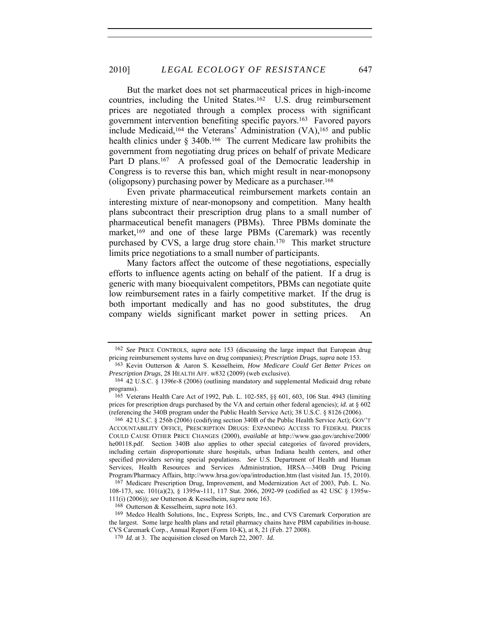But the market does not set pharmaceutical prices in high-income countries, including the United States.162 U.S. drug reimbursement prices are negotiated through a complex process with significant government intervention benefiting specific payors.163 Favored payors include Medicaid,<sup>164</sup> the Veterans' Administration  $(VA)$ ,<sup>165</sup> and public health clinics under § 340b.<sup>166</sup> The current Medicare law prohibits the government from negotiating drug prices on behalf of private Medicare Part D plans.<sup>167</sup> A professed goal of the Democratic leadership in Congress is to reverse this ban, which might result in near-monopsony (oligopsony) purchasing power by Medicare as a purchaser.168

Even private pharmaceutical reimbursement markets contain an interesting mixture of near-monopsony and competition. Many health plans subcontract their prescription drug plans to a small number of pharmaceutical benefit managers (PBMs). Three PBMs dominate the market,<sup>169</sup> and one of these large PBMs (Caremark) was recently purchased by CVS, a large drug store chain.170 This market structure limits price negotiations to a small number of participants.

Many factors affect the outcome of these negotiations, especially efforts to influence agents acting on behalf of the patient. If a drug is generic with many bioequivalent competitors, PBMs can negotiate quite low reimbursement rates in a fairly competitive market. If the drug is both important medically and has no good substitutes, the drug company wields significant market power in setting prices. An

166 42 U.S.C. § 256b (2006) (codifying section 340B of the Public Health Service Act); GOV'T ACCOUNTABILITY OFFICE, PRESCRIPTION DRUGS: EXPANDING ACCESS TO FEDERAL PRICES COULD CAUSE OTHER PRICE CHANGES (2000), *available at* http://www.gao.gov/archive/2000/ he00118.pdf. Section 340B also applies to other special categories of favored providers, including certain disproportionate share hospitals, urban Indiana health centers, and other specified providers serving special populations. *See* U.S. Department of Health and Human Services, Health Resources and Services Administration, HRSA—340B Drug Pricing Program/Pharmacy Affairs, http://www.hrsa.gov/opa/introduction.htm (last visited Jan. 15, 2010).

167 Medicare Prescription Drug, Improvement, and Modernization Act of 2003, Pub. L. No. 108-173, sec. 101(a)(2), § 1395w-111, 117 Stat. 2066, 2092-99 (codified as 42 USC § 1395w-111(i) (2006)); *see* Outterson & Kesselheim, *supra* note 163.

168 Outterson & Kesselheim, *supra* note 163.

169 Medco Health Solutions, Inc., Express Scripts, Inc., and CVS Caremark Corporation are the largest. Some large health plans and retail pharmacy chains have PBM capabilities in-house. CVS Caremark Corp., Annual Report (Form 10-K), at 8, 21 (Feb. 27 2008).

<sup>162</sup> *See* PRICE CONTROLS, *supra* note 153 (discussing the large impact that European drug pricing reimbursement systems have on drug companies); *Prescription Drugs*, *supra* note 153.

<sup>163</sup> Kevin Outterson & Aaron S. Kesselheim, *How Medicare Could Get Better Prices on Prescription Drugs*, 28 HEALTH AFF. w832 (2009) (web exclusive).

<sup>164 42</sup> U.S.C. § 1396r-8 (2006) (outlining mandatory and supplemental Medicaid drug rebate programs).

<sup>165</sup> Veterans Health Care Act of 1992, Pub. L. 102-585, §§ 601, 603, 106 Stat. 4943 (limiting prices for prescription drugs purchased by the VA and certain other federal agencies); *id.* at § 602 (referencing the 340B program under the Public Health Service Act); 38 U.S.C. § 8126 (2006).

<sup>170</sup> *Id.* at 3. The acquisition closed on March 22, 2007. *Id.*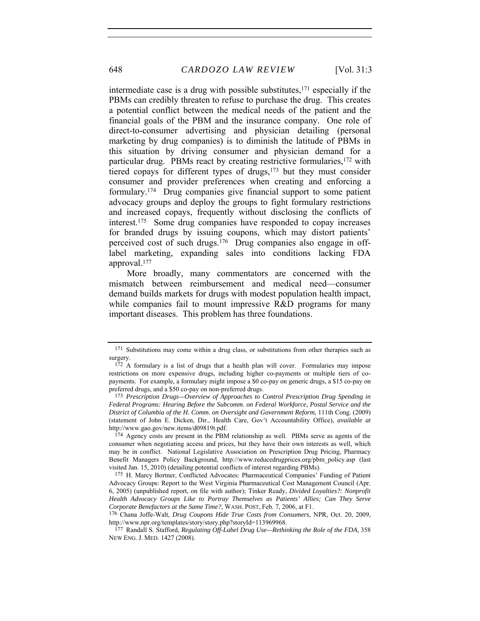intermediate case is a drug with possible substitutes, $171$  especially if the PBMs can credibly threaten to refuse to purchase the drug. This creates a potential conflict between the medical needs of the patient and the financial goals of the PBM and the insurance company. One role of direct-to-consumer advertising and physician detailing (personal marketing by drug companies) is to diminish the latitude of PBMs in this situation by driving consumer and physician demand for a particular drug. PBMs react by creating restrictive formularies,172 with tiered copays for different types of drugs,<sup>173</sup> but they must consider consumer and provider preferences when creating and enforcing a formulary.174 Drug companies give financial support to some patient advocacy groups and deploy the groups to fight formulary restrictions and increased copays, frequently without disclosing the conflicts of interest.175 Some drug companies have responded to copay increases for branded drugs by issuing coupons, which may distort patients' perceived cost of such drugs.176 Drug companies also engage in offlabel marketing, expanding sales into conditions lacking FDA approval.177

More broadly, many commentators are concerned with the mismatch between reimbursement and medical need—consumer demand builds markets for drugs with modest population health impact, while companies fail to mount impressive R&D programs for many important diseases. This problem has three foundations.

<sup>171</sup> Substitutions may come within a drug class, or substitutions from other therapies such as surgery.

<sup>&</sup>lt;sup>172</sup> A formulary is a list of drugs that a health plan will cover. Formularies may impose restrictions on more expensive drugs, including higher co-payments or multiple tiers of copayments. For example, a formulary might impose a \$0 co-pay on generic drugs, a \$15 co-pay on preferred drugs, and a \$50 co-pay on non-preferred drugs.

<sup>173</sup> *Prescription Drugs—Overview of Approaches to Control Prescription Drug Spending in Federal Programs: Hearing Before the Subcomm. on Federal Workforce, Postal Service and the District of Columbia of the H. Comm. on Oversight and Government Reform*, 111th Cong. (2009) (statement of John E. Dicken, Dir., Health Care, Gov't Accountability Office), *available at* http://www.gao.gov/new.items/d09819t.pdf.

<sup>174</sup> Agency costs are present in the PBM relationship as well. PBMs serve as agents of the consumer when negotiating access and prices, but they have their own interests as well, which may be in conflict. National Legislative Association on Prescription Drug Pricing, Pharmacy Benefit Managers Policy Background, http://www.reducedrugprices.org/pbm\_policy.asp (last visited Jan. 15, 2010) (detailing potential conflicts of interest regarding PBMs).

<sup>175</sup> H. Marcy Bortner, Conflicted Advocates: Pharmaceutical Companies' Funding of Patient Advocacy Groups: Report to the West Virginia Pharmaceutical Cost Management Council (Apr. 6, 2005) (unpublished report, on file with author); Tinker Ready, *Divided Loyalties?: Nonprofit Health Advocacy Groups Like to Portray Themselves as Patients' Allies; Can They Serve Corporate Benefactors at the Same Time?*, WASH. POST, Feb. 7, 2006, at F1.

<sup>176</sup> Chana Joffe-Walt, *Drug Coupons Hide True Costs from Consumers*, NPR, Oct. 20, 2009, http://www.npr.org/templates/story/story.php?storyId=113969968.

<sup>177</sup> Randall S. Stafford, *Regulating Off-Label Drug Use—Rethinking the Role of the FDA*, 358 NEW ENG. J. MED. 1427 (2008).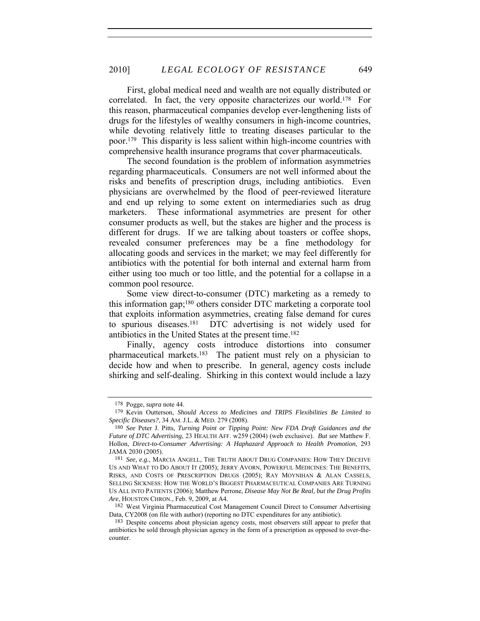First, global medical need and wealth are not equally distributed or correlated. In fact, the very opposite characterizes our world.178 For this reason, pharmaceutical companies develop ever-lengthening lists of drugs for the lifestyles of wealthy consumers in high-income countries, while devoting relatively little to treating diseases particular to the poor.179 This disparity is less salient within high-income countries with comprehensive health insurance programs that cover pharmaceuticals.

The second foundation is the problem of information asymmetries regarding pharmaceuticals. Consumers are not well informed about the risks and benefits of prescription drugs, including antibiotics. Even physicians are overwhelmed by the flood of peer-reviewed literature and end up relying to some extent on intermediaries such as drug marketers. These informational asymmetries are present for other consumer products as well, but the stakes are higher and the process is different for drugs. If we are talking about toasters or coffee shops, revealed consumer preferences may be a fine methodology for allocating goods and services in the market; we may feel differently for antibiotics with the potential for both internal and external harm from either using too much or too little, and the potential for a collapse in a common pool resource.

Some view direct-to-consumer (DTC) marketing as a remedy to this information gap;180 others consider DTC marketing a corporate tool that exploits information asymmetries, creating false demand for cures to spurious diseases.181 DTC advertising is not widely used for antibiotics in the United States at the present time.182

Finally, agency costs introduce distortions into consumer pharmaceutical markets.183 The patient must rely on a physician to decide how and when to prescribe. In general, agency costs include shirking and self-dealing. Shirking in this context would include a lazy

182 West Virginia Pharmaceutical Cost Management Council Direct to Consumer Advertising Data, CY2008 (on file with author) (reporting no DTC expenditures for any antibiotic).

<sup>178</sup> Pogge, *supra* note 44.

<sup>179</sup> Kevin Outterson, *Should Access to Medicines and TRIPS Flexibilities Be Limited to Specific Diseases?*, 34 AM. J.L. & MED. 279 (2008).

<sup>180</sup> *See* Peter J. Pitts, *Turning Point or Tipping Point: New FDA Draft Guidances and the Future of DTC Advertising*, 23 HEALTH AFF. w259 (2004) (web exclusive). *But see* Matthew F. Hollon, *Direct-to-Consumer Advertising: A Haphazard Approach to Health Promotion*, 293 JAMA 2030 (2005).

<sup>181</sup> *See, e.g.*, MARCIA ANGELL, THE TRUTH ABOUT DRUG COMPANIES: HOW THEY DECEIVE US AND WHAT TO DO ABOUT IT (2005); JERRY AVORN, POWERFUL MEDICINES: THE BENEFITS, RISKS, AND COSTS OF PRESCRIPTION DRUGS (2005); RAY MOYNIHAN & ALAN CASSELS, SELLING SICKNESS: HOW THE WORLD'S BIGGEST PHARMACEUTICAL COMPANIES ARE TURNING US ALL INTO PATIENTS (2006); Matthew Perrone, *Disease May Not Be Real, but the Drug Profits Are*, HOUSTON CHRON., Feb. 9, 2009, at A4.

<sup>183</sup> Despite concerns about physician agency costs, most observers still appear to prefer that antibiotics be sold through physician agency in the form of a prescription as opposed to over-thecounter.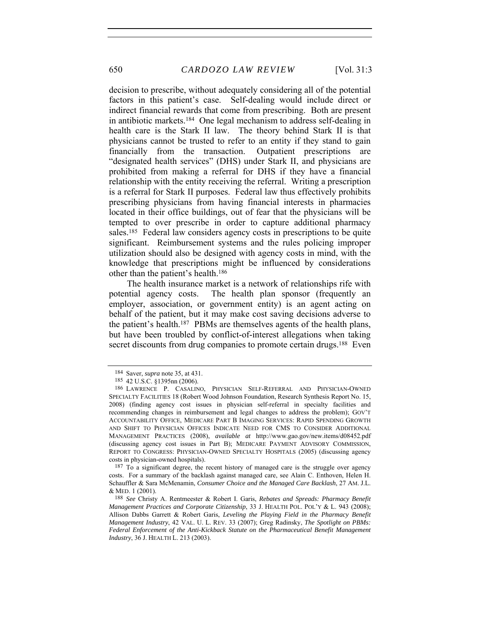650 *CARDOZO LAW REVIEW* [Vol. 31:3

decision to prescribe, without adequately considering all of the potential factors in this patient's case. Self-dealing would include direct or indirect financial rewards that come from prescribing. Both are present in antibiotic markets.184 One legal mechanism to address self-dealing in health care is the Stark II law. The theory behind Stark II is that physicians cannot be trusted to refer to an entity if they stand to gain financially from the transaction. Outpatient prescriptions are "designated health services" (DHS) under Stark II, and physicians are prohibited from making a referral for DHS if they have a financial relationship with the entity receiving the referral. Writing a prescription is a referral for Stark II purposes. Federal law thus effectively prohibits prescribing physicians from having financial interests in pharmacies located in their office buildings, out of fear that the physicians will be tempted to over prescribe in order to capture additional pharmacy sales.<sup>185</sup> Federal law considers agency costs in prescriptions to be quite significant. Reimbursement systems and the rules policing improper utilization should also be designed with agency costs in mind, with the knowledge that prescriptions might be influenced by considerations other than the patient's health.186

The health insurance market is a network of relationships rife with potential agency costs. The health plan sponsor (frequently an employer, association, or government entity) is an agent acting on behalf of the patient, but it may make cost saving decisions adverse to the patient's health.187 PBMs are themselves agents of the health plans, but have been troubled by conflict-of-interest allegations when taking secret discounts from drug companies to promote certain drugs.<sup>188</sup> Even

<sup>184</sup> Saver, *supra* note 35, at 431.

<sup>185 42</sup> U.S.C. §1395nn (2006).

<sup>186</sup> LAWRENCE P. CASALINO, PHYSICIAN SELF-REFERRAL AND PHYSICIAN-OWNED SPECIALTY FACILITIES 18 (Robert Wood Johnson Foundation, Research Synthesis Report No. 15, 2008) (finding agency cost issues in physician self-referral in specialty facilities and recommending changes in reimbursement and legal changes to address the problem); GOV'T ACCOUNTABILITY OFFICE, MEDICARE PART B IMAGING SERVICES: RAPID SPENDING GROWTH AND SHIFT TO PHYSICIAN OFFICES INDICATE NEED FOR CMS TO CONSIDER ADDITIONAL MANAGEMENT PRACTICES (2008), *available at* http://www.gao.gov/new.items/d08452.pdf (discussing agency cost issues in Part B); MEDICARE PAYMENT ADVISORY COMMISSION, REPORT TO CONGRESS: PHYSICIAN-OWNED SPECIALTY HOSPITALS (2005) (discussing agency costs in physician-owned hospitals).

<sup>187</sup> To a significant degree, the recent history of managed care is the struggle over agency costs. For a summary of the backlash against managed care, see Alain C. Enthoven, Helen H. Schauffler & Sara McMenamin, *Consumer Choice and the Managed Care Backlash*, 27 AM. J.L. & MED. 1 (2001).

<sup>188</sup> *See* Christy A. Rentmeester & Robert I. Garis, *Rebates and Spreads: Pharmacy Benefit Management Practices and Corporate Citizenship*, 33 J. HEALTH POL. POL'Y & L. 943 (2008); Allison Dabbs Garrett & Robert Garis, *Leveling the Playing Field in the Pharmacy Benefit Management Industry*, 42 VAL. U. L. REV. 33 (2007); Greg Radinsky, *The Spotlight on PBMs: Federal Enforcement of the Anti-Kickback Statute on the Pharmaceutical Benefit Management Industry*, 36 J. HEALTH L. 213 (2003).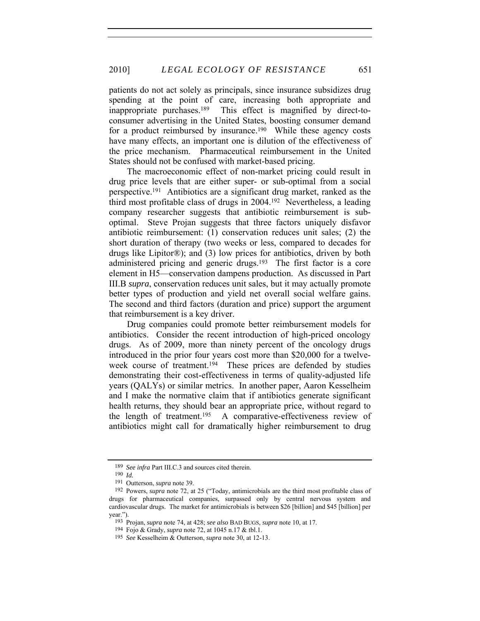patients do not act solely as principals, since insurance subsidizes drug spending at the point of care, increasing both appropriate and inappropriate purchases.189 This effect is magnified by direct-toconsumer advertising in the United States, boosting consumer demand for a product reimbursed by insurance.<sup>190</sup> While these agency costs have many effects, an important one is dilution of the effectiveness of the price mechanism. Pharmaceutical reimbursement in the United States should not be confused with market-based pricing.

The macroeconomic effect of non-market pricing could result in drug price levels that are either super- or sub-optimal from a social perspective.191 Antibiotics are a significant drug market, ranked as the third most profitable class of drugs in 2004.192 Nevertheless, a leading company researcher suggests that antibiotic reimbursement is suboptimal. Steve Projan suggests that three factors uniquely disfavor antibiotic reimbursement: (1) conservation reduces unit sales; (2) the short duration of therapy (two weeks or less, compared to decades for drugs like Lipitor®); and (3) low prices for antibiotics, driven by both administered pricing and generic drugs.193 The first factor is a core element in H5—conservation dampens production. As discussed in Part III.B *supra*, conservation reduces unit sales, but it may actually promote better types of production and yield net overall social welfare gains. The second and third factors (duration and price) support the argument that reimbursement is a key driver.

Drug companies could promote better reimbursement models for antibiotics. Consider the recent introduction of high-priced oncology drugs. As of 2009, more than ninety percent of the oncology drugs introduced in the prior four years cost more than \$20,000 for a twelveweek course of treatment.<sup>194</sup> These prices are defended by studies demonstrating their cost-effectiveness in terms of quality-adjusted life years (QALYs) or similar metrics. In another paper, Aaron Kesselheim and I make the normative claim that if antibiotics generate significant health returns, they should bear an appropriate price, without regard to the length of treatment.195 A comparative-effectiveness review of antibiotics might call for dramatically higher reimbursement to drug

<sup>189</sup> *See infra* Part III.C.3 and sources cited therein.

<sup>190</sup> *Id.*

<sup>191</sup> Outterson, *supra* note 39.

<sup>192</sup> Powers, *supra* note 72, at 25 ("Today, antimicrobials are the third most profitable class of drugs for pharmaceutical companies, surpassed only by central nervous system and cardiovascular drugs. The market for antimicrobials is between \$26 [billion] and \$45 [billion] per year.").

<sup>193</sup> Projan, *supra* note 74, at 428; *see also* BAD BUGS, *supra* note 10, at 17.

<sup>194</sup> Fojo & Grady, *supra* note 72, at 1045 n.17 & tbl.1.

<sup>195</sup> *See* Kesselheim & Outterson, *supra* note 30, at 12-13.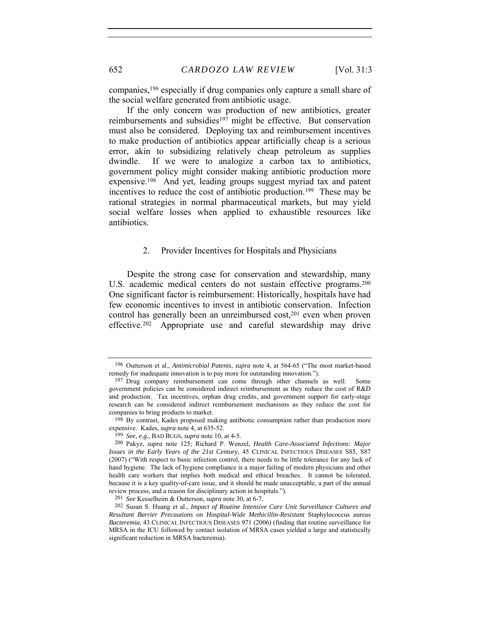companies,196 especially if drug companies only capture a small share of the social welfare generated from antibiotic usage.

If the only concern was production of new antibiotics, greater reimbursements and subsidies<sup>197</sup> might be effective. But conservation must also be considered. Deploying tax and reimbursement incentives to make production of antibiotics appear artificially cheap is a serious error, akin to subsidizing relatively cheap petroleum as supplies dwindle. If we were to analogize a carbon tax to antibiotics, government policy might consider making antibiotic production more expensive.198 And yet, leading groups suggest myriad tax and patent incentives to reduce the cost of antibiotic production.199 These may be rational strategies in normal pharmaceutical markets, but may yield social welfare losses when applied to exhaustible resources like antibiotics.

#### 2. Provider Incentives for Hospitals and Physicians

Despite the strong case for conservation and stewardship, many U.S. academic medical centers do not sustain effective programs.<sup>200</sup> One significant factor is reimbursement: Historically, hospitals have had few economic incentives to invest in antibiotic conservation. Infection control has generally been an unreimbursed cost,<sup>201</sup> even when proven effective.202 Appropriate use and careful stewardship may drive

<sup>196</sup> Outterson et al., *Antimicrobial Patents*, *supra* note 4, at 564-65 ("The most market-based remedy for inadequate innovation is to pay more for outstanding innovation.").

<sup>197</sup> Drug company reimbursement can come through other channels as well. Some government policies can be considered indirect reimbursement as they reduce the cost of R&D and production. Tax incentives, orphan drug credits, and government support for early-stage research can be considered indirect reimbursement mechanisms as they reduce the cost for companies to bring products to market.

<sup>198</sup> By contrast, Kades proposed making antibiotic consumption rather than production more expensive. Kades, *supra* note 4, at 635-52.

<sup>199</sup> *See, e.g.*, BAD BUGS, *supra* note 10, at 4-5.

<sup>200</sup> Pakyz, *supra* note 125; Richard P. Wenzel, *Health Care-Associated Infections: Major Issues in the Early Years of the 21st Century*, 45 CLINICAL INFECTIOUS DISEASES S85, S87 (2007) ("With respect to basic infection control, there needs to be little tolerance for any lack of hand hygiene. The lack of hygiene compliance is a major failing of modern physicians and other health care workers that implies both medical and ethical breaches. It cannot be tolerated, because it is a key quality-of-care issue, and it should be made unacceptable, a part of the annual review process, and a reason for disciplinary action in hospitals.").

<sup>201</sup> *See* Kesselheim & Outterson, *supra* note 30, at 6-7.

<sup>202</sup> Susan S. Huang et al., *Impact of Routine Intensive Care Unit Surveillance Cultures and Resultant Barrier Precautions on Hospital-Wide Methicillin-Resistant* Staphylococcus aureus *Bacteremia*, 43 CLINICAL INFECTIOUS DISEASES 971 (2006) (finding that routine surveillance for MRSA in the ICU followed by contact isolation of MRSA cases yielded a large and statistically significant reduction in MRSA bacteremia).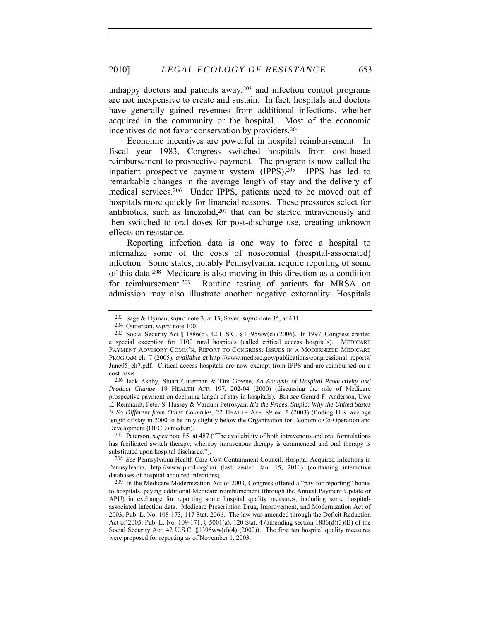unhappy doctors and patients away,  $203$  and infection control programs are not inexpensive to create and sustain. In fact, hospitals and doctors have generally gained revenues from additional infections, whether acquired in the community or the hospital. Most of the economic incentives do not favor conservation by providers.204

Economic incentives are powerful in hospital reimbursement. In fiscal year 1983, Congress switched hospitals from cost-based reimbursement to prospective payment. The program is now called the inpatient prospective payment system (IPPS).205 IPPS has led to remarkable changes in the average length of stay and the delivery of medical services.206 Under IPPS, patients need to be moved out of hospitals more quickly for financial reasons. These pressures select for antibiotics, such as linezolid,<sup>207</sup> that can be started intravenously and then switched to oral doses for post-discharge use, creating unknown effects on resistance.

Reporting infection data is one way to force a hospital to internalize some of the costs of nosocomial (hospital-associated) infection. Some states, notably Pennsylvania, require reporting of some of this data.208 Medicare is also moving in this direction as a condition for reimbursement.209 Routine testing of patients for MRSA on admission may also illustrate another negative externality: Hospitals

<sup>203</sup> Sage & Hyman, *supra* note 3, at 15; Saver, *supra* note 35, at 431.

<sup>204</sup> Outterson, *supra* note 100.

<sup>205</sup> Social Security Act § 1886(d), 42 U.S.C. § 1395ww(d) (2006). In 1997, Congress created a special exception for 1100 rural hospitals (called critical access hospitals). MEDICARE PAYMENT ADVISORY COMM'N, REPORT TO CONGRESS: ISSUES IN A MODERNIZED MEDICARE PROGRAM ch. 7 (2005), *available at* http://www.medpac.gov/publications/congressional\_reports/ June05 ch7.pdf. Critical access hospitals are now exempt from IPPS and are reimbursed on a cost basis.

<sup>206</sup> Jack Ashby, Stuart Guterman & Tim Greene, *An Analysis of Hospital Productivity and Product Change*, 19 HEALTH AFF. 197, 202-04 (2000) (discussing the role of Medicare prospective payment on declining length of stay in hospitals). *But see* Gerard F. Anderson, Uwe E. Reinhardt, Peter S. Hussey & Varduhi Petrosyan, *It's the Prices, Stupid: Why the United States Is So Different from Other Countries*, 22 HEALTH AFF. 89 ex. 5 (2003) (finding U.S. average length of stay in 2000 to be only slightly below the Organization for Economic Co-Operation and Development (OECD) median).

 <sup>207</sup> Paterson, *supra* note 85, at 487 ("The availability of both intravenous and oral formulations has facilitated switch therapy, whereby intravenous therapy is commenced and oral therapy is substituted upon hospital discharge.").

<sup>208</sup> *See* Pennsylvania Health Care Cost Containment Council, Hospital-Acquired Infections in Pennsylvania, http://www.phc4.org/hai (last visited Jan. 15, 2010) (containing interactive databases of hospital-acquired infections).

<sup>209</sup> In the Medicare Modernization Act of 2003, Congress offered a "pay for reporting" bonus to hospitals, paying additional Medicare reimbursement (through the Annual Payment Update or APU) in exchange for reporting some hospital quality measures, including some hospitalassociated infection data. Medicare Prescription Drug, Improvement, and Modernization Act of 2003, Pub. L. No. 108-173, 117 Stat. 2066. The law was amended through the Deficit Reduction Act of 2005, Pub. L. No. 109-171, § 5001(a), 120 Stat. 4 (amending section 1886(d)(3)(B) of the Social Security Act, 42 U.S.C. §1395ww(d)(4) (2002)). The first ten hospital quality measures were proposed for reporting as of November 1, 2003.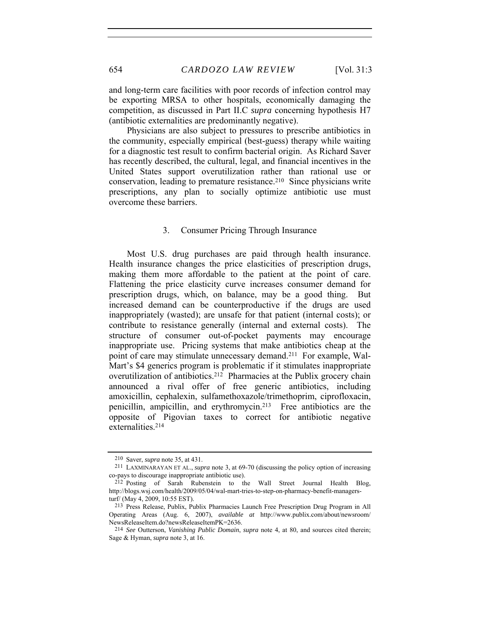and long-term care facilities with poor records of infection control may be exporting MRSA to other hospitals, economically damaging the competition, as discussed in Part II.C *supra* concerning hypothesis H7 (antibiotic externalities are predominantly negative).

Physicians are also subject to pressures to prescribe antibiotics in the community, especially empirical (best-guess) therapy while waiting for a diagnostic test result to confirm bacterial origin. As Richard Saver has recently described, the cultural, legal, and financial incentives in the United States support overutilization rather than rational use or conservation, leading to premature resistance.210 Since physicians write prescriptions, any plan to socially optimize antibiotic use must overcome these barriers.

## 3. Consumer Pricing Through Insurance

Most U.S. drug purchases are paid through health insurance. Health insurance changes the price elasticities of prescription drugs, making them more affordable to the patient at the point of care. Flattening the price elasticity curve increases consumer demand for prescription drugs, which, on balance, may be a good thing. But increased demand can be counterproductive if the drugs are used inappropriately (wasted); are unsafe for that patient (internal costs); or contribute to resistance generally (internal and external costs). The structure of consumer out-of-pocket payments may encourage inappropriate use. Pricing systems that make antibiotics cheap at the point of care may stimulate unnecessary demand.211 For example, Wal-Mart's \$4 generics program is problematic if it stimulates inappropriate overutilization of antibiotics.212 Pharmacies at the Publix grocery chain announced a rival offer of free generic antibiotics, including amoxicillin, cephalexin, sulfamethoxazole/trimethoprim, ciprofloxacin, penicillin, ampicillin, and erythromycin.213 Free antibiotics are the opposite of Pigovian taxes to correct for antibiotic negative externalities.<sup>214</sup>

<sup>210</sup> Saver, *supra* note 35, at 431.

<sup>211</sup> LAXMINARAYAN ET AL., *supra* note 3, at 69-70 (discussing the policy option of increasing co-pays to discourage inappropriate antibiotic use).

<sup>212</sup> Posting of Sarah Rubenstein to the Wall Street Journal Health Blog, http://blogs.wsj.com/health/2009/05/04/wal-mart-tries-to-step-on-pharmacy-benefit-managersturf/ (May 4, 2009, 10:55 EST).

<sup>213</sup> Press Release, Publix, Publix Pharmacies Launch Free Prescription Drug Program in All Operating Areas (Aug. 6, 2007), *available at* http://www.publix.com/about/newsroom/ NewsReleaseItem.do?newsReleaseItemPK=2636.

<sup>214</sup> *See* Outterson, *Vanishing Public Domain*, *supra* note 4, at 80, and sources cited therein; Sage & Hyman, *supra* note 3, at 16.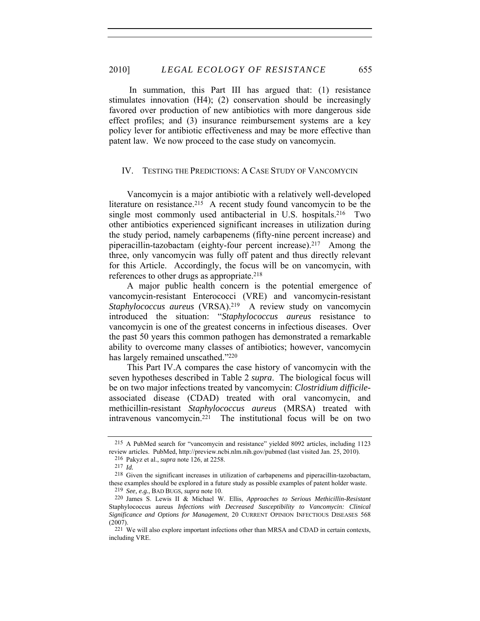In summation, this Part III has argued that: (1) resistance stimulates innovation (H4); (2) conservation should be increasingly favored over production of new antibiotics with more dangerous side effect profiles; and (3) insurance reimbursement systems are a key policy lever for antibiotic effectiveness and may be more effective than patent law. We now proceed to the case study on vancomycin.

# IV. TESTING THE PREDICTIONS: A CASE STUDY OF VANCOMYCIN

Vancomycin is a major antibiotic with a relatively well-developed literature on resistance.<sup>215</sup> A recent study found vancomycin to be the single most commonly used antibacterial in U.S. hospitals.<sup>216</sup> Two other antibiotics experienced significant increases in utilization during the study period, namely carbapenems (fifty-nine percent increase) and piperacillin-tazobactam (eighty-four percent increase).217 Among the three, only vancomycin was fully off patent and thus directly relevant for this Article. Accordingly, the focus will be on vancomycin, with references to other drugs as appropriate.218

A major public health concern is the potential emergence of vancomycin-resistant Enterococci (VRE) and vancomycin-resistant *Staphylococcus aureus* (VRSA).219 A review study on vancomycin introduced the situation: "*Staphylococcus aureus* resistance to vancomycin is one of the greatest concerns in infectious diseases. Over the past 50 years this common pathogen has demonstrated a remarkable ability to overcome many classes of antibiotics; however, vancomycin has largely remained unscathed."220

This Part IV.A compares the case history of vancomycin with the seven hypotheses described in Table 2 *supra*. The biological focus will be on two major infections treated by vancomycin: *Clostridium difficile*associated disease (CDAD) treated with oral vancomycin, and methicillin-resistant *Staphylococcus aureus* (MRSA) treated with intravenous vancomycin.221 The institutional focus will be on two

<sup>215</sup> A PubMed search for "vancomycin and resistance" yielded 8092 articles, including 1123 review articles. PubMed, http://preview.ncbi.nlm.nih.gov/pubmed (last visited Jan. 25, 2010).

<sup>216</sup> Pakyz et al., *supra* note 126, at 2258.

<sup>217</sup> *Id.*

<sup>218</sup> Given the significant increases in utilization of carbapenems and piperacillin-tazobactam, these examples should be explored in a future study as possible examples of patent holder waste.

<sup>219</sup> *See, e.g.*, BAD BUGS, *supra* note 10.

<sup>220</sup> James S. Lewis II & Michael W. Ellis, *Approaches to Serious Methicillin-Resistant*  Staphylococcus aureus *Infections with Decreased Susceptibility to Vancomycin: Clinical Significance and Options for Management*, 20 CURRENT OPINION INFECTIOUS DISEASES 568 (2007).

<sup>221</sup> We will also explore important infections other than MRSA and CDAD in certain contexts, including VRE.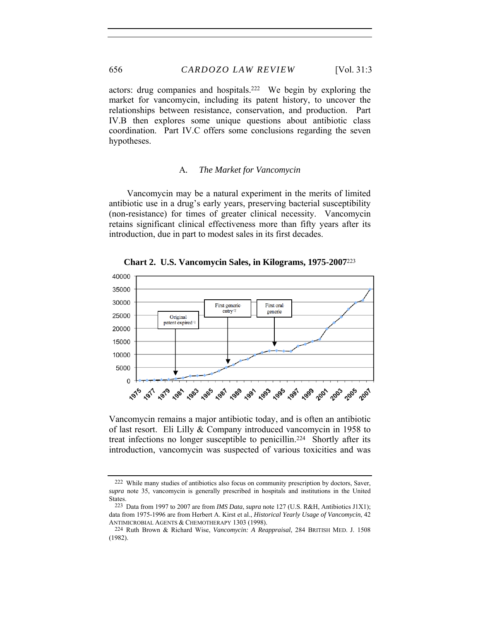actors: drug companies and hospitals.222 We begin by exploring the market for vancomycin, including its patent history, to uncover the relationships between resistance, conservation, and production. Part IV.B then explores some unique questions about antibiotic class coordination. Part IV.C offers some conclusions regarding the seven hypotheses.

#### A*. The Market for Vancomycin*

Vancomycin may be a natural experiment in the merits of limited antibiotic use in a drug's early years, preserving bacterial susceptibility (non-resistance) for times of greater clinical necessity. Vancomycin retains significant clinical effectiveness more than fifty years after its introduction, due in part to modest sales in its first decades.



**Chart 2. U.S. Vancomycin Sales, in Kilograms, 1975-2007**<sup>223</sup>

Vancomycin remains a major antibiotic today, and is often an antibiotic of last resort. Eli Lilly & Company introduced vancomycin in 1958 to treat infections no longer susceptible to penicillin.224 Shortly after its introduction, vancomycin was suspected of various toxicities and was

<sup>222</sup> While many studies of antibiotics also focus on community prescription by doctors, Saver, *supra* note 35, vancomycin is generally prescribed in hospitals and institutions in the United States.

<sup>223</sup> Data from 1997 to 2007 are from *IMS Data*, *supra* note 127 (U.S. R&H, Antibiotics J1X1); data from 1975-1996 are from Herbert A. Kirst et al., *Historical Yearly Usage of Vancomycin*, 42 ANTIMICROBIAL AGENTS & CHEMOTHERAPY 1303 (1998).

<sup>224</sup> Ruth Brown & Richard Wise, *Vancomycin: A Reappraisal*, 284 BRITISH MED. J. 1508 (1982).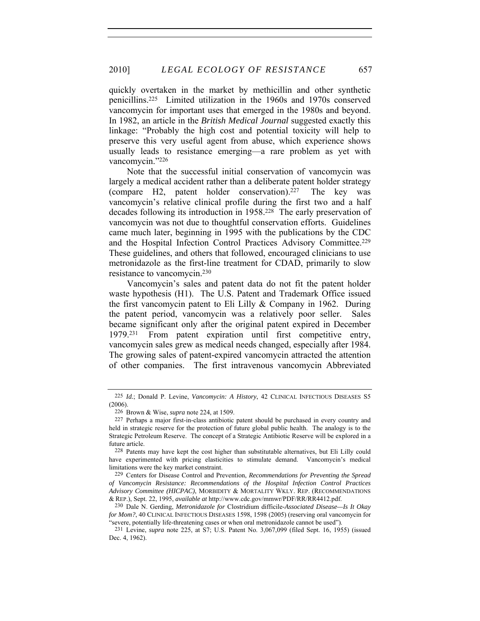quickly overtaken in the market by methicillin and other synthetic penicillins.225 Limited utilization in the 1960s and 1970s conserved vancomycin for important uses that emerged in the 1980s and beyond. In 1982, an article in the *British Medical Journal* suggested exactly this linkage: "Probably the high cost and potential toxicity will help to preserve this very useful agent from abuse, which experience shows usually leads to resistance emerging—a rare problem as yet with vancomycin."226

Note that the successful initial conservation of vancomycin was largely a medical accident rather than a deliberate patent holder strategy (compare H2, patent holder conservation).<sup>227</sup> The key was vancomycin's relative clinical profile during the first two and a half decades following its introduction in 1958.228 The early preservation of vancomycin was not due to thoughtful conservation efforts. Guidelines came much later, beginning in 1995 with the publications by the CDC and the Hospital Infection Control Practices Advisory Committee.<sup>229</sup> These guidelines, and others that followed, encouraged clinicians to use metronidazole as the first-line treatment for CDAD, primarily to slow resistance to vancomycin.230

Vancomycin's sales and patent data do not fit the patent holder waste hypothesis (H1). The U.S. Patent and Trademark Office issued the first vancomycin patent to Eli Lilly & Company in 1962. During the patent period, vancomycin was a relatively poor seller. Sales became significant only after the original patent expired in December 1979.231 From patent expiration until first competitive entry, vancomycin sales grew as medical needs changed, especially after 1984. The growing sales of patent-expired vancomycin attracted the attention of other companies. The first intravenous vancomycin Abbreviated

<sup>225</sup> *Id.*; Donald P. Levine, *Vancomycin: A History*, 42 CLINICAL INFECTIOUS DISEASES S5 (2006).

<sup>226</sup> Brown & Wise, *supra* note 224, at 1509.

<sup>227</sup> Perhaps a major first-in-class antibiotic patent should be purchased in every country and held in strategic reserve for the protection of future global public health. The analogy is to the Strategic Petroleum Reserve. The concept of a Strategic Antibiotic Reserve will be explored in a future article.

<sup>228</sup> Patents may have kept the cost higher than substitutable alternatives, but Eli Lilly could have experimented with pricing elasticities to stimulate demand. Vancomycin's medical limitations were the key market constraint.

<sup>229</sup> Centers for Disease Control and Prevention, *Recommendations for Preventing the Spread of Vancomycin Resistance: Recommendations of the Hospital Infection Control Practices Advisory Committee (HICPAC)*, MORBIDITY & MORTALITY WKLY. REP. (RECOMMENDATIONS & REP.), Sept. 22, 1995, *available at* http://www.cdc.gov/mmwr/PDF/RR/RR4412.pdf.

<sup>230</sup> Dale N. Gerding, *Metronidazole for* Clostridium difficile*-Associated Disease—Is It Okay for Mom?*, 40 CLINICAL INFECTIOUS DISEASES 1598, 1598 (2005) (reserving oral vancomycin for 'severe, potentially life-threatening cases or when oral metronidazole cannot be used").

<sup>231</sup> Levine, *supra* note 225, at S7; U.S. Patent No. 3,067,099 (filed Sept. 16, 1955) (issued Dec. 4, 1962).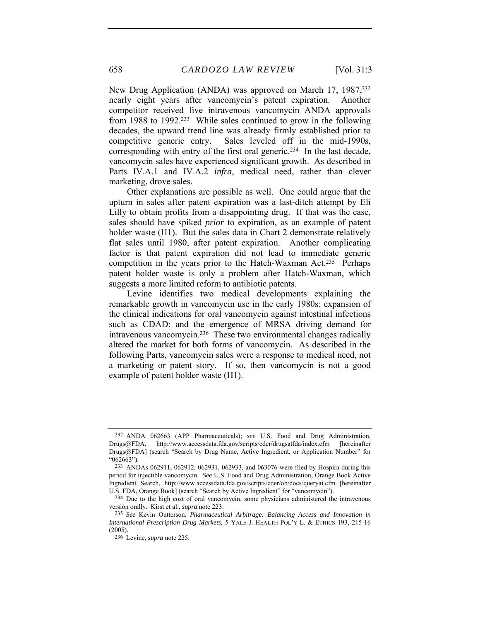New Drug Application (ANDA) was approved on March 17, 1987,<sup>232</sup> nearly eight years after vancomycin's patent expiration. Another competitor received five intravenous vancomycin ANDA approvals from 1988 to 1992.233 While sales continued to grow in the following decades, the upward trend line was already firmly established prior to competitive generic entry. Sales leveled off in the mid-1990s, corresponding with entry of the first oral generic.234 In the last decade, vancomycin sales have experienced significant growth. As described in Parts IV.A.1 and IV.A.2 *infra*, medical need, rather than clever marketing, drove sales.

Other explanations are possible as well. One could argue that the upturn in sales after patent expiration was a last-ditch attempt by Eli Lilly to obtain profits from a disappointing drug. If that was the case, sales should have spiked *prior* to expiration, as an example of patent holder waste (H1). But the sales data in Chart 2 demonstrate relatively flat sales until 1980, after patent expiration. Another complicating factor is that patent expiration did not lead to immediate generic competition in the years prior to the Hatch-Waxman Act.235 Perhaps patent holder waste is only a problem after Hatch-Waxman, which suggests a more limited reform to antibiotic patents.

Levine identifies two medical developments explaining the remarkable growth in vancomycin use in the early 1980s: expansion of the clinical indications for oral vancomycin against intestinal infections such as CDAD; and the emergence of MRSA driving demand for intravenous vancomycin.236 These two environmental changes radically altered the market for both forms of vancomycin. As described in the following Parts, vancomycin sales were a response to medical need, not a marketing or patent story. If so, then vancomycin is not a good example of patent holder waste (H1).

<sup>232</sup> ANDA 062663 (APP Pharmaceuticals); *see* U.S. Food and Drug Administration, Drugs@FDA, http://www.accessdata.fda.gov/scripts/cder/drugsatfda/index.cfm [hereinafter Drugs@FDA] (search "Search by Drug Name, Active Ingredient, or Application Number" for "062663").

<sup>233</sup> ANDAs 062911, 062912, 062931, 062933, and 063076 were filed by Hospira during this period for injectible vancomycin. *See* U.S. Food and Drug Administration, Orange Book Active Ingredient Search, http://www.accessdata.fda.gov/scripts/cder/ob/docs/queryai.cfm [hereinafter U.S. FDA, Orange Book] (search "Search by Active Ingredient" for "vancomycin").

<sup>234</sup> Due to the high cost of oral vancomycin, some physicians administered the intravenous version orally. Kirst et al., *supra* note 223.

<sup>235</sup> *See* Kevin Outterson, *Pharmaceutical Arbitrage: Balancing Access and Innovation in International Prescription Drug Markets*, 5 YALE J. HEALTH POL'Y L. & ETHICS 193, 215-16 (2005).

<sup>236</sup> Levine, *supra* note 225.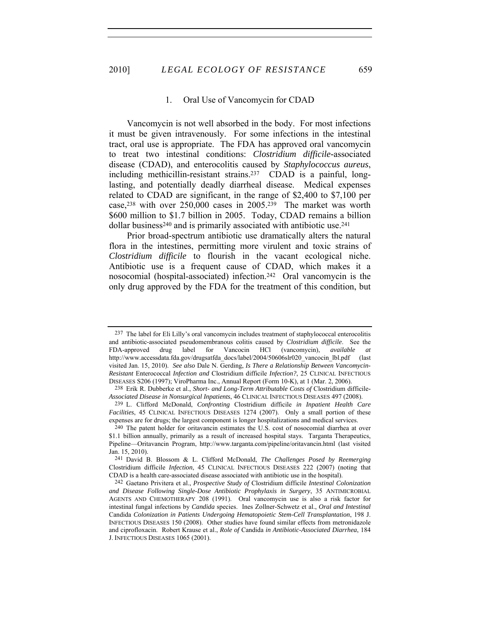#### 1. Oral Use of Vancomycin for CDAD

Vancomycin is not well absorbed in the body. For most infections it must be given intravenously. For some infections in the intestinal tract, oral use is appropriate. The FDA has approved oral vancomycin to treat two intestinal conditions: *Clostridium difficile-*associated disease (CDAD), and enterocolitis caused by *Staphylococcus aureus*, including methicillin-resistant strains.237 CDAD is a painful, longlasting, and potentially deadly diarrheal disease. Medical expenses related to CDAD are significant, in the range of \$2,400 to \$7,100 per case,238 with over 250,000 cases in 2005.239 The market was worth \$600 million to \$1.7 billion in 2005. Today, CDAD remains a billion dollar business<sup>240</sup> and is primarily associated with antibiotic use.<sup>241</sup>

Prior broad-spectrum antibiotic use dramatically alters the natural flora in the intestines, permitting more virulent and toxic strains of *Clostridium difficile* to flourish in the vacant ecological niche. Antibiotic use is a frequent cause of CDAD, which makes it a nosocomial (hospital-associated) infection.242 Oral vancomycin is the only drug approved by the FDA for the treatment of this condition, but

<sup>237</sup> The label for Eli Lilly's oral vancomycin includes treatment of staphylococcal enterocolitis and antibiotic-associated pseudomembranous colitis caused by *Clostridium difficile*. See the FDA-approved drug label for Vancocin HCl (vancomycin), *available at* http://www.accessdata.fda.gov/drugsatfda\_docs/label/2004/50606slr020\_vancocin\_lbl.pdf (last visited Jan. 15, 2010). *See also* Dale N. Gerding, *Is There a Relationship Between Vancomycin-Resistant* Enterococcal *Infection and* Clostridium difficile *Infection?*, 25 CLINICAL INFECTIOUS DISEASES S206 (1997); ViroPharma Inc., Annual Report (Form 10-K), at 1 (Mar. 2, 2006).

<sup>238</sup> Erik R. Dubberke et al., *Short- and Long-Term Attributable Costs of* Clostridium difficile*-Associated Disease in Nonsurgical Inpatients*, 46 CLINICAL INFECTIOUS DISEASES 497 (2008).

<sup>239</sup> L. Clifford McDonald, *Confronting* Clostridium difficile *in Inpatient Health Care Facilities*, 45 CLINICAL INFECTIOUS DISEASES 1274 (2007). Only a small portion of these expenses are for drugs; the largest component is longer hospitalizations and medical services.

<sup>240</sup> The patent holder for oritavancin estimates the U.S. cost of nosocomial diarrhea at over \$1.1 billion annually, primarily as a result of increased hospital stays. Targanta Therapeutics, Pipeline—Oritavancin Program, http://www.targanta.com/pipeline/oritavancin.html (last visited Jan. 15, 2010).

<sup>241</sup> David B. Blossom & L. Clifford McDonald, *The Challenges Posed by Reemerging*  Clostridium difficile *Infection*, 45 CLINICAL INFECTIOUS DISEASES 222 (2007) (noting that CDAD is a health care-associated disease associated with antibiotic use in the hospital).

<sup>242</sup> Gaetano Privitera et al., *Prospective Study of* Clostridium difficile *Intestinal Colonization and Disease Following Single-Dose Antibiotic Prophylaxis in Surgery*, 35 ANTIMICROBIAL AGENTS AND CHEMOTHERAPY 208 (1991). Oral vancomycin use is also a risk factor for intestinal fungal infections by *Candida* species. Ines Zollner-Schwetz et al., *Oral and Intestinal*  Candida *Colonization in Patients Undergoing Hematopoietic Stem-Cell Transplantation*, 198 J. INFECTIOUS DISEASES 150 (2008). Other studies have found similar effects from metronidazole and ciprofloxacin. Robert Krause et al., *Role of* Candida *in Antibiotic-Associated Diarrhea*, 184 J. INFECTIOUS DISEASES 1065 (2001).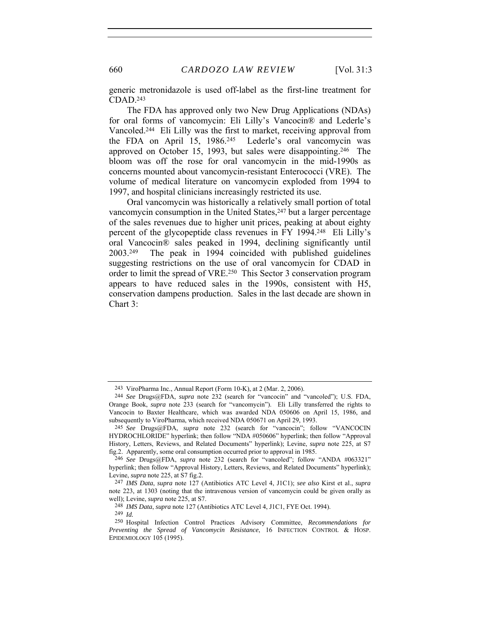generic metronidazole is used off-label as the first-line treatment for CDAD.243

The FDA has approved only two New Drug Applications (NDAs) for oral forms of vancomycin: Eli Lilly's Vancocin® and Lederle's Vancoled.244 Eli Lilly was the first to market, receiving approval from the FDA on April 15, 1986.245 Lederle's oral vancomycin was approved on October 15, 1993, but sales were disappointing.246 The bloom was off the rose for oral vancomycin in the mid-1990s as concerns mounted about vancomycin-resistant Enterococci (VRE). The volume of medical literature on vancomycin exploded from 1994 to 1997, and hospital clinicians increasingly restricted its use.

Oral vancomycin was historically a relatively small portion of total vancomycin consumption in the United States,<sup>247</sup> but a larger percentage of the sales revenues due to higher unit prices, peaking at about eighty percent of the glycopeptide class revenues in FY 1994.248 Eli Lilly's oral Vancocin® sales peaked in 1994, declining significantly until 2003.249 The peak in 1994 coincided with published guidelines suggesting restrictions on the use of oral vancomycin for CDAD in order to limit the spread of VRE.250 This Sector 3 conservation program appears to have reduced sales in the 1990s, consistent with H5, conservation dampens production. Sales in the last decade are shown in Chart 3:

<sup>243</sup> ViroPharma Inc., Annual Report (Form 10-K), at 2 (Mar. 2, 2006).

<sup>244</sup> *See* Drugs@FDA, *supra* note 232 (search for "vancocin" and "vancoled"); U.S. FDA, Orange Book, *supra* note 233 (search for "vancomycin"). Eli Lilly transferred the rights to Vancocin to Baxter Healthcare, which was awarded NDA 050606 on April 15, 1986, and subsequently to ViroPharma, which received NDA 050671 on April 29, 1993.

<sup>245</sup> *See* Drugs@FDA, *supra* note 232 (search for "vancocin"; follow "VANCOCIN HYDROCHLORIDE" hyperlink; then follow "NDA #050606" hyperlink; then follow "Approval History, Letters, Reviews, and Related Documents" hyperlink); Levine, *supra* note 225, at S7 fig.2. Apparently, some oral consumption occurred prior to approval in 1985.

<sup>246</sup> *See* Drugs@FDA, *supra* note 232 (search for "vancoled"; follow "ANDA #063321" hyperlink; then follow "Approval History, Letters, Reviews, and Related Documents" hyperlink); Levine, *supra* note 225, at S7 fig.2.

<sup>247</sup> *IMS Data*, *supra* note 127 (Antibiotics ATC Level 4, J1C1); *see also* Kirst et al., *supra* note 223, at 1303 (noting that the intravenous version of vancomycin could be given orally as well); Levine, *supra* note 225, at S7.

<sup>248</sup> *IMS Data*, *supra* note 127 (Antibiotics ATC Level 4, J1C1, FYE Oct. 1994).

<sup>249</sup> *Id.*

<sup>250</sup> Hospital Infection Control Practices Advisory Committee, *Recommendations for Preventing the Spread of Vancomycin Resistance*, 16 INFECTION CONTROL & HOSP. EPIDEMIOLOGY 105 (1995).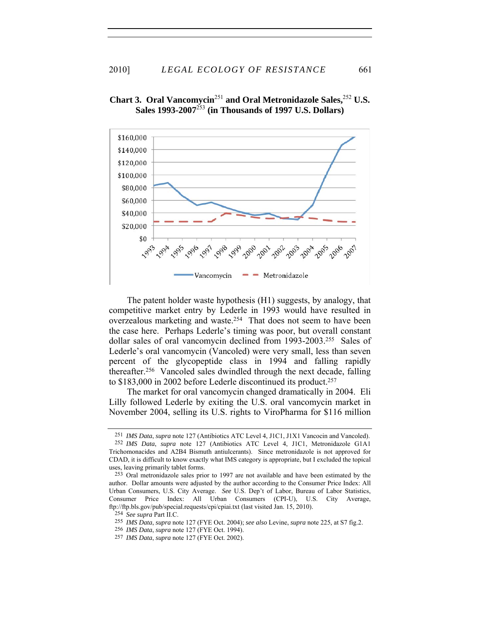

# **Chart 3. Oral Vancomycin**<sup>251</sup> **and Oral Metronidazole Sales,**<sup>252</sup> **U.S. Sales 1993-2007**<sup>253</sup> **(in Thousands of 1997 U.S. Dollars)**

The patent holder waste hypothesis (H1) suggests, by analogy, that competitive market entry by Lederle in 1993 would have resulted in overzealous marketing and waste.254 That does not seem to have been the case here. Perhaps Lederle's timing was poor, but overall constant dollar sales of oral vancomycin declined from 1993-2003.255 Sales of Lederle's oral vancomycin (Vancoled) were very small, less than seven percent of the glycopeptide class in 1994 and falling rapidly thereafter.256 Vancoled sales dwindled through the next decade, falling to \$183,000 in 2002 before Lederle discontinued its product.257

The market for oral vancomycin changed dramatically in 2004. Eli Lilly followed Lederle by exiting the U.S. oral vancomycin market in November 2004, selling its U.S. rights to ViroPharma for \$116 million

<sup>251</sup> *IMS Data*, *supra* note 127 (Antibiotics ATC Level 4, J1C1, J1X1 Vancocin and Vancoled).

<sup>252</sup> *IMS Data*, *supra* note 127 (Antibiotics ATC Level 4, J1C1, Metronidazole G1A1 Trichomonacides and A2B4 Bismuth antiulcerants). Since metronidazole is not approved for CDAD, it is difficult to know exactly what IMS category is appropriate, but I excluded the topical uses, leaving primarily tablet forms.

<sup>253</sup> Oral metronidazole sales prior to 1997 are not available and have been estimated by the author. Dollar amounts were adjusted by the author according to the Consumer Price Index: All Urban Consumers, U.S. City Average. *See* U.S. Dep't of Labor, Bureau of Labor Statistics, Consumer Price Index: All Urban Consumers (CPI-U), U.S. City Average, ftp://ftp.bls.gov/pub/special.requests/cpi/cpiai.txt (last visited Jan. 15, 2010).

<sup>254</sup> *See supra* Part II.C.

<sup>255</sup> *IMS Data*, *supra* note 127 (FYE Oct. 2004); *see also* Levine, *supra* note 225, at S7 fig.2.

<sup>256</sup> *IMS Data*, *supra* note 127 (FYE Oct. 1994).

<sup>257</sup> *IMS Data*, *supra* note 127 (FYE Oct. 2002).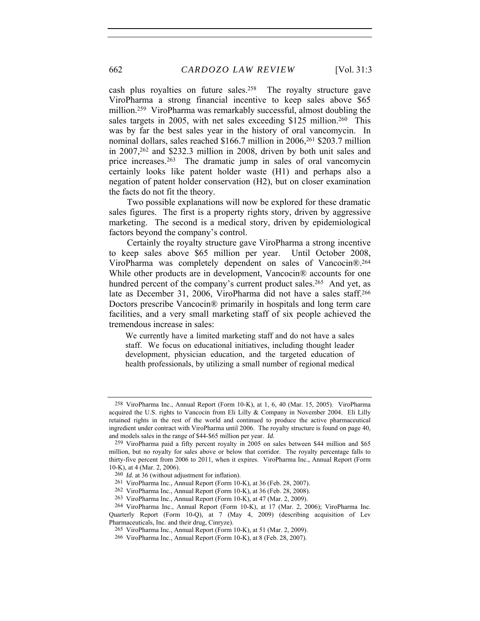cash plus royalties on future sales.258 The royalty structure gave ViroPharma a strong financial incentive to keep sales above \$65 million.259 ViroPharma was remarkably successful, almost doubling the sales targets in 2005, with net sales exceeding \$125 million.<sup>260</sup> This was by far the best sales year in the history of oral vancomycin. In nominal dollars, sales reached \$166.7 million in 2006,261 \$203.7 million in 2007,262 and \$232.3 million in 2008, driven by both unit sales and price increases.263 The dramatic jump in sales of oral vancomycin certainly looks like patent holder waste (H1) and perhaps also a negation of patent holder conservation (H2), but on closer examination the facts do not fit the theory.

Two possible explanations will now be explored for these dramatic sales figures. The first is a property rights story, driven by aggressive marketing. The second is a medical story, driven by epidemiological factors beyond the company's control.

Certainly the royalty structure gave ViroPharma a strong incentive to keep sales above \$65 million per year. Until October 2008, ViroPharma was completely dependent on sales of Vancocin®.264 While other products are in development, Vancocin® accounts for one hundred percent of the company's current product sales.<sup>265</sup> And yet, as late as December 31, 2006, ViroPharma did not have a sales staff.266 Doctors prescribe Vancocin® primarily in hospitals and long term care facilities, and a very small marketing staff of six people achieved the tremendous increase in sales:

We currently have a limited marketing staff and do not have a sales staff. We focus on educational initiatives, including thought leader development, physician education, and the targeted education of health professionals, by utilizing a small number of regional medical

<sup>258</sup> ViroPharma Inc., Annual Report (Form 10-K), at 1, 6, 40 (Mar. 15, 2005). ViroPharma acquired the U.S. rights to Vancocin from Eli Lilly & Company in November 2004. Eli Lilly retained rights in the rest of the world and continued to produce the active pharmaceutical ingredient under contract with ViroPharma until 2006. The royalty structure is found on page 40, and models sales in the range of \$44-\$65 million per year. *Id.*

<sup>259</sup> ViroPharma paid a fifty percent royalty in 2005 on sales between \$44 million and \$65 million, but no royalty for sales above or below that corridor. The royalty percentage falls to thirty-five percent from 2006 to 2011, when it expires. ViroPharma Inc., Annual Report (Form 10-K), at 4 (Mar. 2, 2006).

<sup>260</sup> *Id.* at 36 (without adjustment for inflation).

<sup>261</sup> ViroPharma Inc., Annual Report (Form 10-K), at 36 (Feb. 28, 2007).

<sup>262</sup> ViroPharma Inc., Annual Report (Form 10-K), at 36 (Feb. 28, 2008).

<sup>263</sup> ViroPharma Inc., Annual Report (Form 10-K), at 47 (Mar. 2, 2009).

<sup>264</sup> ViroPharma Inc., Annual Report (Form 10-K), at 17 (Mar. 2, 2006); ViroPharma Inc. Quarterly Report (Form 10-Q), at 7 (May 4, 2009) (describing acquisition of Lev Pharmaceuticals, Inc. and their drug, Cinryze).

<sup>265</sup> ViroPharma Inc., Annual Report (Form 10-K), at 51 (Mar. 2, 2009).

<sup>266</sup> ViroPharma Inc., Annual Report (Form 10-K), at 8 (Feb. 28, 2007).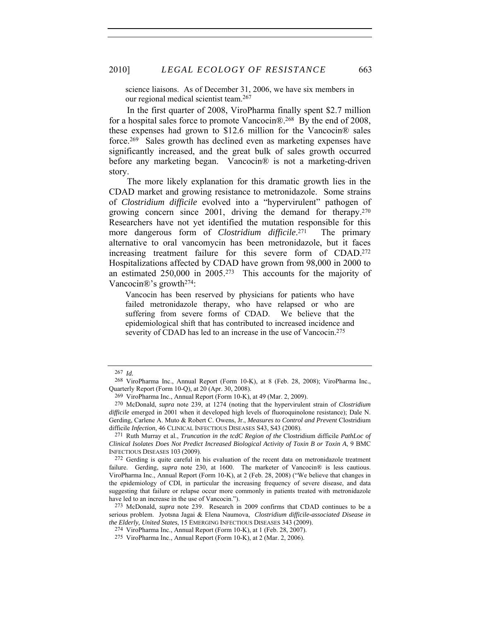science liaisons. As of December 31, 2006, we have six members in our regional medical scientist team.267

In the first quarter of 2008, ViroPharma finally spent \$2.7 million for a hospital sales force to promote Vancocin®.268 By the end of 2008, these expenses had grown to \$12.6 million for the Vancocin® sales force.269 Sales growth has declined even as marketing expenses have significantly increased, and the great bulk of sales growth occurred before any marketing began. Vancocin<sup>®</sup> is not a marketing-driven story.

The more likely explanation for this dramatic growth lies in the CDAD market and growing resistance to metronidazole. Some strains of *Clostridium difficile* evolved into a "hypervirulent" pathogen of growing concern since 2001, driving the demand for therapy.270 Researchers have not yet identified the mutation responsible for this more dangerous form of *Clostridium difficile*. The primary alternative to oral vancomycin has been metronidazole, but it faces increasing treatment failure for this severe form of CDAD.272 Hospitalizations affected by CDAD have grown from 98,000 in 2000 to an estimated 250,000 in 2005.273 This accounts for the majority of Vancocin®'s growth274:

Vancocin has been reserved by physicians for patients who have failed metronidazole therapy, who have relapsed or who are suffering from severe forms of CDAD. We believe that the epidemiological shift that has contributed to increased incidence and severity of CDAD has led to an increase in the use of Vancocin.<sup>275</sup>

<sup>267</sup> *Id.*

<sup>268</sup> ViroPharma Inc., Annual Report (Form 10-K), at 8 (Feb. 28, 2008); ViroPharma Inc., Quarterly Report (Form 10-Q), at 20 (Apr. 30, 2008).

<sup>269</sup> ViroPharma Inc., Annual Report (Form 10-K), at 49 (Mar. 2, 2009).

<sup>270</sup> McDonald, *supra* note 239, at 1274 (noting that the hypervirulent strain of *Clostridium difficile* emerged in 2001 when it developed high levels of fluoroquinolone resistance); Dale N. Gerding, Carlene A. Muto & Robert C. Owens, Jr., *Measures to Control and Prevent* Clostridium difficile *Infection*, 46 CLINICAL INFECTIOUS DISEASES S43, S43 (2008).

<sup>271</sup> Ruth Murray et al., *Truncation in the tcdC Region of the* Clostridium difficile *PathLoc of Clinical Isolates Does Not Predict Increased Biological Activity of Toxin B or Toxin A*, 9 BMC INFECTIOUS DISEASES 103 (2009).

<sup>272</sup> Gerding is quite careful in his evaluation of the recent data on metronidazole treatment failure. Gerding, *supra* note 230, at 1600. The marketer of Vancocin® is less cautious. ViroPharma Inc., Annual Report (Form 10-K), at 2 (Feb. 28, 2008) ("We believe that changes in the epidemiology of CDI, in particular the increasing frequency of severe disease, and data suggesting that failure or relapse occur more commonly in patients treated with metronidazole have led to an increase in the use of Vancocin.").

<sup>273</sup> McDonald, *supra* note 239. Research in 2009 confirms that CDAD continues to be a serious problem. Jyotsna Jagai & Elena Naumova, *Clostridium difficile-associated Disease in the Elderly, United States*, 15 EMERGING INFECTIOUS DISEASES 343 (2009).

<sup>274</sup> ViroPharma Inc., Annual Report (Form 10-K), at 1 (Feb. 28, 2007).

<sup>275</sup> ViroPharma Inc., Annual Report (Form 10-K), at 2 (Mar. 2, 2006).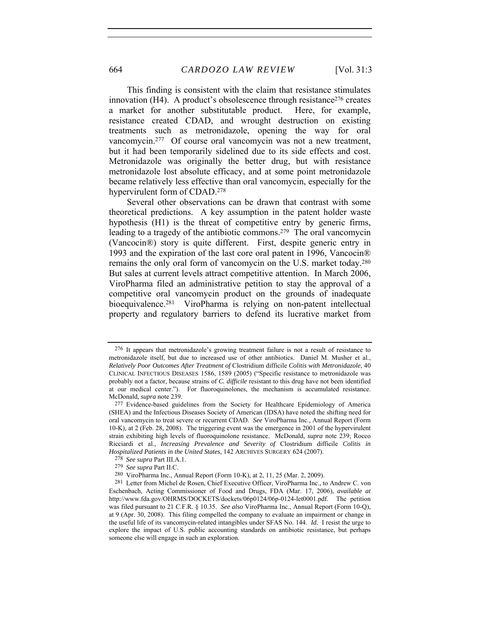This finding is consistent with the claim that resistance stimulates innovation  $(H4)$ . A product's obsolescence through resistance<sup>276</sup> creates a market for another substitutable product. Here, for example, resistance created CDAD, and wrought destruction on existing treatments such as metronidazole, opening the way for oral vancomycin.277 Of course oral vancomycin was not a new treatment, but it had been temporarily sidelined due to its side effects and cost. Metronidazole was originally the better drug, but with resistance metronidazole lost absolute efficacy, and at some point metronidazole became relatively less effective than oral vancomycin, especially for the hypervirulent form of CDAD.278

Several other observations can be drawn that contrast with some theoretical predictions. A key assumption in the patent holder waste hypothesis (H1) is the threat of competitive entry by generic firms, leading to a tragedy of the antibiotic commons.279 The oral vancomycin (Vancocin®) story is quite different. First, despite generic entry in 1993 and the expiration of the last core oral patent in 1996, Vancocin® remains the only oral form of vancomycin on the U.S. market today.280 But sales at current levels attract competitive attention. In March 2006, ViroPharma filed an administrative petition to stay the approval of a competitive oral vancomycin product on the grounds of inadequate bioequivalence.281 ViroPharma is relying on non-patent intellectual property and regulatory barriers to defend its lucrative market from

<sup>276</sup> It appears that metronidazole's growing treatment failure is not a result of resistance to metronidazole itself, but due to increased use of other antibiotics. Daniel M. Musher et al., *Relatively Poor Outcomes After Treatment of* Clostridium difficile *Colitis with Metronidazole*, 40 CLINICAL INFECTIOUS DISEASES 1586, 1589 (2005) ("Specific resistance to metronidazole was probably not a factor, because strains of *C. difficile* resistant to this drug have not been identified at our medical center."). For fluoroquinolones, the mechanism is accumulated resistance. McDonald, *supra* note 239.

<sup>277</sup> Evidence-based guidelines from the Society for Healthcare Epidemiology of America (SHEA) and the Infectious Diseases Society of American (IDSA) have noted the shifting need for oral vancomycin to treat severe or recurrent CDAD. *See* ViroPharma Inc., Annual Report (Form 10-K), at 2 (Feb. 28, 2008). The triggering event was the emergence in 2001 of the hypervirulent strain exhibiting high levels of fluoroquinolone resistance. McDonald, *supra* note 239; Rocco Ricciardi et al., *Increasing Prevalence and Severity of* Clostridium difficile *Colitis in Hospitalized Patients in the United States*, 142 ARCHIVES SURGERY 624 (2007).

<sup>278</sup> *See supra* Part III.A.1.

<sup>279</sup> *See supra* Part II.C.

<sup>280</sup> ViroPharma Inc., Annual Report (Form 10-K), at 2, 11, 25 (Mar. 2, 2009).

<sup>281</sup> Letter from Michel de Rosen, Chief Executive Officer, ViroPharma Inc., to Andrew C. von Eschenbach, Acting Commissioner of Food and Drugs, FDA (Mar. 17, 2006), *available at* http://www.fda.gov/OHRMS/DOCKETS/dockets/06p0124/06p-0124-let0001.pdf. The petition was filed pursuant to 21 C.F.R. § 10.35. *See also* ViroPharma Inc., Annual Report (Form 10-Q), at 9 (Apr. 30, 2008). This filing compelled the company to evaluate an impairment or change in the useful life of its vancomycin-related intangibles under SFAS No. 144. *Id.* I resist the urge to explore the impact of U.S. public accounting standards on antibiotic resistance, but perhaps someone else will engage in such an exploration.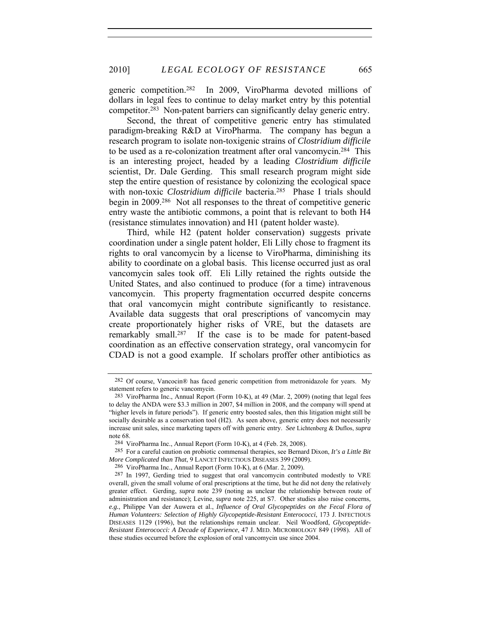generic competition.282 In 2009, ViroPharma devoted millions of dollars in legal fees to continue to delay market entry by this potential competitor.283 Non-patent barriers can significantly delay generic entry.

Second, the threat of competitive generic entry has stimulated paradigm-breaking R&D at ViroPharma. The company has begun a research program to isolate non-toxigenic strains of *Clostridium difficile*  to be used as a re-colonization treatment after oral vancomycin.284 This is an interesting project, headed by a leading *Clostridium difficile*  scientist, Dr. Dale Gerding. This small research program might side step the entire question of resistance by colonizing the ecological space with non-toxic *Clostridium difficile* bacteria.<sup>285</sup> Phase I trials should begin in 2009.286 Not all responses to the threat of competitive generic entry waste the antibiotic commons, a point that is relevant to both H4 (resistance stimulates innovation) and H1 (patent holder waste).

Third, while H2 (patent holder conservation) suggests private coordination under a single patent holder, Eli Lilly chose to fragment its rights to oral vancomycin by a license to ViroPharma, diminishing its ability to coordinate on a global basis. This license occurred just as oral vancomycin sales took off. Eli Lilly retained the rights outside the United States, and also continued to produce (for a time) intravenous vancomycin. This property fragmentation occurred despite concerns that oral vancomycin might contribute significantly to resistance. Available data suggests that oral prescriptions of vancomycin may create proportionately higher risks of VRE, but the datasets are remarkably small.287 If the case is to be made for patent-based coordination as an effective conservation strategy, oral vancomycin for CDAD is not a good example. If scholars proffer other antibiotics as

<sup>282</sup> Of course, Vancocin® has faced generic competition from metronidazole for years. My statement refers to generic vancomycin.

<sup>283</sup> ViroPharma Inc., Annual Report (Form 10-K), at 49 (Mar. 2, 2009) (noting that legal fees to delay the ANDA were \$3.3 million in 2007, \$4 million in 2008, and the company will spend at "higher levels in future periods"). If generic entry boosted sales, then this litigation might still be socially desirable as a conservation tool (H2). As seen above, generic entry does not necessarily increase unit sales, since marketing tapers off with generic entry. *See* Lichtenberg & Duflos, *supra* note 68.

<sup>284</sup> ViroPharma Inc., Annual Report (Form 10-K), at 4 (Feb. 28, 2008).

<sup>285</sup> For a careful caution on probiotic commensal therapies, see Bernard Dixon, *It's a Little Bit More Complicated than That*, 9 LANCET INFECTIOUS DISEASES 399 (2009).

<sup>286</sup> ViroPharma Inc., Annual Report (Form 10-K), at 6 (Mar. 2, 2009).

<sup>287</sup> In 1997, Gerding tried to suggest that oral vancomycin contributed modestly to VRE overall, given the small volume of oral prescriptions at the time, but he did not deny the relatively greater effect. Gerding, *supra* note 239 (noting as unclear the relationship between route of administration and resistance); Levine, *supra* note 225, at S7. Other studies also raise concerns, *e.g.*, Philippe Van der Auwera et al., *Influence of Oral Glycopeptides on the Fecal Flora of Human Volunteers: Selection of Highly Glycopeptide-Resistant Enterococci*, 173 J. INFECTIOUS DISEASES 1129 (1996), but the relationships remain unclear. Neil Woodford, *Glycopeptide-Resistant Enterococci: A Decade of Experience*, 47 J. MED. MICROBIOLOGY 849 (1998). All of these studies occurred before the explosion of oral vancomycin use since 2004.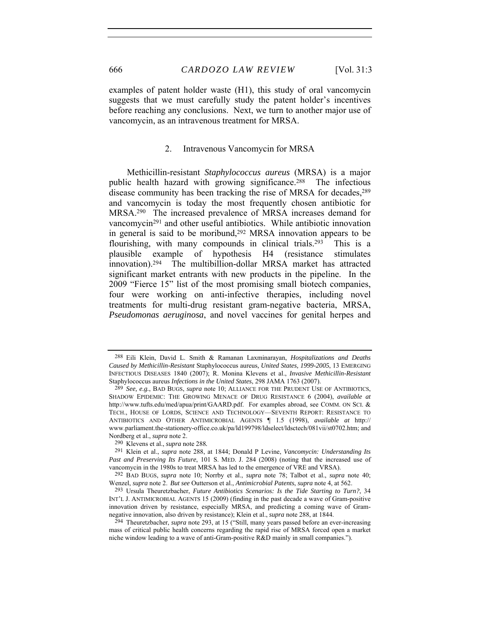examples of patent holder waste (H1), this study of oral vancomycin suggests that we must carefully study the patent holder's incentives before reaching any conclusions. Next, we turn to another major use of vancomycin, as an intravenous treatment for MRSA.

#### 2. Intravenous Vancomycin for MRSA

Methicillin-resistant *Staphylococcus aureus* (MRSA) is a major public health hazard with growing significance.288 The infectious disease community has been tracking the rise of MRSA for decades,<sup>289</sup> and vancomycin is today the most frequently chosen antibiotic for MRSA.290 The increased prevalence of MRSA increases demand for vancomycin291 and other useful antibiotics. While antibiotic innovation in general is said to be moribund,292 MRSA innovation appears to be flourishing, with many compounds in clinical trials.<sup>293</sup> This is a plausible example of hypothesis H4 (resistance stimulates innovation).294 The multibillion-dollar MRSA market has attracted significant market entrants with new products in the pipeline. In the 2009 "Fierce 15" list of the most promising small biotech companies, four were working on anti-infective therapies, including novel treatments for multi-drug resistant gram-negative bacteria, MRSA, *Pseudomonas aeruginosa*, and novel vaccines for genital herpes and

<sup>288</sup> Eili Klein, David L. Smith & Ramanan Laxminarayan, *Hospitalizations and Deaths Caused by Methicillin-Resistant* Staphylococcus aureus*, United States, 1999-2005*, 13 EMERGING INFECTIOUS DISEASES 1840 (2007); R. Monina Klevens et al., *Invasive Methicillin-Resistant*  Staphylococcus aureus *Infections in the United States*, 298 JAMA 1763 (2007).

<sup>289</sup> *See, e.g.*, BAD BUGS, *supra* note 10; ALLIANCE FOR THE PRUDENT USE OF ANTIBIOTICS, SHADOW EPIDEMIC: THE GROWING MENACE OF DRUG RESISTANCE 6 (2004), *available at* http://www.tufts.edu/med/apua/print/GAARD.pdf.For examples abroad, see COMM. ON SCI. & TECH., HOUSE OF LORDS, SCIENCE AND TECHNOLOGY—SEVENTH REPORT: RESISTANCE TO ANTIBIOTICS AND OTHER ANTIMICROBIAL AGENTS ¶ 1.5 (1998), *available at* http:// www.parliament.the-stationery-office.co.uk/pa/ld199798/ldselect/ldsctech/081vii/st0702.htm; and Nordberg et al., *supra* note 2.

<sup>290</sup> Klevens et al., *supra* note 288*.*

<sup>291</sup> Klein et al., *supra* note 288, at 1844; Donald P Levine, *Vancomycin: Understanding Its Past and Preserving Its Future*, 101 S. MED. J. 284 (2008) (noting that the increased use of vancomycin in the 1980s to treat MRSA has led to the emergence of VRE and VRSA).

<sup>292</sup> BAD BUGS, *supra* note 10; Norrby et al., *supra* note 78; Talbot et al., *supra* note 40; Wenzel, *supra* note 2. *But see* Outterson et al., *Antimicrobial Patents*, *supra* note 4, at 562.

<sup>293</sup> Ursula Theuretzbacher, *Future Antibiotics Scenarios: Is the Tide Starting to Turn?*, 34 INT'L J. ANTIMICROBIAL AGENTS 15 (2009) (finding in the past decade a wave of Gram-positive innovation driven by resistance, especially MRSA, and predicting a coming wave of Gramnegative innovation, also driven by resistance); Klein et al., *supra* note 288, at 1844.

<sup>294</sup> Theuretzbacher, *supra* note 293, at 15 ("Still, many years passed before an ever-increasing mass of critical public health concerns regarding the rapid rise of MRSA forced open a market niche window leading to a wave of anti-Gram-positive R&D mainly in small companies.").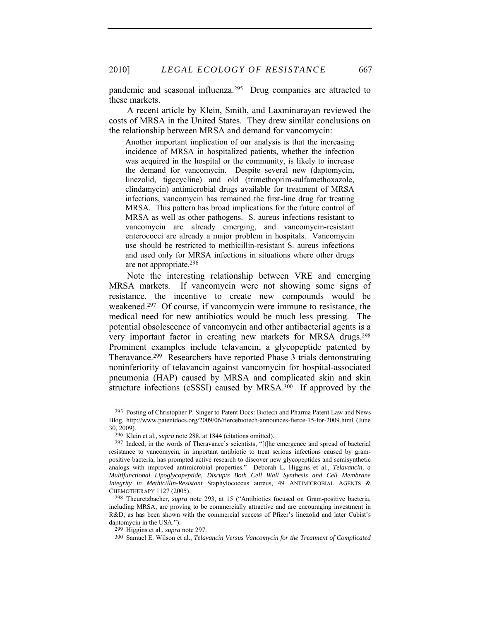2010] *LEGAL ECOLOGY OF RESISTANCE* 667

pandemic and seasonal influenza.295 Drug companies are attracted to these markets.

A recent article by Klein, Smith, and Laxminarayan reviewed the costs of MRSA in the United States. They drew similar conclusions on the relationship between MRSA and demand for vancomycin:

Another important implication of our analysis is that the increasing incidence of MRSA in hospitalized patients, whether the infection was acquired in the hospital or the community, is likely to increase the demand for vancomycin. Despite several new (daptomycin, linezolid, tigecycline) and old (trimethoprim-sulfamethoxazole, clindamycin) antimicrobial drugs available for treatment of MRSA infections, vancomycin has remained the first-line drug for treating MRSA. This pattern has broad implications for the future control of MRSA as well as other pathogens. S. aureus infections resistant to vancomycin are already emerging, and vancomycin-resistant enterococci are already a major problem in hospitals. Vancomycin use should be restricted to methicillin-resistant S. aureus infections and used only for MRSA infections in situations where other drugs are not appropriate.296

Note the interesting relationship between VRE and emerging MRSA markets. If vancomycin were not showing some signs of resistance, the incentive to create new compounds would be weakened.297 Of course, if vancomycin were immune to resistance, the medical need for new antibiotics would be much less pressing. The potential obsolescence of vancomycin and other antibacterial agents is a very important factor in creating new markets for MRSA drugs.298 Prominent examples include telavancin, a glycopeptide patented by Theravance.299 Researchers have reported Phase 3 trials demonstrating noninferiority of telavancin against vancomycin for hospital-associated pneumonia (HAP) caused by MRSA and complicated skin and skin structure infections (cSSSI) caused by MRSA.300 If approved by the

<sup>295</sup> Posting of Christopher P. Singer to Patent Docs: Biotech and Pharma Patent Law and News Blog, http://www.patentdocs.org/2009/06/fiercebiotech-announces-fierce-15-for-2009.html (June 30, 2009).

<sup>296</sup> Klein et al., *supra* note 288, at 1844 (citations omitted).

<sup>297</sup> Indeed, in the words of Theravance's scientists, "[t]he emergence and spread of bacterial resistance to vancomycin, in important antibiotic to treat serious infections caused by grampositive bacteria, has prompted active research to discover new glycopeptides and semisynthetic analogs with improved antimicrobial properties." Deborah L. Higgins et al., *Telavancin, a Multifunctional Lipoglycopeptide, Disrupts Both Cell Wall Synthesis and Cell Membrane Integrity in Methicillin-Resistant* Staphylococcus aureus, 49 ANTIMICROBIAL AGENTS & CHEMOTHERAPY 1127 (2005).

<sup>298</sup> Theuretzbacher, *supra* note 293, at 15 ("Antibiotics focused on Gram-positive bacteria, including MRSA, are proving to be commercially attractive and are encouraging investment in R&D, as has been shown with the commercial success of Pfizer's linezolid and later Cubist's daptomycin in the USA.").

<sup>299</sup> Higgins et al., *supra* note 297.

<sup>300</sup> Samuel E. Wilson et al., *Telavancin Versus Vancomycin for the Treatment of Complicated*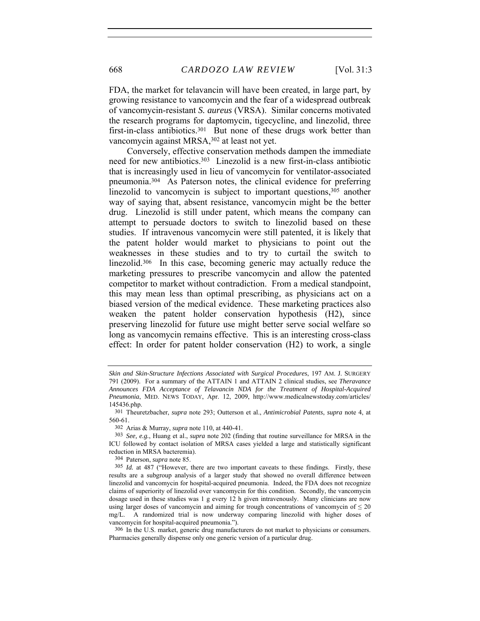FDA, the market for telavancin will have been created, in large part, by growing resistance to vancomycin and the fear of a widespread outbreak of vancomycin-resistant *S. aureus* (VRSA). Similar concerns motivated the research programs for daptomycin, tigecycline, and linezolid, three first-in-class antibiotics.<sup>301</sup> But none of these drugs work better than vancomycin against MRSA,302 at least not yet.

Conversely, effective conservation methods dampen the immediate need for new antibiotics.303 Linezolid is a new first-in-class antibiotic that is increasingly used in lieu of vancomycin for ventilator-associated pneumonia.304 As Paterson notes, the clinical evidence for preferring linezolid to vancomycin is subject to important questions,<sup>305</sup> another way of saying that, absent resistance, vancomycin might be the better drug. Linezolid is still under patent, which means the company can attempt to persuade doctors to switch to linezolid based on these studies. If intravenous vancomycin were still patented, it is likely that the patent holder would market to physicians to point out the weaknesses in these studies and to try to curtail the switch to linezolid.<sup>306</sup> In this case, becoming generic may actually reduce the marketing pressures to prescribe vancomycin and allow the patented competitor to market without contradiction. From a medical standpoint, this may mean less than optimal prescribing, as physicians act on a biased version of the medical evidence. These marketing practices also weaken the patent holder conservation hypothesis (H2), since preserving linezolid for future use might better serve social welfare so long as vancomycin remains effective. This is an interesting cross-class effect: In order for patent holder conservation (H2) to work, a single

304 Paterson, *supra* note 85.

*Skin and Skin-Structure Infections Associated with Surgical Procedures*, 197 AM. J. SURGERY 791 (2009). For a summary of the ATTAIN 1 and ATTAIN 2 clinical studies, see *Theravance Announces FDA Acceptance of Telavancin NDA for the Treatment of Hospital-Acquired Pneumonia*, MED. NEWS TODAY, Apr. 12, 2009, http://www.medicalnewstoday.com/articles/ 145436.php.

<sup>301</sup> Theuretzbacher, *supra* note 293; Outterson et al., *Antimicrobial Patents*, *supra* note 4, at 560-61.

<sup>302</sup> Arias & Murray, *supra* note 110, at 440-41.

<sup>303</sup> *See, e.g.*, Huang et al., *supra* note 202 (finding that routine surveillance for MRSA in the ICU followed by contact isolation of MRSA cases yielded a large and statistically significant reduction in MRSA bacteremia).

<sup>305</sup> *Id.* at 487 ("However, there are two important caveats to these findings. Firstly, these results are a subgroup analysis of a larger study that showed no overall difference between linezolid and vancomycin for hospital-acquired pneumonia. Indeed, the FDA does not recognize claims of superiority of linezolid over vancomycin for this condition. Secondly, the vancomycin dosage used in these studies was 1 g every 12 h given intravenously. Many clinicians are now using larger doses of vancomycin and aiming for trough concentrations of vancomycin of  $\leq 20$ mg/L. A randomized trial is now underway comparing linezolid with higher doses of vancomycin for hospital-acquired pneumonia.").

<sup>306</sup> In the U.S. market, generic drug manufacturers do not market to physicians or consumers. Pharmacies generally dispense only one generic version of a particular drug.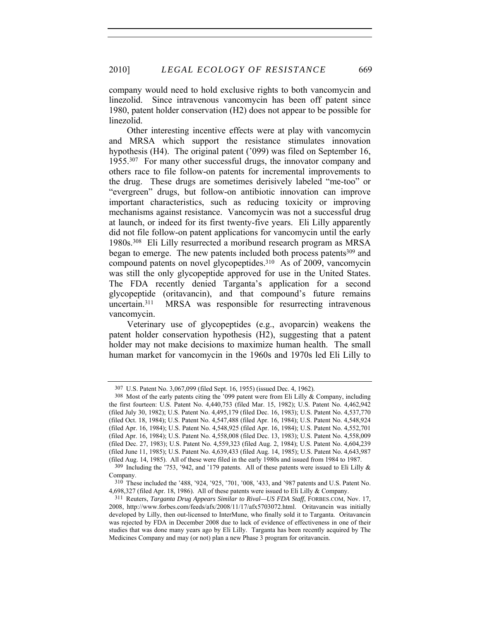company would need to hold exclusive rights to both vancomycin and linezolid. Since intravenous vancomycin has been off patent since 1980, patent holder conservation (H2) does not appear to be possible for linezolid.

Other interesting incentive effects were at play with vancomycin and MRSA which support the resistance stimulates innovation hypothesis (H4). The original patent ('099) was filed on September 16, 1955.307 For many other successful drugs, the innovator company and others race to file follow-on patents for incremental improvements to the drug. These drugs are sometimes derisively labeled "me-too" or "evergreen" drugs, but follow-on antibiotic innovation can improve important characteristics, such as reducing toxicity or improving mechanisms against resistance. Vancomycin was not a successful drug at launch, or indeed for its first twenty-five years. Eli Lilly apparently did not file follow-on patent applications for vancomycin until the early 1980s.308 Eli Lilly resurrected a moribund research program as MRSA began to emerge. The new patents included both process patents<sup>309</sup> and compound patents on novel glycopeptides.310 As of 2009, vancomycin was still the only glycopeptide approved for use in the United States. The FDA recently denied Targanta's application for a second glycopeptide (oritavancin), and that compound's future remains uncertain.311 MRSA was responsible for resurrecting intravenous vancomycin.

Veterinary use of glycopeptides (e.g., avoparcin) weakens the patent holder conservation hypothesis (H2), suggesting that a patent holder may not make decisions to maximize human health. The small human market for vancomycin in the 1960s and 1970s led Eli Lilly to

<sup>307</sup> U.S. Patent No. 3,067,099 (filed Sept. 16, 1955) (issued Dec. 4, 1962).

<sup>308</sup> Most of the early patents citing the '099 patent were from Eli Lilly & Company, including the first fourteen: U.S. Patent No. 4,440,753 (filed Mar. 15, 1982); U.S. Patent No. 4,462,942 (filed July 30, 1982); U.S. Patent No. 4,495,179 (filed Dec. 16, 1983); U.S. Patent No. 4,537,770 (filed Oct. 18, 1984); U.S. Patent No. 4,547,488 (filed Apr. 16, 1984); U.S. Patent No. 4,548,924 (filed Apr. 16, 1984); U.S. Patent No. 4,548,925 (filed Apr. 16, 1984); U.S. Patent No. 4,552,701 (filed Apr. 16, 1984); U.S. Patent No. 4,558,008 (filed Dec. 13, 1983); U.S. Patent No. 4,558,009 (filed Dec. 27, 1983); U.S. Patent No. 4,559,323 (filed Aug. 2, 1984); U.S. Patent No. 4,604,239 (filed June 11, 1985); U.S. Patent No. 4,639,433 (filed Aug. 14, 1985); U.S. Patent No. 4,643,987 (filed Aug. 14, 1985). All of these were filed in the early 1980s and issued from 1984 to 1987.

<sup>309</sup> Including the '753, '942, and '179 patents. All of these patents were issued to Eli Lilly & Company.

<sup>310</sup> These included the '488, '924, '925, '701, '008, '433, and '987 patents and U.S. Patent No. 4,698,327 (filed Apr. 18, 1986). All of these patents were issued to Eli Lilly & Company.

<sup>311</sup> Reuters, *Targanta Drug Appears Similar to Rival—US FDA Staff*, FORBES.COM, Nov. 17, 2008, http://www.forbes.com/feeds/afx/2008/11/17/afx5703072.html. Oritavancin was initially developed by Lilly, then out-licensed to InterMune, who finally sold it to Targanta. Oritavancin was rejected by FDA in December 2008 due to lack of evidence of effectiveness in one of their studies that was done many years ago by Eli Lilly. Targanta has been recently acquired by The Medicines Company and may (or not) plan a new Phase 3 program for oritavancin.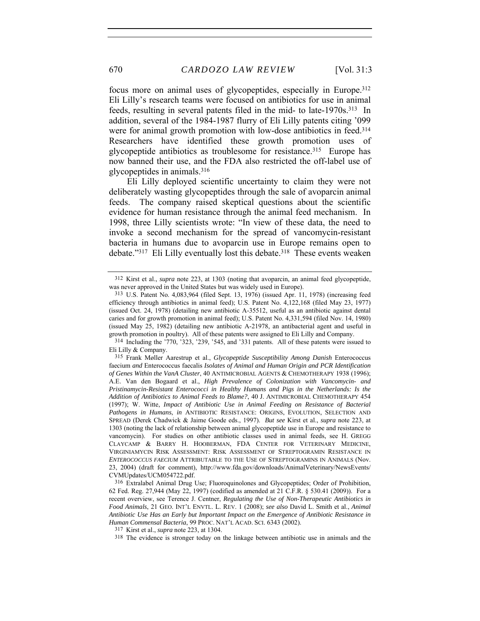focus more on animal uses of glycopeptides, especially in Europe.312 Eli Lilly's research teams were focused on antibiotics for use in animal feeds, resulting in several patents filed in the mid- to late-1970s.313 In addition, several of the 1984-1987 flurry of Eli Lilly patents citing '099 were for animal growth promotion with low-dose antibiotics in feed.<sup>314</sup> Researchers have identified these growth promotion uses of glycopeptide antibiotics as troublesome for resistance.315 Europe has now banned their use, and the FDA also restricted the off-label use of glycopeptides in animals.316

Eli Lilly deployed scientific uncertainty to claim they were not deliberately wasting glycopeptides through the sale of avoparcin animal feeds. The company raised skeptical questions about the scientific evidence for human resistance through the animal feed mechanism. In 1998, three Lilly scientists wrote: "In view of these data, the need to invoke a second mechanism for the spread of vancomycin-resistant bacteria in humans due to avoparcin use in Europe remains open to debate."<sup>317</sup> Eli Lilly eventually lost this debate.<sup>318</sup> These events weaken

<sup>312</sup> Kirst et al., *supra* note 223, at 1303 (noting that avoparcin, an animal feed glycopeptide, was never approved in the United States but was widely used in Europe).

<sup>313</sup> U.S. Patent No. 4,083,964 (filed Sept. 13, 1976) (issued Apr. 11, 1978) (increasing feed efficiency through antibiotics in animal feed); U.S. Patent No. 4,122,168 (filed May 23, 1977) (issued Oct. 24, 1978) (detailing new antibiotic A-35512, useful as an antibiotic against dental caries and for growth promotion in animal feed); U.S. Patent No. 4,331,594 (filed Nov. 14, 1980) (issued May 25, 1982) (detailing new antibiotic A-21978, an antibacterial agent and useful in growth promotion in poultry). All of these patents were assigned to Eli Lilly and Company.

<sup>314</sup> Including the '770, '323, '239, '545, and '331 patents. All of these patents were issued to Eli Lilly & Company.

<sup>315</sup> Frank Møller Aarestrup et al., *Glycopeptide Susceptibility Among Danish* Enterococcus faecium *and* Enterococcus faecalis *Isolates of Animal and Human Origin and PCR Identification of Genes Within the VanA Cluster*, 40 ANTIMICROBIAL AGENTS & CHEMOTHERAPY 1938 (1996); A.E. Van den Bogaard et al., *High Prevalence of Colonization with Vancomycin- and Pristinamycin-Resistant Enterococci in Healthy Humans and Pigs in the Netherlands: Is the Addition of Antibiotics to Animal Feeds to Blame?*, 40 J. ANTIMICROBIAL CHEMOTHERAPY 454 (1997); W. Witte, *Impact of Antibiotic Use in Animal Feeding on Resistance of Bacterial Pathogens in Humans*, *in* ANTIBIOTIC RESISTANCE: ORIGINS, EVOLUTION, SELECTION AND SPREAD (Derek Chadwick & Jaime Goode eds., 1997). *But see* Kirst et al., *supra* note 223, at 1303 (noting the lack of relationship between animal glycopeptide use in Europe and resistance to vancomycin). For studies on other antibiotic classes used in animal feeds, see H. GREGG CLAYCAMP & BARRY H. HOOBERMAN, FDA CENTER FOR VETERINARY MEDICINE, VIRGINIAMYCIN RISK ASSESSMENT: RISK ASSESSMENT OF STREPTOGRAMIN RESISTANCE IN *ENTEROCOCCUS FAECIUM* ATTRIBUTABLE TO THE USE OF STREPTOGRAMINS IN ANIMALS (Nov. 23, 2004) (draft for comment), http://www.fda.gov/downloads/AnimalVeterinary/NewsEvents/ CVMUpdates/UCM054722.pdf.

<sup>316</sup> Extralabel Animal Drug Use; Fluoroquinolones and Glycopeptides; Order of Prohibition, 62 Fed. Reg. 27,944 (May 22, 1997) (codified as amended at 21 C.F.R. § 530.41 (2009)). For a recent overview, see Terence J. Centner, *Regulating the Use of Non-Therapeutic Antibiotics in Food Animals*, 21 GEO. INT'L ENVTL. L. REV. 1 (2008); *see also* David L. Smith et al., *Animal Antibiotic Use Has an Early but Important Impact on the Emergence of Antibiotic Resistance in Human Commensal Bacteria*, 99 PROC. NAT'L ACAD. SCI. 6343 (2002).

<sup>317</sup> Kirst et al., *supra* note 223, at 1304.

<sup>318</sup> The evidence is stronger today on the linkage between antibiotic use in animals and the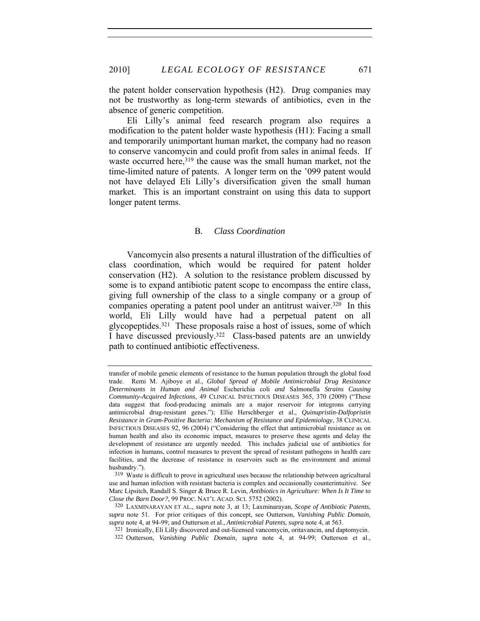the patent holder conservation hypothesis (H2). Drug companies may not be trustworthy as long-term stewards of antibiotics, even in the absence of generic competition.

Eli Lilly's animal feed research program also requires a modification to the patent holder waste hypothesis (H1): Facing a small and temporarily unimportant human market, the company had no reason to conserve vancomycin and could profit from sales in animal feeds. If waste occurred here,<sup>319</sup> the cause was the small human market, not the time-limited nature of patents. A longer term on the '099 patent would not have delayed Eli Lilly's diversification given the small human market. This is an important constraint on using this data to support longer patent terms.

#### B*. Class Coordination*

Vancomycin also presents a natural illustration of the difficulties of class coordination, which would be required for patent holder conservation (H2). A solution to the resistance problem discussed by some is to expand antibiotic patent scope to encompass the entire class, giving full ownership of the class to a single company or a group of companies operating a patent pool under an antitrust waiver.<sup>320</sup> In this world, Eli Lilly would have had a perpetual patent on all glycopeptides.321 These proposals raise a host of issues, some of which I have discussed previously.322 Class-based patents are an unwieldy path to continued antibiotic effectiveness.

transfer of mobile genetic elements of resistance to the human population through the global food trade. Remi M. Ajiboye et al., *Global Spread of Mobile Antimicrobial Drug Resistance Determinants in Human and Animal* Escherichia coli *and* Salmonella *Strains Causing Community-Acquired Infections*, 49 CLINICAL INFECTIOUS DISEASES 365, 370 (2009) ("These data suggest that food-producing animals are a major reservoir for integrons carrying antimicrobial drug-resistant genes."); Ellie Herschberger et al., *Quinupristin-Dalfopristin Resistance in Gram-Positive Bacteria: Mechanism of Resistance and Epidemiology*, 38 CLINICAL INFECTIOUS DISEASES 92, 96 (2004) ("Considering the effect that antimicrobial resistance as on human health and also its economic impact, measures to preserve these agents and delay the development of resistance are urgently needed. This includes judicial use of antibiotics for infection in humans, control measures to prevent the spread of resistant pathogens in health care facilities, and the decrease of resistance in reservoirs such as the environment and animal husbandry.").

<sup>319</sup> Waste is difficult to prove in agricultural uses because the relationship between agricultural use and human infection with resistant bacteria is complex and occasionally counterintuitive. *See* Marc Lipsitch, Randall S. Singer & Bruce R. Levin, *Antibiotics in Agriculture: When Is It Time to Close the Barn Door?*, 99 PROC. NAT'L ACAD. SCI. 5752 (2002).

<sup>320</sup> LAXMINARAYAN ET AL., *supra* note 3, at 13; Laxminarayan, *Scope of Antibiotic Patents*, *supra* note 51. For prior critiques of this concept, see Outterson, *Vanishing Public Domain*, *supra* note 4, at 94-99; and Outterson et al., *Antimicrobial Patents*, *supra* note 4, at 563.

<sup>321</sup> Ironically, Eli Lilly discovered and out-licensed vancomycin, oritavancin, and daptomycin.

<sup>322</sup> Outterson, *Vanishing Public Domain*, *supra* note 4, at 94-99; Outterson et al.,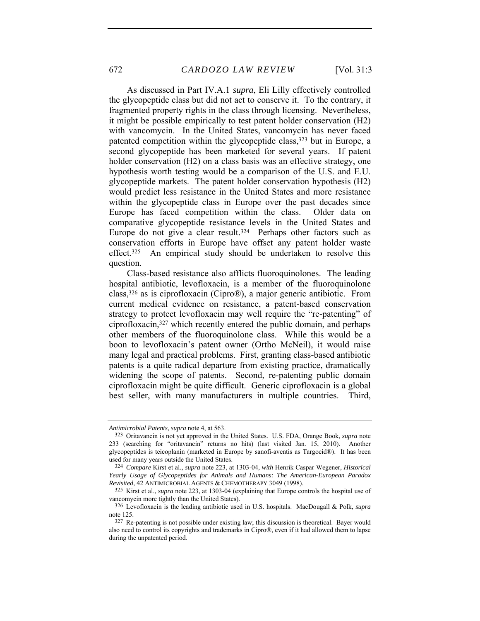As discussed in Part IV.A.1 *supra*, Eli Lilly effectively controlled the glycopeptide class but did not act to conserve it. To the contrary, it fragmented property rights in the class through licensing. Nevertheless, it might be possible empirically to test patent holder conservation (H2) with vancomycin. In the United States, vancomycin has never faced patented competition within the glycopeptide class,<sup>323</sup> but in Europe, a second glycopeptide has been marketed for several years. If patent holder conservation (H2) on a class basis was an effective strategy, one hypothesis worth testing would be a comparison of the U.S. and E.U. glycopeptide markets. The patent holder conservation hypothesis (H2) would predict less resistance in the United States and more resistance within the glycopeptide class in Europe over the past decades since Europe has faced competition within the class. Older data on comparative glycopeptide resistance levels in the United States and Europe do not give a clear result.<sup>324</sup> Perhaps other factors such as conservation efforts in Europe have offset any patent holder waste effect.325 An empirical study should be undertaken to resolve this question.

Class-based resistance also afflicts fluoroquinolones. The leading hospital antibiotic, levofloxacin, is a member of the fluoroquinolone class,326 as is ciprofloxacin (Cipro®), a major generic antibiotic. From current medical evidence on resistance, a patent-based conservation strategy to protect levofloxacin may well require the "re-patenting" of ciprofloxacin,327 which recently entered the public domain, and perhaps other members of the fluoroquinolone class. While this would be a boon to levofloxacin's patent owner (Ortho McNeil), it would raise many legal and practical problems. First, granting class-based antibiotic patents is a quite radical departure from existing practice, dramatically widening the scope of patents. Second, re-patenting public domain ciprofloxacin might be quite difficult. Generic ciprofloxacin is a global best seller, with many manufacturers in multiple countries. Third,

*Antimicrobial Patents*, *supra* note 4, at 563.

<sup>323</sup> Oritavancin is not yet approved in the United States. U.S. FDA, Orange Book, *supra* note 233 (searching for "oritavancin" returns no hits) (last visited Jan. 15, 2010). Another glycopeptides is teicoplanin (marketed in Europe by sanofi-aventis as Targocid®). It has been used for many years outside the United States.

<sup>324</sup> *Compare* Kirst et al., *supra* note 223, at 1303-04, *with* Henrik Caspar Wegener, *Historical Yearly Usage of Glycopeptides for Animals and Humans: The American-European Paradox Revisited*, 42 ANTIMICROBIAL AGENTS & CHEMOTHERAPY 3049 (1998).

<sup>325</sup> Kirst et al., *supra* note 223, at 1303-04 (explaining that Europe controls the hospital use of vancomycin more tightly than the United States).

<sup>326</sup> Levofloxacin is the leading antibiotic used in U.S. hospitals. MacDougall & Polk, *supra* note 125.

<sup>327</sup> Re-patenting is not possible under existing law; this discussion is theoretical. Bayer would also need to control its copyrights and trademarks in Cipro®, even if it had allowed them to lapse during the unpatented period.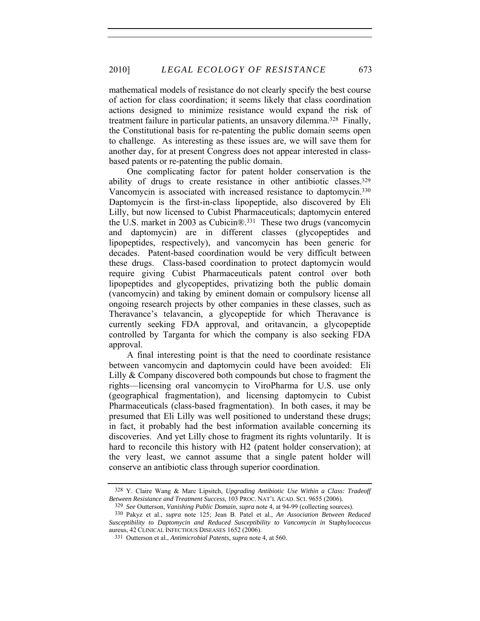mathematical models of resistance do not clearly specify the best course of action for class coordination; it seems likely that class coordination actions designed to minimize resistance would expand the risk of treatment failure in particular patients, an unsavory dilemma.328 Finally, the Constitutional basis for re-patenting the public domain seems open to challenge. As interesting as these issues are, we will save them for another day, for at present Congress does not appear interested in classbased patents or re-patenting the public domain.

One complicating factor for patent holder conservation is the ability of drugs to create resistance in other antibiotic classes.329 Vancomycin is associated with increased resistance to daptomycin.330 Daptomycin is the first-in-class lipopeptide, also discovered by Eli Lilly, but now licensed to Cubist Pharmaceuticals; daptomycin entered the U.S. market in 2003 as Cubicin®.331 These two drugs (vancomycin and daptomycin) are in different classes (glycopeptides and lipopeptides, respectively), and vancomycin has been generic for decades. Patent-based coordination would be very difficult between these drugs. Class-based coordination to protect daptomycin would require giving Cubist Pharmaceuticals patent control over both lipopeptides and glycopeptides, privatizing both the public domain (vancomycin) and taking by eminent domain or compulsory license all ongoing research projects by other companies in these classes, such as Theravance's telavancin, a glycopeptide for which Theravance is currently seeking FDA approval, and oritavancin, a glycopeptide controlled by Targanta for which the company is also seeking FDA approval.

A final interesting point is that the need to coordinate resistance between vancomycin and daptomycin could have been avoided: Eli Lilly & Company discovered both compounds but chose to fragment the rights—licensing oral vancomycin to ViroPharma for U.S. use only (geographical fragmentation), and licensing daptomycin to Cubist Pharmaceuticals (class-based fragmentation). In both cases, it may be presumed that Eli Lilly was well positioned to understand these drugs; in fact, it probably had the best information available concerning its discoveries. And yet Lilly chose to fragment its rights voluntarily. It is hard to reconcile this history with H2 (patent holder conservation); at the very least, we cannot assume that a single patent holder will conserve an antibiotic class through superior coordination.

<sup>328</sup> Y. Claire Wang & Marc Lipsitch, *Upgrading Antibiotic Use Within a Class: Tradeoff Between Resistance and Treatment Success*, 103 PROC. NAT'L ACAD. SCI. 9655 (2006).

<sup>329</sup> *See* Outterson, *Vanishing Public Domain*, *supra* note 4, at 94-99 (collecting sources).

<sup>330</sup> Pakyz et al., *supra* note 125; Jean B. Patel et al., *An Association Between Reduced Susceptibility to Daptomycin and Reduced Susceptibility to Vancomycin in* Staphylococcus aureus, 42 CLINICAL INFECTIOUS DISEASES 1652 (2006).

<sup>331</sup> Outterson et al., *Antimicrobial Patents*, *supra* note 4, at 560.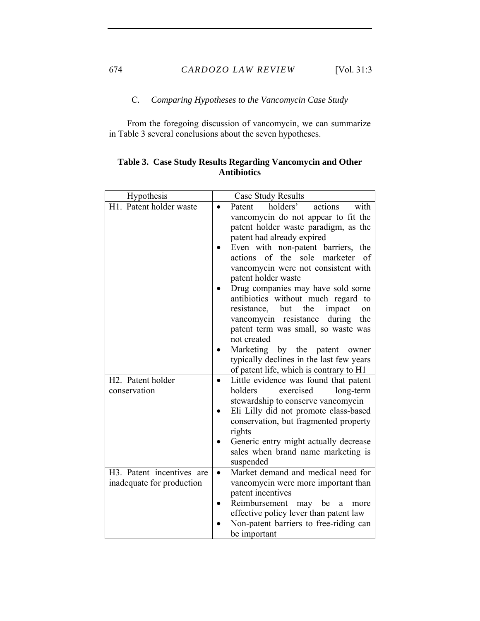C*. Comparing Hypotheses to the Vancomycin Case Study* 

From the foregoing discussion of vancomycin, we can summarize in Table 3 several conclusions about the seven hypotheses.

| Hypothesis                | Case Study Results                                                         |
|---------------------------|----------------------------------------------------------------------------|
| H1. Patent holder waste   | holders'<br>with<br>Patent<br>actions<br>$\bullet$                         |
|                           | vancomycin do not appear to fit the                                        |
|                           | patent holder waste paradigm, as the                                       |
|                           | patent had already expired                                                 |
|                           | Even with non-patent barriers, the                                         |
|                           | actions of the sole marketer<br>of                                         |
|                           | vancomycin were not consistent with                                        |
|                           | patent holder waste                                                        |
|                           | Drug companies may have sold some<br>antibiotics without much regard<br>to |
|                           | resistance, but<br>the<br>impact<br>on                                     |
|                           | vancomycin resistance<br>the<br>during                                     |
|                           | patent term was small, so waste was                                        |
|                           | not created                                                                |
|                           | Marketing by the patent<br>owner                                           |
|                           | typically declines in the last few years                                   |
|                           | of patent life, which is contrary to H1                                    |
| H2. Patent holder         | Little evidence was found that patent                                      |
| conservation              | holders<br>long-term<br>exercised                                          |
|                           | stewardship to conserve vancomycin                                         |
|                           | Eli Lilly did not promote class-based                                      |
|                           | conservation, but fragmented property                                      |
|                           | rights<br>Generic entry might actually decrease                            |
|                           | sales when brand name marketing is                                         |
|                           | suspended                                                                  |
| H3. Patent incentives are | Market demand and medical need for<br>$\bullet$                            |
| inadequate for production | vancomycin were more important than                                        |
|                           | patent incentives                                                          |
|                           | Reimbursement<br>may<br>be<br>a<br>more                                    |
|                           | effective policy lever than patent law                                     |
|                           | Non-patent barriers to free-riding can                                     |
|                           | be important                                                               |

# **Table 3. Case Study Results Regarding Vancomycin and Other Antibiotics**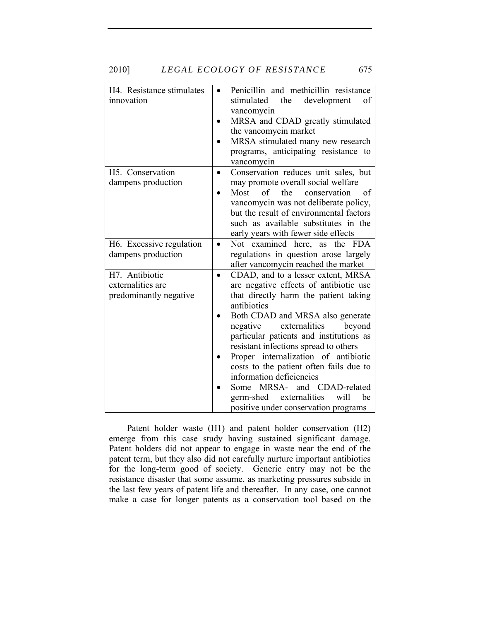|  | 2010] | LEGAL ECOLOGY OF RESISTANCE |  | 675 |
|--|-------|-----------------------------|--|-----|
|--|-------|-----------------------------|--|-----|

| H4. Resistance stimulates<br>innovation | Penicillin and methicillin resistance<br>$\bullet$<br>the<br>stimulated<br>development<br>οf<br>vancomycin<br>MRSA and CDAD greatly stimulated<br>the vancomycin market<br>MRSA stimulated many new research<br>programs, anticipating resistance to<br>vancomycin |
|-----------------------------------------|--------------------------------------------------------------------------------------------------------------------------------------------------------------------------------------------------------------------------------------------------------------------|
| H5. Conservation                        | Conservation reduces unit sales, but<br>$\bullet$                                                                                                                                                                                                                  |
| dampens production                      | may promote overall social welfare                                                                                                                                                                                                                                 |
|                                         | of the<br>Most<br>conservation<br>of                                                                                                                                                                                                                               |
|                                         | vancomycin was not deliberate policy,                                                                                                                                                                                                                              |
|                                         | but the result of environmental factors                                                                                                                                                                                                                            |
|                                         | such as available substitutes in the                                                                                                                                                                                                                               |
|                                         | early years with fewer side effects                                                                                                                                                                                                                                |
| H6. Excessive regulation                | Not examined here, as the FDA<br>$\bullet$                                                                                                                                                                                                                         |
| dampens production                      | regulations in question arose largely                                                                                                                                                                                                                              |
|                                         | after vancomycin reached the market                                                                                                                                                                                                                                |
| H7. Antibiotic                          | CDAD, and to a lesser extent, MRSA<br>$\bullet$                                                                                                                                                                                                                    |
| externalities are                       | are negative effects of antibiotic use                                                                                                                                                                                                                             |
| predominantly negative                  | that directly harm the patient taking<br>antibiotics                                                                                                                                                                                                               |
|                                         | Both CDAD and MRSA also generate                                                                                                                                                                                                                                   |
|                                         | negative<br>externalities<br>beyond                                                                                                                                                                                                                                |
|                                         | particular patients and institutions as                                                                                                                                                                                                                            |
|                                         | resistant infections spread to others                                                                                                                                                                                                                              |
|                                         | Proper internalization of antibiotic                                                                                                                                                                                                                               |
|                                         | costs to the patient often fails due to                                                                                                                                                                                                                            |
|                                         | information deficiencies                                                                                                                                                                                                                                           |
|                                         | Some MRSA-<br>and CDAD-related                                                                                                                                                                                                                                     |
|                                         | germ-shed externalities<br>will<br>be                                                                                                                                                                                                                              |
|                                         | positive under conservation programs                                                                                                                                                                                                                               |

Patent holder waste (H1) and patent holder conservation (H2) emerge from this case study having sustained significant damage. Patent holders did not appear to engage in waste near the end of the patent term, but they also did not carefully nurture important antibiotics for the long-term good of society. Generic entry may not be the resistance disaster that some assume, as marketing pressures subside in the last few years of patent life and thereafter. In any case, one cannot make a case for longer patents as a conservation tool based on the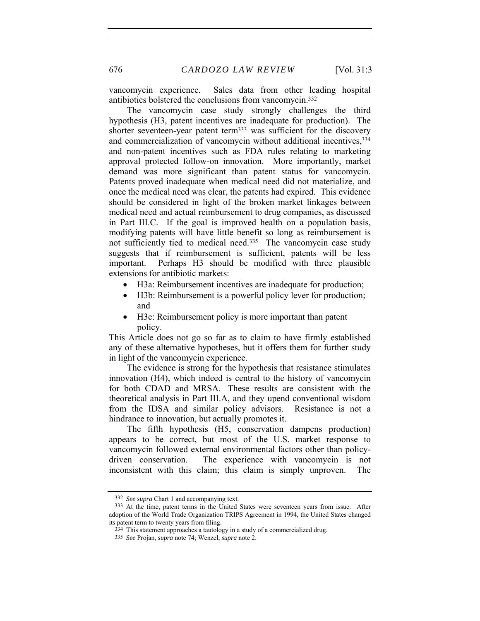676 *CARDOZO LAW REVIEW* [Vol. 31:3

vancomycin experience. Sales data from other leading hospital antibiotics bolstered the conclusions from vancomycin.332

The vancomycin case study strongly challenges the third hypothesis (H3, patent incentives are inadequate for production). The shorter seventeen-year patent term333 was sufficient for the discovery and commercialization of vancomycin without additional incentives,  $334$ and non-patent incentives such as FDA rules relating to marketing approval protected follow-on innovation. More importantly, market demand was more significant than patent status for vancomycin. Patents proved inadequate when medical need did not materialize, and once the medical need was clear, the patents had expired. This evidence should be considered in light of the broken market linkages between medical need and actual reimbursement to drug companies, as discussed in Part III.C. If the goal is improved health on a population basis, modifying patents will have little benefit so long as reimbursement is not sufficiently tied to medical need.<sup>335</sup> The vancomycin case study suggests that if reimbursement is sufficient, patents will be less important. Perhaps H3 should be modified with three plausible extensions for antibiotic markets:

- H3a: Reimbursement incentives are inadequate for production;
- H3b: Reimbursement is a powerful policy lever for production; and
- H3c: Reimbursement policy is more important than patent policy.

This Article does not go so far as to claim to have firmly established any of these alternative hypotheses, but it offers them for further study in light of the vancomycin experience.

The evidence is strong for the hypothesis that resistance stimulates innovation (H4), which indeed is central to the history of vancomycin for both CDAD and MRSA. These results are consistent with the theoretical analysis in Part III.A, and they upend conventional wisdom from the IDSA and similar policy advisors. Resistance is not a hindrance to innovation, but actually promotes it.

The fifth hypothesis (H5, conservation dampens production) appears to be correct, but most of the U.S. market response to vancomycin followed external environmental factors other than policydriven conservation. The experience with vancomycin is not inconsistent with this claim; this claim is simply unproven. The

<sup>332</sup> *See supra* Chart 1 and accompanying text.

<sup>333</sup> At the time, patent terms in the United States were seventeen years from issue. After adoption of the World Trade Organization TRIPS Agreement in 1994, the United States changed its patent term to twenty years from filing.

<sup>334</sup> This statement approaches a tautology in a study of a commercialized drug.

<sup>335</sup> *See* Projan, *supra* note 74; Wenzel, *supra* note 2.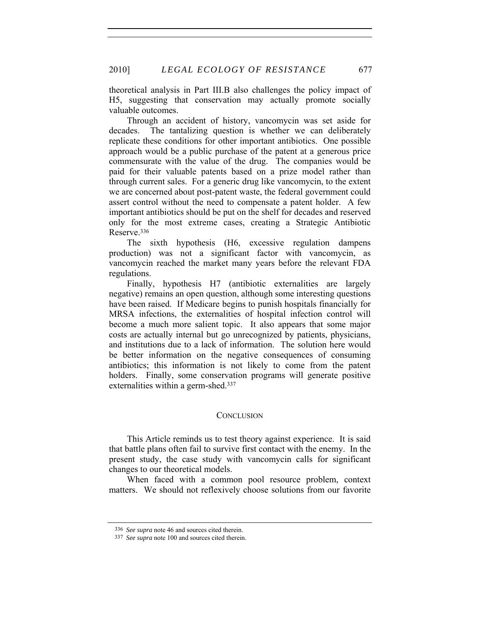theoretical analysis in Part III.B also challenges the policy impact of H5, suggesting that conservation may actually promote socially valuable outcomes.

Through an accident of history, vancomycin was set aside for decades. The tantalizing question is whether we can deliberately replicate these conditions for other important antibiotics. One possible approach would be a public purchase of the patent at a generous price commensurate with the value of the drug. The companies would be paid for their valuable patents based on a prize model rather than through current sales. For a generic drug like vancomycin, to the extent we are concerned about post-patent waste, the federal government could assert control without the need to compensate a patent holder. A few important antibiotics should be put on the shelf for decades and reserved only for the most extreme cases, creating a Strategic Antibiotic Reserve.336

The sixth hypothesis (H6, excessive regulation dampens production) was not a significant factor with vancomycin, as vancomycin reached the market many years before the relevant FDA regulations.

Finally, hypothesis H7 (antibiotic externalities are largely negative) remains an open question, although some interesting questions have been raised. If Medicare begins to punish hospitals financially for MRSA infections, the externalities of hospital infection control will become a much more salient topic. It also appears that some major costs are actually internal but go unrecognized by patients, physicians, and institutions due to a lack of information. The solution here would be better information on the negative consequences of consuming antibiotics; this information is not likely to come from the patent holders. Finally, some conservation programs will generate positive externalities within a germ-shed.<sup>337</sup>

#### **CONCLUSION**

This Article reminds us to test theory against experience. It is said that battle plans often fail to survive first contact with the enemy. In the present study, the case study with vancomycin calls for significant changes to our theoretical models.

When faced with a common pool resource problem, context matters. We should not reflexively choose solutions from our favorite

<sup>336</sup> *See supra* note 46 and sources cited therein.

<sup>337</sup> *See supra* note 100 and sources cited therein.